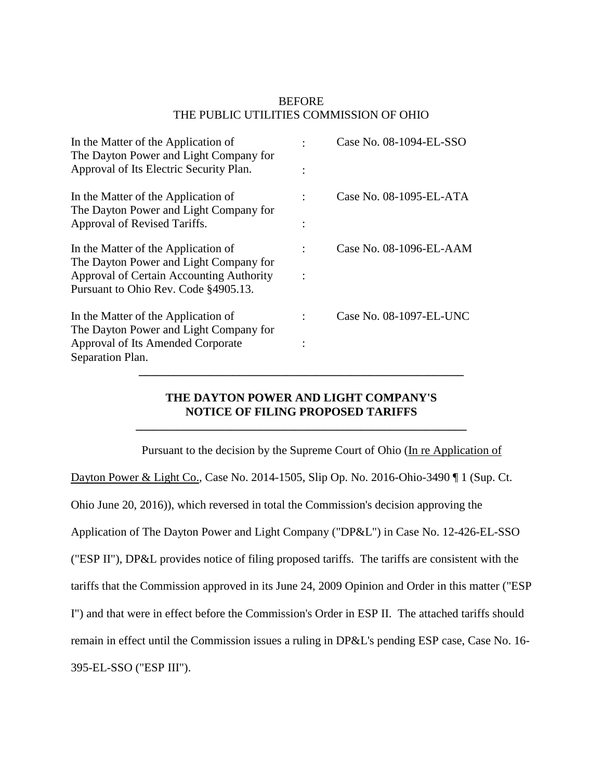## **BEFORE** THE PUBLIC UTILITIES COMMISSION OF OHIO

| The Dayton Power and Light Company for<br>Approval of Its Electric Security Plan. |  |
|-----------------------------------------------------------------------------------|--|
|                                                                                   |  |
|                                                                                   |  |
| Case No. 08-1095-EL-ATA<br>In the Matter of the Application of                    |  |
| The Dayton Power and Light Company for                                            |  |
| Approval of Revised Tariffs.                                                      |  |
|                                                                                   |  |
| Case No. 08-1096-EL-AAM<br>In the Matter of the Application of                    |  |
| The Dayton Power and Light Company for                                            |  |
| Approval of Certain Accounting Authority                                          |  |
| Pursuant to Ohio Rev. Code §4905.13.                                              |  |
| Case No. 08-1097-EL-UNC<br>In the Matter of the Application of                    |  |
| The Dayton Power and Light Company for                                            |  |
| Approval of Its Amended Corporate                                                 |  |
| Separation Plan.                                                                  |  |
|                                                                                   |  |

## **THE DAYTON POWER AND LIGHT COMPANY'S NOTICE OF FILING PROPOSED TARIFFS**

**\_\_\_\_\_\_\_\_\_\_\_\_\_\_\_\_\_\_\_\_\_\_\_\_\_\_\_\_\_\_\_\_\_\_\_\_\_\_\_\_\_\_\_\_\_\_\_\_\_\_\_\_\_\_\_\_**

Pursuant to the decision by the Supreme Court of Ohio (In re Application of Dayton Power & Light Co., Case No. 2014-1505, Slip Op. No. 2016-Ohio-3490 ¶ 1 (Sup. Ct. Ohio June 20, 2016)), which reversed in total the Commission's decision approving the Application of The Dayton Power and Light Company ("DP&L") in Case No. 12-426-EL-SSO ("ESP II"), DP&L provides notice of filing proposed tariffs. The tariffs are consistent with the tariffs that the Commission approved in its June 24, 2009 Opinion and Order in this matter ("ESP I") and that were in effect before the Commission's Order in ESP II. The attached tariffs should remain in effect until the Commission issues a ruling in DP&L's pending ESP case, Case No. 16- 395-EL-SSO ("ESP III").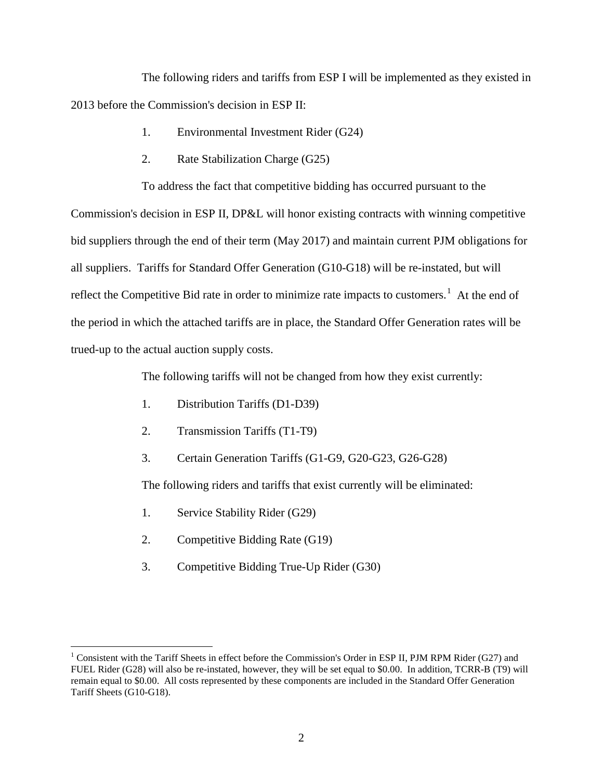The following riders and tariffs from ESP I will be implemented as they existed in 2013 before the Commission's decision in ESP II:

- 1. Environmental Investment Rider (G24)
- 2. Rate Stabilization Charge (G25)

To address the fact that competitive bidding has occurred pursuant to the

Commission's decision in ESP II, DP&L will honor existing contracts with winning competitive bid suppliers through the end of their term (May 2017) and maintain current PJM obligations for all suppliers. Tariffs for Standard Offer Generation (G10-G18) will be re-instated, but will reflect the Competitive Bid rate in order to minimize rate impacts to customers.<sup>[1](#page-1-0)</sup> At the end of the period in which the attached tariffs are in place, the Standard Offer Generation rates will be trued-up to the actual auction supply costs.

The following tariffs will not be changed from how they exist currently:

- 1. Distribution Tariffs (D1-D39)
- 2. Transmission Tariffs (T1-T9)
- 3. Certain Generation Tariffs (G1-G9, G20-G23, G26-G28)

The following riders and tariffs that exist currently will be eliminated:

- 1. Service Stability Rider (G29)
- 2. Competitive Bidding Rate (G19)
- 3. Competitive Bidding True-Up Rider (G30)

<span id="page-1-0"></span> $1$  Consistent with the Tariff Sheets in effect before the Commission's Order in ESP II, PJM RPM Rider (G27) and FUEL Rider (G28) will also be re-instated, however, they will be set equal to \$0.00. In addition, TCRR-B (T9) will remain equal to \$0.00. All costs represented by these components are included in the Standard Offer Generation Tariff Sheets (G10-G18).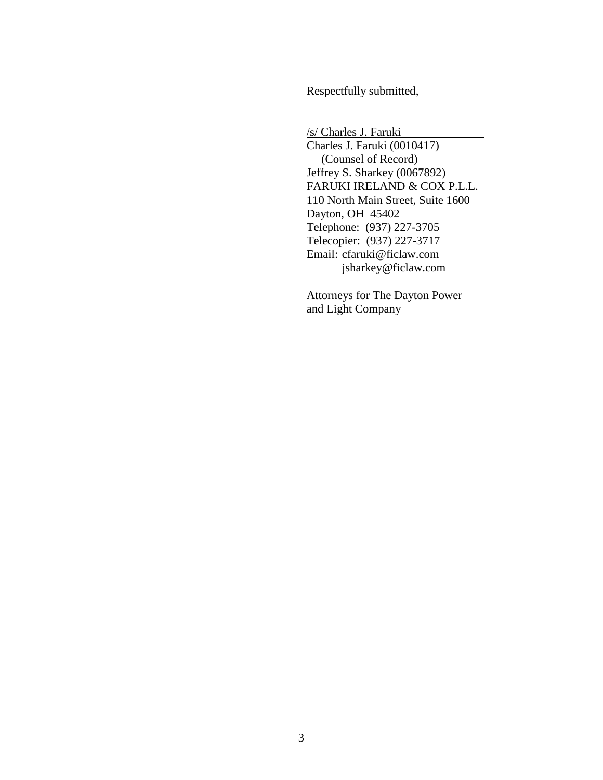Respectfully submitted,

/s/ Charles J. Faruki

Charles J. Faruki (0010417) (Counsel of Record) Jeffrey S. Sharkey (0067892) FARUKI IRELAND & COX P.L.L. 110 North Main Street, Suite 1600 Dayton, OH 45402 Telephone: (937) 227-3705 Telecopier: (937) 227-3717 Email: cfaruki@ficlaw.com jsharkey@ficlaw.com

Attorneys for The Dayton Power and Light Company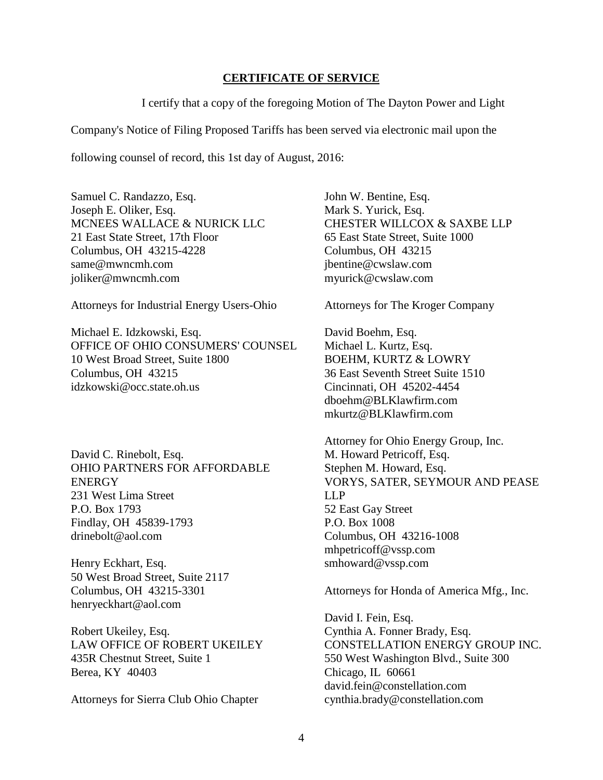## **CERTIFICATE OF SERVICE**

I certify that a copy of the foregoing Motion of The Dayton Power and Light

Company's Notice of Filing Proposed Tariffs has been served via electronic mail upon the

following counsel of record, this 1st day of August, 2016:

Samuel C. Randazzo, Esq. Joseph E. Oliker, Esq. MCNEES WALLACE & NURICK LLC 21 East State Street, 17th Floor Columbus, OH 43215-4228 same@mwncmh.com joliker@mwncmh.com

Attorneys for Industrial Energy Users-Ohio

Michael E. Idzkowski, Esq. OFFICE OF OHIO CONSUMERS' COUNSEL 10 West Broad Street, Suite 1800 Columbus, OH 43215 idzkowski@occ.state.oh.us

David C. Rinebolt, Esq. OHIO PARTNERS FOR AFFORDABLE **ENERGY** 231 West Lima Street P.O. Box 1793 Findlay, OH 45839-1793 drinebolt@aol.com

Henry Eckhart, Esq. 50 West Broad Street, Suite 2117 Columbus, OH 43215-3301 henryeckhart@aol.com

Robert Ukeiley, Esq. LAW OFFICE OF ROBERT UKEILEY 435R Chestnut Street, Suite 1 Berea, KY 40403

Attorneys for Sierra Club Ohio Chapter

John W. Bentine, Esq. Mark S. Yurick, Esq. CHESTER WILLCOX & SAXBE LLP 65 East State Street, Suite 1000 Columbus, OH 43215 jbentine@cwslaw.com myurick@cwslaw.com

Attorneys for The Kroger Company

David Boehm, Esq. Michael L. Kurtz, Esq. BOEHM, KURTZ & LOWRY 36 East Seventh Street Suite 1510 Cincinnati, OH 45202-4454 dboehm@BLKlawfirm.com mkurtz@BLKlawfirm.com

Attorney for Ohio Energy Group, Inc. M. Howard Petricoff, Esq. Stephen M. Howard, Esq. VORYS, SATER, SEYMOUR AND PEASE LLP 52 East Gay Street P.O. Box 1008 Columbus, OH 43216-1008 mhpetricoff@vssp.com smhoward@vssp.com

Attorneys for Honda of America Mfg., Inc.

David I. Fein, Esq. Cynthia A. Fonner Brady, Esq. CONSTELLATION ENERGY GROUP INC. 550 West Washington Blvd., Suite 300 Chicago, IL 60661 david.fein@constellation.com cynthia.brady@constellation.com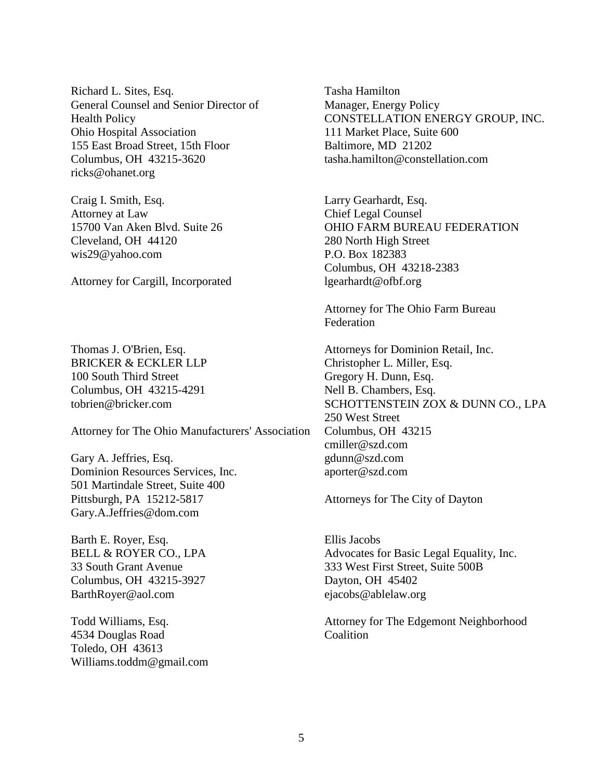Richard L. Sites, Esq. General Counsel and Senior Director of Health Policy Ohio Hospital Association 155 East Broad Street, 15th Floor Columbus, OH 43215-3620 ricks@ohanet.org

Craig I. Smith, Esq. Attorney at Law 15700 Van Aken Blvd. Suite 26 Cleveland, OH 44120 wis29@yahoo.com

Attorney for Cargill, Incorporated

Thomas J. O'Brien, Esq. BRICKER & ECKLER LLP 100 South Third Street Columbus, OH 43215-4291 tobrien@bricker.com

Attorney for The Ohio Manufacturers' Association

Gary A. Jeffries, Esq. Dominion Resources Services, Inc. 501 Martindale Street, Suite 400 Pittsburgh, PA 15212-5817 Gary.A.Jeffries@dom.com

Barth E. Royer, Esq. BELL & ROYER CO., LPA 33 South Grant Avenue Columbus, OH 43215-3927 BarthRoyer@aol.com

Todd Williams, Esq. 4534 Douglas Road Toledo, OH 43613 Williams.toddm@gmail.com Tasha Hamilton Manager, Energy Policy CONSTELLATION ENERGY GROUP, INC. 111 Market Place, Suite 600 Baltimore, MD 21202 tasha.hamilton@constellation.com

Larry Gearhardt, Esq. Chief Legal Counsel OHIO FARM BUREAU FEDERATION 280 North High Street P.O. Box 182383 Columbus, OH 43218-2383 lgearhardt@ofbf.org

Attorney for The Ohio Farm Bureau Federation

Attorneys for Dominion Retail, Inc. Christopher L. Miller, Esq. Gregory H. Dunn, Esq. Nell B. Chambers, Esq. SCHOTTENSTEIN ZOX & DUNN CO., LPA 250 West Street Columbus, OH 43215 cmiller@szd.com gdunn@szd.com aporter@szd.com

Attorneys for The City of Dayton

Ellis Jacobs Advocates for Basic Legal Equality, Inc. 333 West First Street, Suite 500B Dayton, OH 45402 ejacobs@ablelaw.org

Attorney for The Edgemont Neighborhood Coalition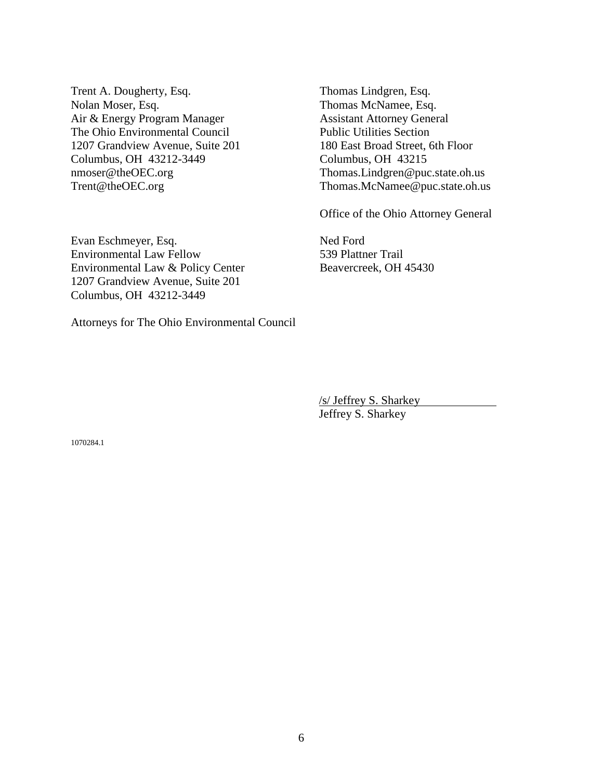Trent A. Dougherty, Esq. Nolan Moser, Esq. Air & Energy Program Manager The Ohio Environmental Council 1207 Grandview Avenue, Suite 201 Columbus, OH 43212-3449 nmoser@theOEC.org Trent@theOEC.org

Thomas Lindgren, Esq. Thomas McNamee, Esq. Assistant Attorney General Public Utilities Section 180 East Broad Street, 6th Floor Columbus, OH 43215 Thomas.Lindgren@puc.state.oh.us Thomas.McNamee@puc.state.oh.us

Office of the Ohio Attorney General

Ned Ford

539 Plattner Trail

Beavercreek, OH 45430

Evan Eschmeyer, Esq. Environmental Law Fellow Environmental Law & Policy Center 1207 Grandview Avenue, Suite 201 Columbus, OH 43212-3449

Attorneys for The Ohio Environmental Council

/s/ Jeffrey S. Sharkey Jeffrey S. Sharkey

1070284.1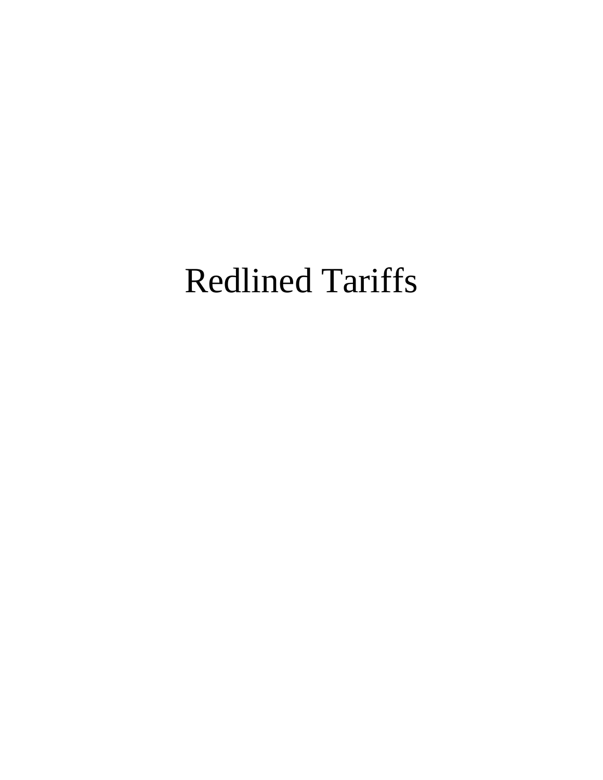# Redlined Tariffs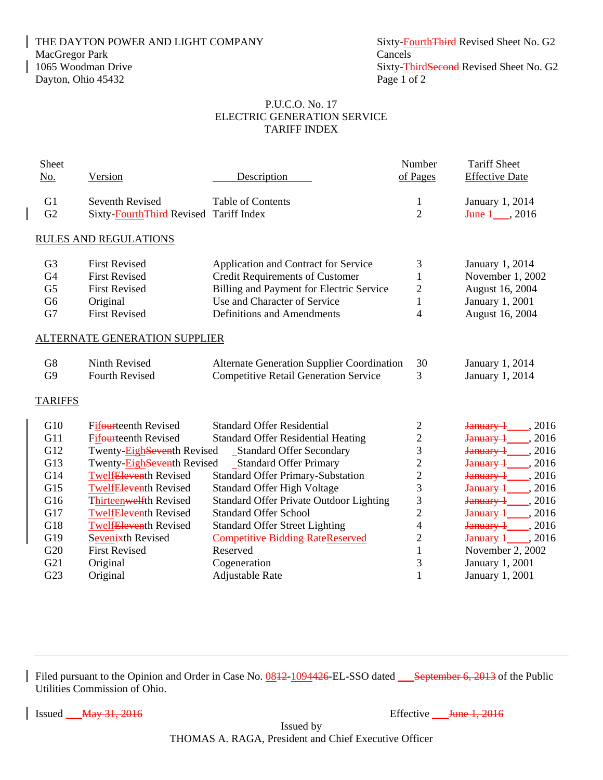THE DAYTON POWER AND LIGHT COMPANY Sixty-FourthThird Revised Sheet No. G2 MacGregor Park Cancels<br>
1065 Woodman Drive Sixty-Theory Sixty-Theory Sixty-Theory Sixty-Theory Sixty-Theory Sixty-Theory Sixty-Theory Dayton, Ohio 45432 Page 1 of 2

Sixty-ThirdSecond Revised Sheet No. G2

## P.U.C.O. No. 17 ELECTRIC GENERATION SERVICE TARIFF INDEX

| Sheet           |                                         |                                                   | Number                   | <b>Tariff Sheet</b>     |
|-----------------|-----------------------------------------|---------------------------------------------------|--------------------------|-------------------------|
| No.             | Version                                 | Description                                       | of Pages                 | <b>Effective Date</b>   |
| G <sub>1</sub>  | Seventh Revised                         | Table of Contents                                 | $\mathbf{1}$             | January 1, 2014         |
| G2              | Sixty-Fourth Third Revised Tariff Index |                                                   | $\overline{2}$           | $J$ une $1 \qquad 2016$ |
|                 |                                         |                                                   |                          |                         |
|                 | <b>RULES AND REGULATIONS</b>            |                                                   |                          |                         |
| G <sub>3</sub>  | <b>First Revised</b>                    | Application and Contract for Service              | 3                        | January 1, 2014         |
| G <sub>4</sub>  | <b>First Revised</b>                    | <b>Credit Requirements of Customer</b>            | $\mathbf{1}$             | November 1, 2002        |
| G <sub>5</sub>  | <b>First Revised</b>                    | Billing and Payment for Electric Service          | $\overline{c}$           | August 16, 2004         |
| G <sub>6</sub>  | Original                                | Use and Character of Service                      | $\mathbf{1}$             | January 1, 2001         |
| G7              | <b>First Revised</b>                    | Definitions and Amendments                        | $\overline{4}$           | August 16, 2004         |
|                 | <b>ALTERNATE GENERATION SUPPLIER</b>    |                                                   |                          |                         |
| G8              | Ninth Revised                           | <b>Alternate Generation Supplier Coordination</b> | 30                       | January 1, 2014         |
| G <sub>9</sub>  | <b>Fourth Revised</b>                   | <b>Competitive Retail Generation Service</b>      | 3                        | January 1, 2014         |
| <b>TARIFFS</b>  |                                         |                                                   |                          |                         |
| G10             | Fifourteenth Revised                    | <b>Standard Offer Residential</b>                 | $\overline{c}$           | January 1_____, 2016    |
| G11             | Fifourteenth Revised                    | <b>Standard Offer Residential Heating</b>         | $\overline{c}$           | January 1_____, 2016    |
| G12             | Twenty-EighSeventh Revised              | <b>Standard Offer Secondary</b>                   | 3                        | January 1, 2016         |
| G13             | Twenty-EighSeventh Revised              | <b>Standard Offer Primary</b>                     | $\overline{c}$           | January 1, 2016         |
| G14             | <b>Twelf<del>Eleven</del>th Revised</b> | <b>Standard Offer Primary-Substation</b>          | $\overline{c}$           | January 1_____, 2016    |
| G15             | <b>Twelf<del>Eleven</del>th Revised</b> | <b>Standard Offer High Voltage</b>                | 3                        | January 1, 2016         |
| G16             | Thirteenwelfth Revised                  | <b>Standard Offer Private Outdoor Lighting</b>    | 3                        | January 1_____, 2016    |
| G17             | <b>Twelf<del>Eleven</del>th Revised</b> | <b>Standard Offer School</b>                      | $\overline{c}$           | , 2016<br>January 1_    |
| G18             | <b>Twelf<del>Eleven</del>th Revised</b> | <b>Standard Offer Street Lighting</b>             | $\overline{\mathcal{L}}$ | January 1_<br>, 2016    |
| G19             | Sevenixth Revised                       | <b>Competitive Bidding RateReserved</b>           | $\overline{2}$           | January 1_____, 2016    |
| G <sub>20</sub> | <b>First Revised</b>                    | Reserved                                          | $\mathbf{1}$             | November 2, 2002        |
| G21             | Original                                | Cogeneration                                      | 3                        | January 1, 2001         |
| G23             | Original                                | Adjustable Rate                                   | $\mathbf{1}$             | January 1, 2001         |
|                 |                                         |                                                   |                          |                         |

Filed pursuant to the Opinion and Order in Case No.  $0.0812 - 1094426$ -EL-SSO dated September 6, 2013 of the Public Utilities Commission of Ohio.

 $\vert$  Issued  $\frac{1}{2016}$   $\frac{1}{2016}$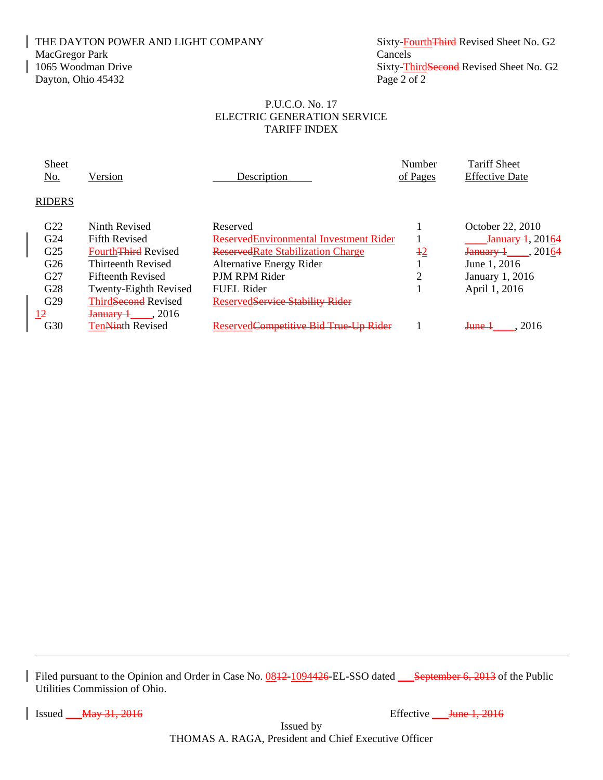## THE DAYTON POWER AND LIGHT COMPANY Sixty-FourthThird Revised Sheet No. G2 MacGregor Park Cancels<br>
1065 Woodman Drive Sixty-Theory Sixty-Theory Sixty-Theory Sixty-Theory Sixty-Theory Sixty-Theory Sixty-Theory Sixty-Theory Sixty-Theory Sixty-Theory Sixty-Theory Sixty-Theory Sixty-Theory Sixty-Theo Dayton, Ohio 45432 Page 2 of 2

Sixty-ThirdSecond Revised Sheet No. G2

## P.U.C.O. No. 17 ELECTRIC GENERATION SERVICE TARIFF INDEX

| <b>Sheet</b>    |                                       |                                           | Number         | <b>Tariff Sheet</b>                     |
|-----------------|---------------------------------------|-------------------------------------------|----------------|-----------------------------------------|
| <u>No.</u>      | Version                               | Description                               | of Pages       | <b>Effective Date</b>                   |
| <b>RIDERS</b>   |                                       |                                           |                |                                         |
| G22             | Ninth Revised                         | Reserved                                  |                | October 22, 2010                        |
| G24             | <b>Fifth Revised</b>                  | Reserved Environmental Investment Rider   |                | $J$ anuary 1, 20164                     |
| G <sub>25</sub> | <b>Fourth<del>Third</del></b> Revised | <b>Reserved Rate Stabilization Charge</b> | $rac{12}{1}$   | $J$ <sub>anuary</sub> $\frac{1}{20164}$ |
| G26             | <b>Thirteenth Revised</b>             | <b>Alternative Energy Rider</b>           |                | June 1, 2016                            |
| G27             | <b>Fifteenth Revised</b>              | PJM RPM Rider                             | $\overline{2}$ | January 1, 2016                         |
| G28             | <b>Twenty-Eighth Revised</b>          | <b>FUEL Rider</b>                         |                | April 1, 2016                           |
| G29             | Third <del>Second</del> Revised       | ReservedService Stability Rider           |                |                                         |
| 12              | $J$ anuarv $+$ . 2016                 |                                           |                |                                         |
| G30             | <b>TenNinth Revised</b>               | ReservedCompetitive Bid True Up Rider     |                | 2016<br><del>June 1</del>               |

Filed pursuant to the Opinion and Order in Case No.  $0.0812 - 1094426$ -EL-SSO dated September 6, 2013 of the Public Utilities Commission of Ohio.

 $\vert$  Issued  $\frac{1}{2016}$   $\frac{1}{2016}$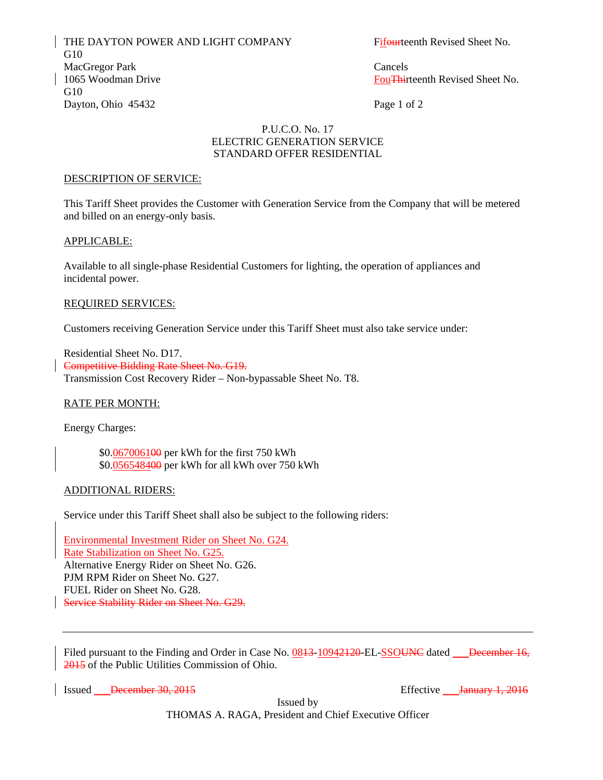THE DAYTON POWER AND LIGHT COMPANY Fifourteenth Revised Sheet No. G10 MacGregor Park Cancels 1065 Woodman Drive **FouThirteenth Revised Sheet No.** G<sub>10</sub> Dayton, Ohio 45432 Page 1 of 2

## P.U.C.O. No. 17 ELECTRIC GENERATION SERVICE STANDARD OFFER RESIDENTIAL

#### DESCRIPTION OF SERVICE:

This Tariff Sheet provides the Customer with Generation Service from the Company that will be metered and billed on an energy-only basis.

#### APPLICABLE:

Available to all single-phase Residential Customers for lighting, the operation of appliances and incidental power.

#### REQUIRED SERVICES:

Customers receiving Generation Service under this Tariff Sheet must also take service under:

Residential Sheet No. D17. Competitive Bidding Rate Sheet No. G19. Transmission Cost Recovery Rider – Non-bypassable Sheet No. T8.

#### RATE PER MONTH:

Energy Charges:

 \$0.067006100 per kWh for the first 750 kWh \$0.056548400 per kWh for all kWh over 750 kWh

#### ADDITIONAL RIDERS:

Service under this Tariff Sheet shall also be subject to the following riders:

Environmental Investment Rider on Sheet No. G24. Rate Stabilization on Sheet No. G25. Alternative Energy Rider on Sheet No. G26. PJM RPM Rider on Sheet No. G27. FUEL Rider on Sheet No. G28. Service Stability Rider on Sheet No. G29.

Filed pursuant to the Finding and Order in Case No. 0843-10942420-EL-SSOUNC dated December 16, 2015 of the Public Utilities Commission of Ohio.

Issued <del>December 30, 2015</del> Effective Land Effective Dentrich Australian Effective Dentrich Australian Effective Dentrich Australian Effective Dentrich Australian Effective Dentrich Australian Effective Dentrich Australian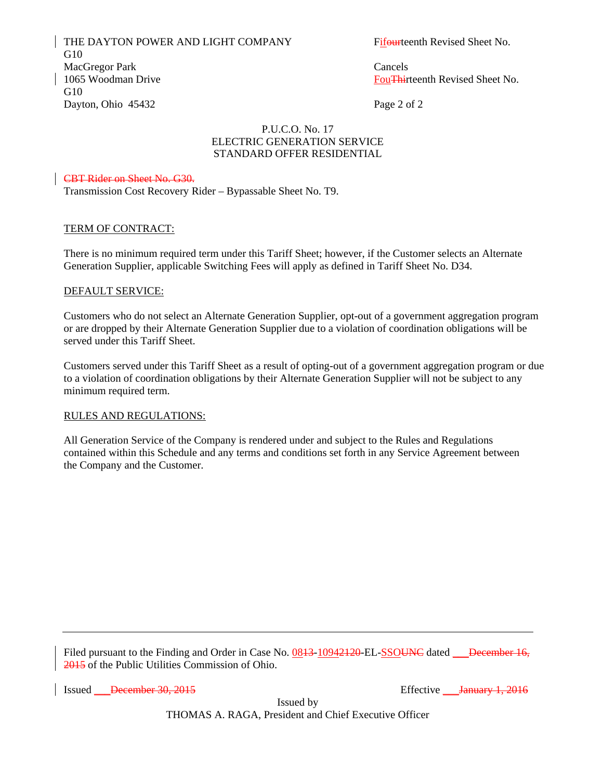THE DAYTON POWER AND LIGHT COMPANY Fifourteenth Revised Sheet No. G10 MacGregor Park Cancels 1065 Woodman Drive **FouThirteenth Revised Sheet No.** G<sub>10</sub> Dayton, Ohio 45432 Page 2 of 2

## P.U.C.O. No. 17 ELECTRIC GENERATION SERVICE STANDARD OFFER RESIDENTIAL

## CBT Rider on Sheet No. G30.

Transmission Cost Recovery Rider – Bypassable Sheet No. T9.

#### TERM OF CONTRACT:

There is no minimum required term under this Tariff Sheet; however, if the Customer selects an Alternate Generation Supplier, applicable Switching Fees will apply as defined in Tariff Sheet No. D34.

#### DEFAULT SERVICE:

Customers who do not select an Alternate Generation Supplier, opt-out of a government aggregation program or are dropped by their Alternate Generation Supplier due to a violation of coordination obligations will be served under this Tariff Sheet.

Customers served under this Tariff Sheet as a result of opting-out of a government aggregation program or due to a violation of coordination obligations by their Alternate Generation Supplier will not be subject to any minimum required term.

#### RULES AND REGULATIONS:

All Generation Service of the Company is rendered under and subject to the Rules and Regulations contained within this Schedule and any terms and conditions set forth in any Service Agreement between the Company and the Customer.

Filed pursuant to the Finding and Order in Case No. 0843-10942420-EL-SSOUNC dated December 16, 2015 of the Public Utilities Commission of Ohio.

Issued <del>December 30, 2015</del> Effective Lucius Contains **Effective** Lucius Contains **December 30, 2015**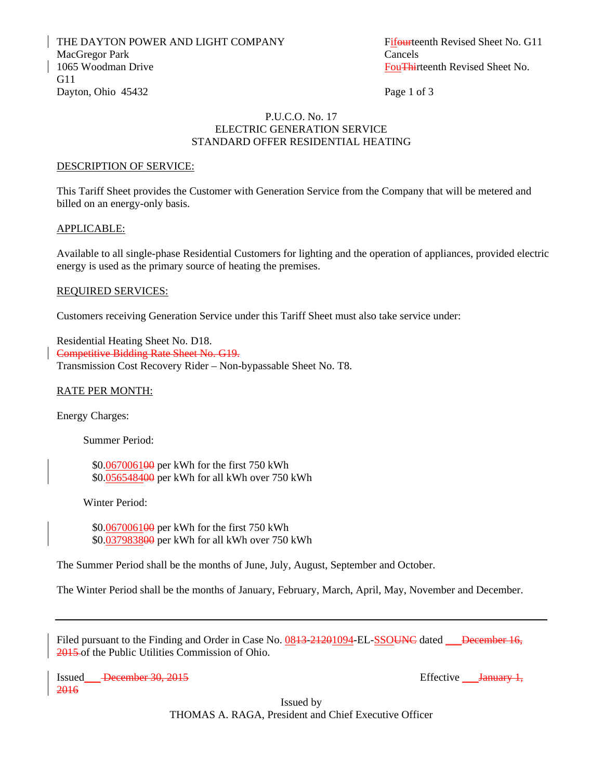THE DAYTON POWER AND LIGHT COMPANY Fifourteenth Revised Sheet No. G11 MacGregor Park Cancels 1065 Woodman Drive **FouThirteenth Revised Sheet No.** FouThirteenth Revised Sheet No. G11 Dayton, Ohio 45432 Page 1 of 3

#### P.U.C.O. No. 17 ELECTRIC GENERATION SERVICE STANDARD OFFER RESIDENTIAL HEATING

#### DESCRIPTION OF SERVICE:

This Tariff Sheet provides the Customer with Generation Service from the Company that will be metered and billed on an energy-only basis.

#### APPLICABLE:

Available to all single-phase Residential Customers for lighting and the operation of appliances, provided electric energy is used as the primary source of heating the premises.

#### REQUIRED SERVICES:

Customers receiving Generation Service under this Tariff Sheet must also take service under:

Residential Heating Sheet No. D18. Competitive Bidding Rate Sheet No. G19. Transmission Cost Recovery Rider – Non-bypassable Sheet No. T8.

#### RATE PER MONTH:

Energy Charges:

Summer Period:

 \$0.067006100 per kWh for the first 750 kWh \$0.056548400 per kWh for all kWh over 750 kWh

Winter Period:

 \$0.067006100 per kWh for the first 750 kWh \$0.037983800 per kWh for all kWh over 750 kWh

The Summer Period shall be the months of June, July, August, September and October.

The Winter Period shall be the months of January, February, March, April, May, November and December.

Filed pursuant to the Finding and Order in Case No. 0843-24201094-EL-SSOUNC dated December 16, 2015 of the Public Utilities Commission of Ohio.

Issued December 30, 2015 2016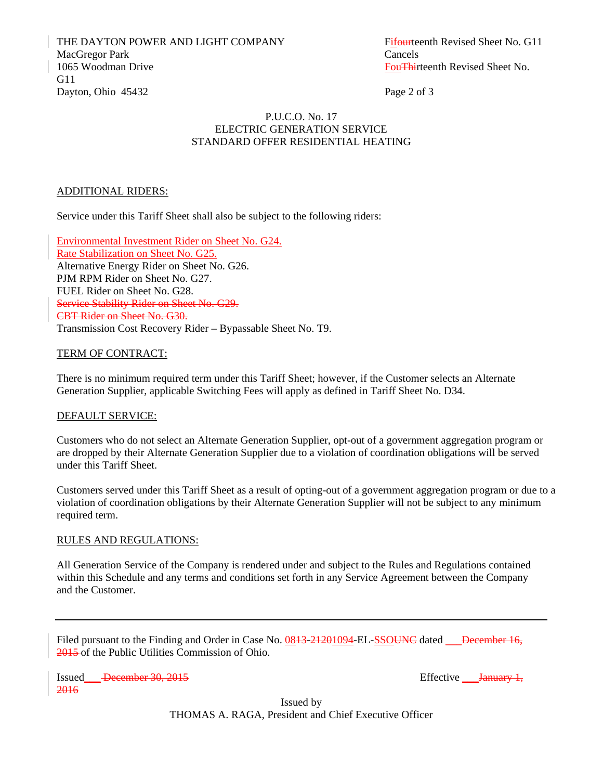THE DAYTON POWER AND LIGHT COMPANY Fifourteenth Revised Sheet No. G11 MacGregor Park Cancels 1065 Woodman Drive **FouThirteenth Revised Sheet No.** FouThirteenth Revised Sheet No. G11 Dayton, Ohio 45432 Page 2 of 3

#### P.U.C.O. No. 17 ELECTRIC GENERATION SERVICE STANDARD OFFER RESIDENTIAL HEATING

#### ADDITIONAL RIDERS:

Service under this Tariff Sheet shall also be subject to the following riders:

Environmental Investment Rider on Sheet No. G24. Rate Stabilization on Sheet No. G25. Alternative Energy Rider on Sheet No. G26. PJM RPM Rider on Sheet No. G27. FUEL Rider on Sheet No. G28. Service Stability Rider on Sheet No. G29. CBT Rider on Sheet No. G30. Transmission Cost Recovery Rider – Bypassable Sheet No. T9.

#### TERM OF CONTRACT:

There is no minimum required term under this Tariff Sheet; however, if the Customer selects an Alternate Generation Supplier, applicable Switching Fees will apply as defined in Tariff Sheet No. D34.

#### DEFAULT SERVICE:

Customers who do not select an Alternate Generation Supplier, opt-out of a government aggregation program or are dropped by their Alternate Generation Supplier due to a violation of coordination obligations will be served under this Tariff Sheet.

Customers served under this Tariff Sheet as a result of opting-out of a government aggregation program or due to a violation of coordination obligations by their Alternate Generation Supplier will not be subject to any minimum required term.

## RULES AND REGULATIONS:

All Generation Service of the Company is rendered under and subject to the Rules and Regulations contained within this Schedule and any terms and conditions set forth in any Service Agreement between the Company and the Customer.

Filed pursuant to the Finding and Order in Case No. 0843-24201094-EL-SSOUNC dated December 16, 2015 of the Public Utilities Commission of Ohio.

Issued December 30, 2015 2016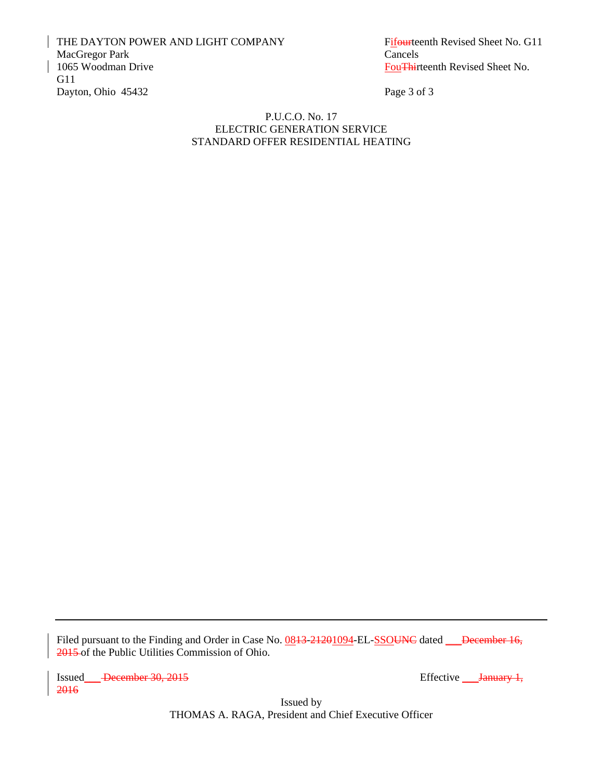THE DAYTON POWER AND LIGHT COMPANY Fifourteenth Revised Sheet No. G11 MacGregor Park Cancels<br>1065 Woodman Drive **Cancels** G11 Dayton, Ohio 45432 Page 3 of 3

Fou<del>Thi</del>rteenth Revised Sheet No.

#### P.U.C.O. No. 17 ELECTRIC GENERATION SERVICE STANDARD OFFER RESIDENTIAL HEATING

Filed pursuant to the Finding and Order in Case No. 0843-21201094-EL-SSOUNC dated December 16, 2015 of the Public Utilities Commission of Ohio.

Issued December 30, 2015 Effective Lanuary 1, 2016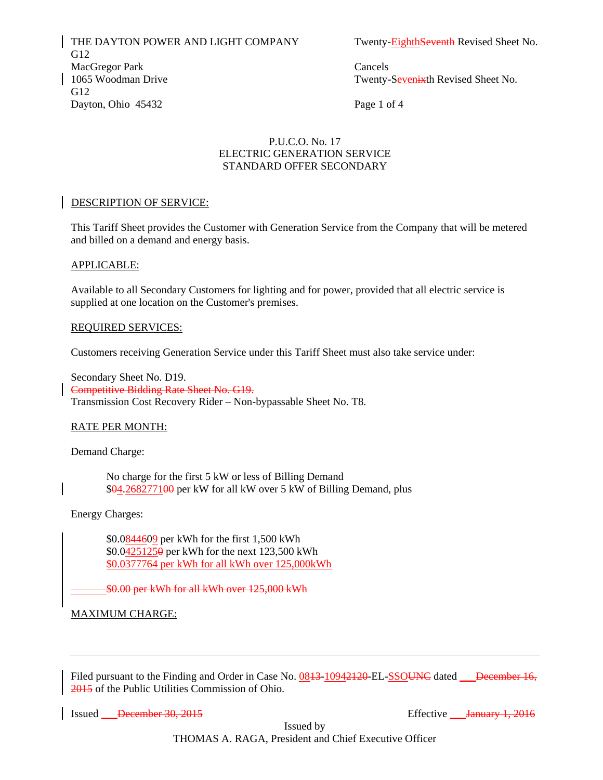THE DAYTON POWER AND LIGHT COMPANY Twenty-EighthSeventh Revised Sheet No. G12 MacGregor Park Cancels 1065 Woodman Drive Twenty-Seven is the Revised Sheet No. G12 Dayton, Ohio 45432 Page 1 of 4

## P.U.C.O. No. 17 ELECTRIC GENERATION SERVICE STANDARD OFFER SECONDARY

## DESCRIPTION OF SERVICE:

This Tariff Sheet provides the Customer with Generation Service from the Company that will be metered and billed on a demand and energy basis.

#### APPLICABLE:

Available to all Secondary Customers for lighting and for power, provided that all electric service is supplied at one location on the Customer's premises.

#### REQUIRED SERVICES:

Customers receiving Generation Service under this Tariff Sheet must also take service under:

Secondary Sheet No. D19. Competitive Bidding Rate Sheet No. G19. Transmission Cost Recovery Rider – Non-bypassable Sheet No. T8.

## RATE PER MONTH:

Demand Charge:

 No charge for the first 5 kW or less of Billing Demand \$04.268277100 per kW for all kW over 5 kW of Billing Demand, plus

Energy Charges:

\$0.0844609 per kWh for the first 1,500 kWh \$0.04251250 per kWh for the next 123,500 kWh \$0.0377764 per kWh for all kWh over 125,000kWh

\$0.00 per kWh for all kWh over 125,000 kWh

## **MAXIMUM CHARGE:**

Filed pursuant to the Finding and Order in Case No. 0843-10942120-EL-SSOUNC dated December 16, 2015 of the Public Utilities Commission of Ohio.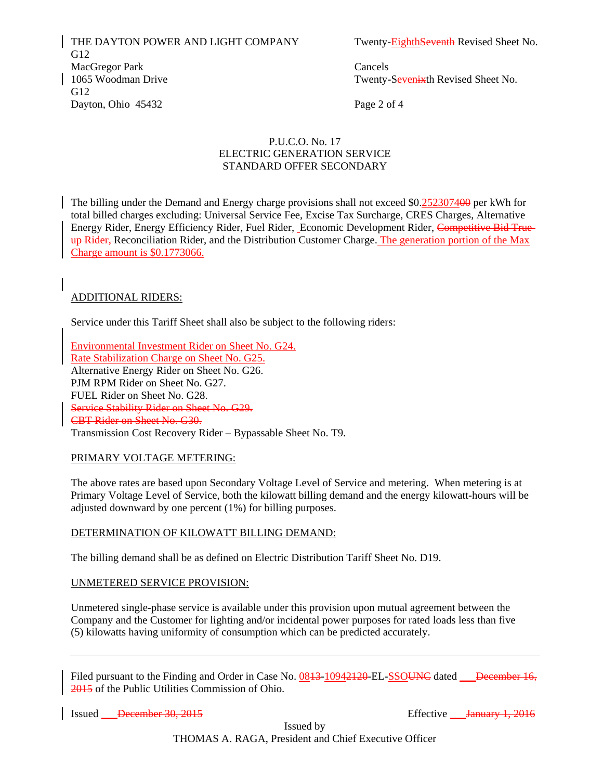THE DAYTON POWER AND LIGHT COMPANY Twenty-EighthSeventh Revised Sheet No. G12 MacGregor Park Cancels 1065 Woodman Drive Twenty-Seven is the Revised Sheet No. G12 Dayton, Ohio 45432 Page 2 of 4

## P.U.C.O. No. 17 ELECTRIC GENERATION SERVICE STANDARD OFFER SECONDARY

The billing under the Demand and Energy charge provisions shall not exceed \$0.252307400 per kWh for total billed charges excluding: Universal Service Fee, Excise Tax Surcharge, CRES Charges, Alternative Energy Rider, Energy Efficiency Rider, Fuel Rider, Economic Development Rider, Competitive Bid Trueup Rider, Reconciliation Rider, and the Distribution Customer Charge. The generation portion of the Max Charge amount is  $$0.1773066$ .

## ADDITIONAL RIDERS:

Service under this Tariff Sheet shall also be subject to the following riders:

Environmental Investment Rider on Sheet No. G24. Rate Stabilization Charge on Sheet No. G25. Alternative Energy Rider on Sheet No. G26. PJM RPM Rider on Sheet No. G27. FUEL Rider on Sheet No. G28. Service Stability Rider on Sheet No. G29. CBT Rider on Sheet No. G30. Transmission Cost Recovery Rider – Bypassable Sheet No. T9.

## PRIMARY VOLTAGE METERING:

The above rates are based upon Secondary Voltage Level of Service and metering. When metering is at Primary Voltage Level of Service, both the kilowatt billing demand and the energy kilowatt-hours will be adjusted downward by one percent (1%) for billing purposes.

#### DETERMINATION OF KILOWATT BILLING DEMAND:

The billing demand shall be as defined on Electric Distribution Tariff Sheet No. D19.

#### <sup>U</sup>UNMETERED SERVICE PROVISION:

Unmetered single-phase service is available under this provision upon mutual agreement between the Company and the Customer for lighting and/or incidental power purposes for rated loads less than five (5) kilowatts having uniformity of consumption which can be predicted accurately.

Filed pursuant to the Finding and Order in Case No. 0843-10942420-EL-SSOUNC dated December 16, 2015 of the Public Utilities Commission of Ohio.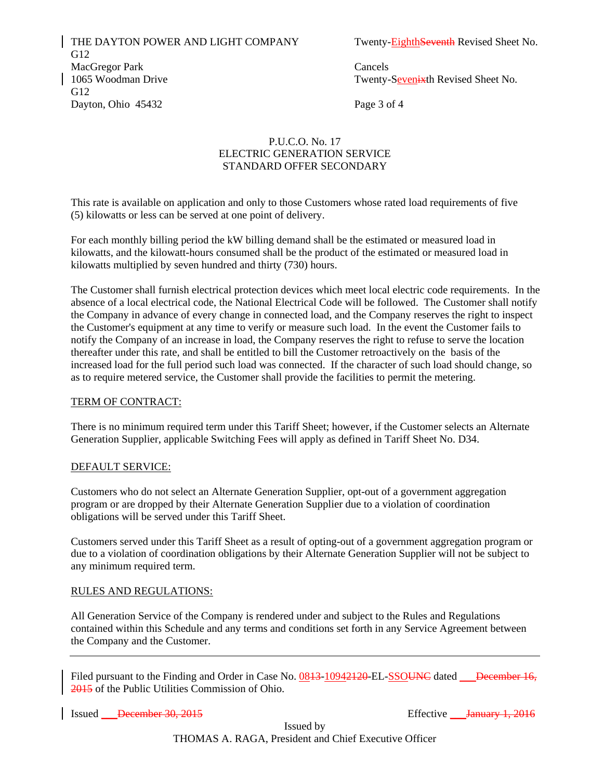THE DAYTON POWER AND LIGHT COMPANY Twenty-**EighthSeventh** Revised Sheet No. G12 MacGregor Park Cancels 1065 Woodman Drive Twenty-Sevenixth Revised Sheet No. G12 Dayton, Ohio  $45432$  Page 3 of 4

## P.U.C.O. No. 17 ELECTRIC GENERATION SERVICE STANDARD OFFER SECONDARY

This rate is available on application and only to those Customers whose rated load requirements of five (5) kilowatts or less can be served at one point of delivery.

For each monthly billing period the kW billing demand shall be the estimated or measured load in kilowatts, and the kilowatt-hours consumed shall be the product of the estimated or measured load in kilowatts multiplied by seven hundred and thirty (730) hours.

The Customer shall furnish electrical protection devices which meet local electric code requirements. In the absence of a local electrical code, the National Electrical Code will be followed. The Customer shall notify the Company in advance of every change in connected load, and the Company reserves the right to inspect the Customer's equipment at any time to verify or measure such load. In the event the Customer fails to notify the Company of an increase in load, the Company reserves the right to refuse to serve the location thereafter under this rate, and shall be entitled to bill the Customer retroactively on the basis of the increased load for the full period such load was connected. If the character of such load should change, so as to require metered service, the Customer shall provide the facilities to permit the metering.

#### TERM OF CONTRACT:

There is no minimum required term under this Tariff Sheet; however, if the Customer selects an Alternate Generation Supplier, applicable Switching Fees will apply as defined in Tariff Sheet No. D34.

#### DEFAULT SERVICE:

Customers who do not select an Alternate Generation Supplier, opt-out of a government aggregation program or are dropped by their Alternate Generation Supplier due to a violation of coordination obligations will be served under this Tariff Sheet.

Customers served under this Tariff Sheet as a result of opting-out of a government aggregation program or due to a violation of coordination obligations by their Alternate Generation Supplier will not be subject to any minimum required term.

## RULES AND REGULATIONS:

All Generation Service of the Company is rendered under and subject to the Rules and Regulations contained within this Schedule and any terms and conditions set forth in any Service Agreement between the Company and the Customer.

Filed pursuant to the Finding and Order in Case No. 0843-10942420-EL-SSOUNC dated December 16, 2015 of the Public Utilities Commission of Ohio.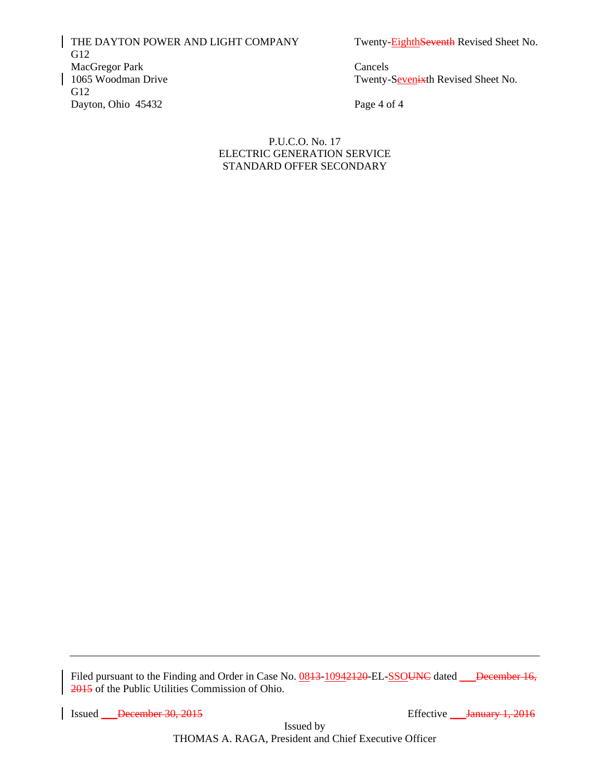THE DAYTON POWER AND LIGHT COMPANY Twenty-Eighth Seventh Revised Sheet No. G12 MacGregor Park Cancels<br>1065 Woodman Drive Twenty-G12 Dayton, Ohio 45432 Page 4 of 4

Twenty-Sevenixth Revised Sheet No.

P.U.C.O. No. 17 ELECTRIC GENERATION SERVICE STANDARD OFFER SECONDARY

Filed pursuant to the Finding and Order in Case No. 0843-10942420-EL-SSOUNC dated December 16, 2015 of the Public Utilities Commission of Ohio.

Issued December 30, 2015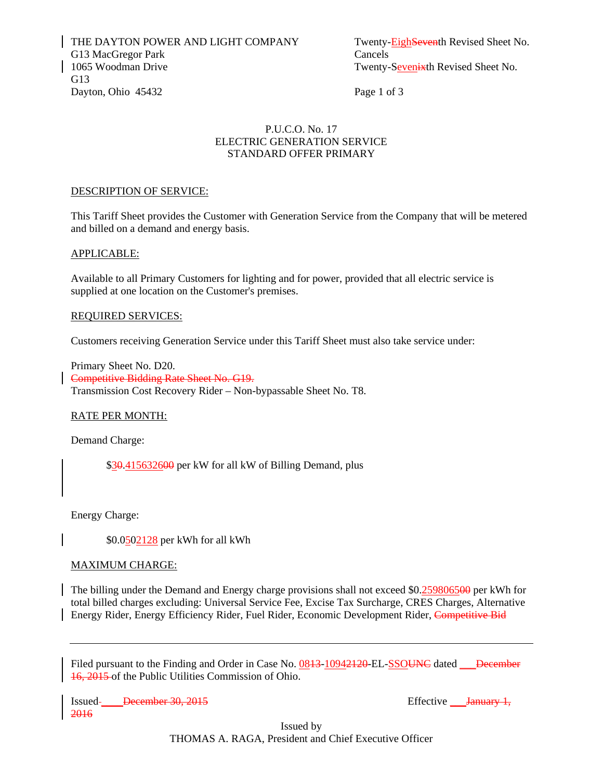## P.U.C.O. No. 17 ELECTRIC GENERATION SERVICE STANDARD OFFER PRIMARY

#### DESCRIPTION OF SERVICE:

This Tariff Sheet provides the Customer with Generation Service from the Company that will be metered and billed on a demand and energy basis.

#### APPLICABLE:

Available to all Primary Customers for lighting and for power, provided that all electric service is supplied at one location on the Customer's premises.

#### REQUIRED SERVICES:

Customers receiving Generation Service under this Tariff Sheet must also take service under:

Primary Sheet No. D20. Competitive Bidding Rate Sheet No. G19. Transmission Cost Recovery Rider – Non-bypassable Sheet No. T8.

## RATE PER MONTH:

Demand Charge:

\$30.415632600 per kW for all kW of Billing Demand, plus

Energy Charge:

\$0.0502128 per kWh for all kWh

## MAXIMUM CHARGE:

The billing under the Demand and Energy charge provisions shall not exceed \$0.259806500 per kWh for total billed charges excluding: Universal Service Fee, Excise Tax Surcharge, CRES Charges, Alternative Energy Rider, Energy Efficiency Rider, Fuel Rider, Economic Development Rider, Competitive Bid

Filed pursuant to the Finding and Order in Case No. 0843-10942420-EL-SSOUNC dated December 16, 2015 of the Public Utilities Commission of Ohio.

Issued \_\_\_\_December 30, 2015 Effective \_\_\_January 1, 2016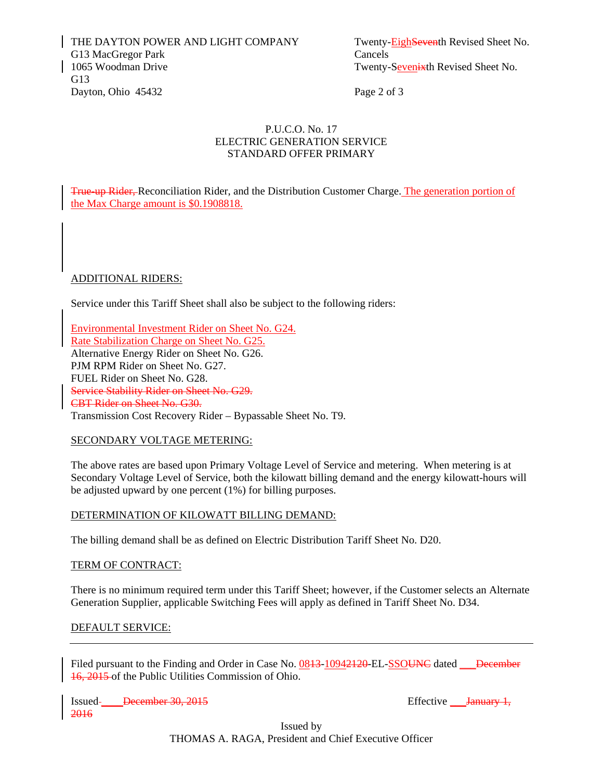## P.U.C.O. No. 17 ELECTRIC GENERATION SERVICE STANDARD OFFER PRIMARY

True-up Rider, Reconciliation Rider, and the Distribution Customer Charge. The generation portion of the Max Charge amount is \$0.1908818.

## ADDITIONAL RIDERS:

Service under this Tariff Sheet shall also be subject to the following riders:

Environmental Investment Rider on Sheet No. G24. Rate Stabilization Charge on Sheet No. G25. Alternative Energy Rider on Sheet No. G26. PJM RPM Rider on Sheet No. G27. FUEL Rider on Sheet No. G28. Service Stability Rider on Sheet No. G29. CBT Rider on Sheet No. G30. Transmission Cost Recovery Rider – Bypassable Sheet No. T9.

## SECONDARY VOLTAGE METERING:

The above rates are based upon Primary Voltage Level of Service and metering. When metering is at Secondary Voltage Level of Service, both the kilowatt billing demand and the energy kilowatt-hours will be adjusted upward by one percent (1%) for billing purposes.

## DETERMINATION OF KILOWATT BILLING DEMAND:

The billing demand shall be as defined on Electric Distribution Tariff Sheet No. D20.

#### TERM OF CONTRACT:

There is no minimum required term under this Tariff Sheet; however, if the Customer selects an Alternate Generation Supplier, applicable Switching Fees will apply as defined in Tariff Sheet No. D34.

#### DEFAULT SERVICE:

Filed pursuant to the Finding and Order in Case No. 0843-10942420-EL-SSOUNC dated December 16, 2015 of the Public Utilities Commission of Ohio.

Issued- <del>December 30, 2015</del> Effective Land Effective Land Because 2015 2016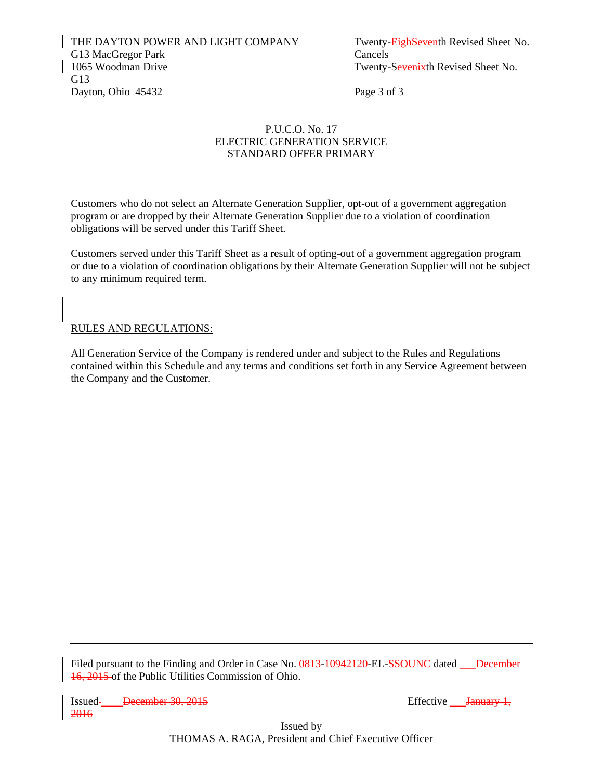THE DAYTON POWER AND LIGHT COMPANY Twenty-EighSeventh Revised Sheet No. G13 MacGregor Park Cancels 1065 Woodman Drive Twenty-Sevenixth Revised Sheet No. G13 Dayton, Ohio 45432 Page 3 of 3

## P.U.C.O. No. 17 ELECTRIC GENERATION SERVICE STANDARD OFFER PRIMARY

Customers who do not select an Alternate Generation Supplier, opt-out of a government aggregation program or are dropped by their Alternate Generation Supplier due to a violation of coordination obligations will be served under this Tariff Sheet.

Customers served under this Tariff Sheet as a result of opting-out of a government aggregation program or due to a violation of coordination obligations by their Alternate Generation Supplier will not be subject to any minimum required term.

## RULES AND REGULATIONS:

All Generation Service of the Company is rendered under and subject to the Rules and Regulations contained within this Schedule and any terms and conditions set forth in any Service Agreement between the Company and the Customer.

Filed pursuant to the Finding and Order in Case No. 0843-10942420-EL-SSOUNC dated December 16, 2015 of the Public Utilities Commission of Ohio.

Issued \_\_\_\_December 30, 2015 Effective \_\_\_January 1, 2016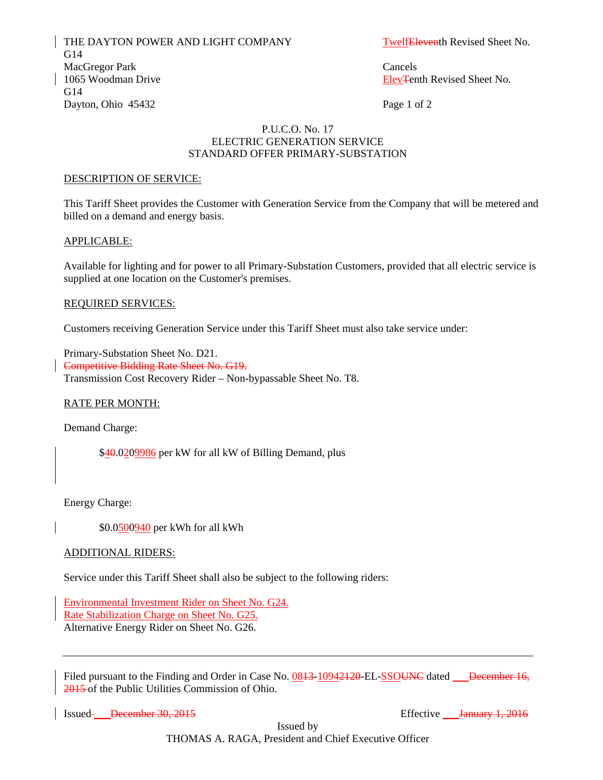THE DAYTON POWER AND LIGHT COMPANY TwelfEleventh Revised Sheet No. G14 MacGregor Park Cancels 1065 Woodman Drive **Elev**Tenth Revised Sheet No. G14 Dayton, Ohio 45432 Page 1 of 2

## P.U.C.O. No. 17 ELECTRIC GENERATION SERVICE STANDARD OFFER PRIMARY-SUBSTATION

#### DESCRIPTION OF SERVICE:

This Tariff Sheet provides the Customer with Generation Service from the Company that will be metered and billed on a demand and energy basis.

#### APPLICABLE:

Available for lighting and for power to all Primary-Substation Customers, provided that all electric service is supplied at one location on the Customer's premises.

#### REQUIRED SERVICES:

Customers receiving Generation Service under this Tariff Sheet must also take service under:

Primary-Substation Sheet No. D21. Competitive Bidding Rate Sheet No. G19. Transmission Cost Recovery Rider – Non-bypassable Sheet No. T8.

## RATE PER MONTH:

Demand Charge:

\$40.0209986 per kW for all kW of Billing Demand, plus

Energy Charge:

\$0.0500940 per kWh for all kWh

#### ADDITIONAL RIDERS:

Service under this Tariff Sheet shall also be subject to the following riders:

Environmental Investment Rider on Sheet No. G24. Rate Stabilization Charge on Sheet No. G25. Alternative Energy Rider on Sheet No. G26.

Filed pursuant to the Finding and Order in Case No. 0843-10942420-EL-SSOUNC dated December 16, 2015 of the Public Utilities Commission of Ohio.

Issued <del>December 30, 2015</del> Effective <del>January 1, 2016</del>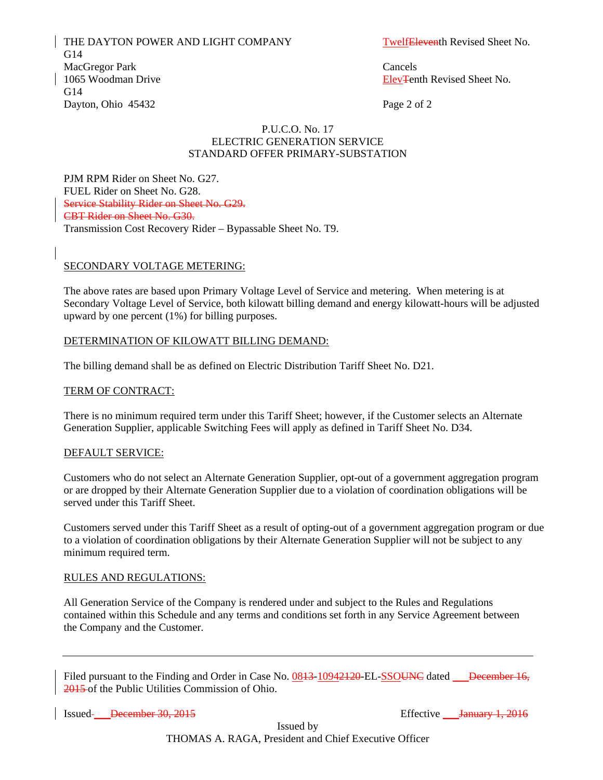THE DAYTON POWER AND LIGHT COMPANY TwelfEleventh Revised Sheet No. G14 MacGregor Park Cancels 1065 Woodman Drive ElevTenth Revised Sheet No. G14 Dayton, Ohio 45432 Page 2 of 2

## P.U.C.O. No. 17 ELECTRIC GENERATION SERVICE STANDARD OFFER PRIMARY-SUBSTATION

PJM RPM Rider on Sheet No. G27. FUEL Rider on Sheet No. G28. Service Stability Rider on Sheet No. G29. CBT Rider on Sheet No. G30. Transmission Cost Recovery Rider – Bypassable Sheet No. T9.

## SECONDARY VOLTAGE METERING:

The above rates are based upon Primary Voltage Level of Service and metering. When metering is at Secondary Voltage Level of Service, both kilowatt billing demand and energy kilowatt-hours will be adjusted upward by one percent (1%) for billing purposes.

## DETERMINATION OF KILOWATT BILLING DEMAND:

The billing demand shall be as defined on Electric Distribution Tariff Sheet No. D21.

## TERM OF CONTRACT:

There is no minimum required term under this Tariff Sheet; however, if the Customer selects an Alternate Generation Supplier, applicable Switching Fees will apply as defined in Tariff Sheet No. D34.

#### DEFAULT SERVICE:

Customers who do not select an Alternate Generation Supplier, opt-out of a government aggregation program or are dropped by their Alternate Generation Supplier due to a violation of coordination obligations will be served under this Tariff Sheet.

Customers served under this Tariff Sheet as a result of opting-out of a government aggregation program or due to a violation of coordination obligations by their Alternate Generation Supplier will not be subject to any minimum required term.

#### RULES AND REGULATIONS:

All Generation Service of the Company is rendered under and subject to the Rules and Regulations contained within this Schedule and any terms and conditions set forth in any Service Agreement between the Company and the Customer.

Filed pursuant to the Finding and Order in Case No. 0843-10942420-EL-SSOUNC dated December 16, 2015 of the Public Utilities Commission of Ohio.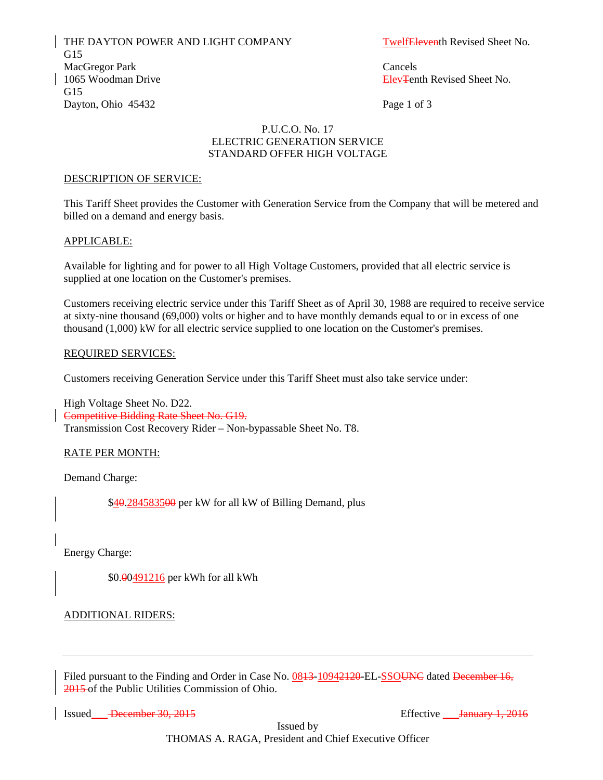THE DAYTON POWER AND LIGHT COMPANY TwelfEleventh Revised Sheet No. G15 MacGregor Park Cancels 1065 Woodman Drive **Elev**Tenth Revised Sheet No. G15 Dayton, Ohio 45432 Page 1 of 3

## P.U.C.O. No. 17 ELECTRIC GENERATION SERVICE STANDARD OFFER HIGH VOLTAGE

#### DESCRIPTION OF SERVICE:

This Tariff Sheet provides the Customer with Generation Service from the Company that will be metered and billed on a demand and energy basis.

#### APPLICABLE:

Available for lighting and for power to all High Voltage Customers, provided that all electric service is supplied at one location on the Customer's premises.

Customers receiving electric service under this Tariff Sheet as of April 30, 1988 are required to receive service at sixty-nine thousand (69,000) volts or higher and to have monthly demands equal to or in excess of one thousand (1,000) kW for all electric service supplied to one location on the Customer's premises.

#### REQUIRED SERVICES:

Customers receiving Generation Service under this Tariff Sheet must also take service under:

High Voltage Sheet No. D22. Competitive Bidding Rate Sheet No. G19. Transmission Cost Recovery Rider – Non-bypassable Sheet No. T8.

## RATE PER MONTH:

Demand Charge:

\$40.284583500 per kW for all kW of Billing Demand, plus

Energy Charge:

\$0.00491216 per kWh for all kWh

## ADDITIONAL RIDERS:

Filed pursuant to the Finding and Order in Case No. 0843-10942420-EL-SSOUNC dated December 16, 2015 of the Public Utilities Commission of Ohio.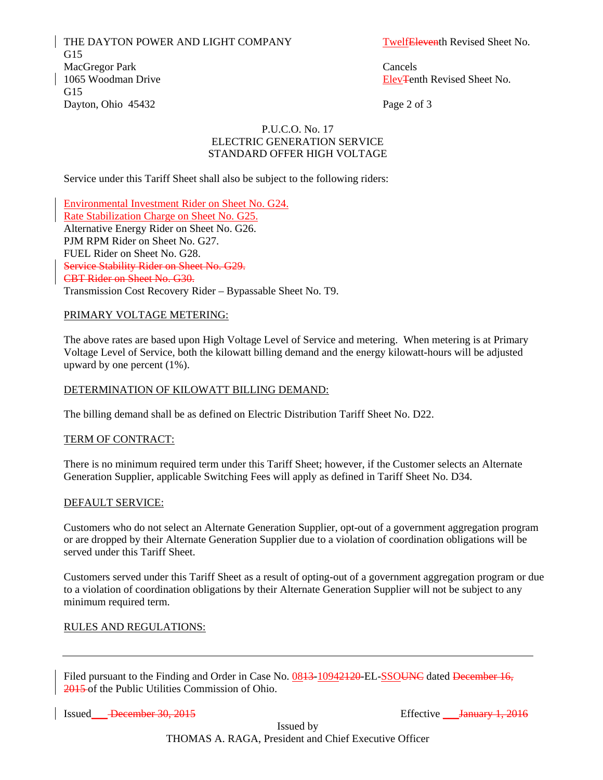THE DAYTON POWER AND LIGHT COMPANY TwelfEleventh Revised Sheet No. G15 MacGregor Park Cancels 1065 Woodman Drive **Elev**Tenth Revised Sheet No. G15 Dayton, Ohio 45432 Page 2 of 3

### P.U.C.O. No. 17 ELECTRIC GENERATION SERVICE STANDARD OFFER HIGH VOLTAGE

Service under this Tariff Sheet shall also be subject to the following riders:

Environmental Investment Rider on Sheet No. G24. Rate Stabilization Charge on Sheet No. G25. Alternative Energy Rider on Sheet No. G26. PJM RPM Rider on Sheet No. G27. FUEL Rider on Sheet No. G28. Service Stability Rider on Sheet No. G29. CBT Rider on Sheet No. G30. Transmission Cost Recovery Rider – Bypassable Sheet No. T9.

#### PRIMARY VOLTAGE METERING:

The above rates are based upon High Voltage Level of Service and metering. When metering is at Primary Voltage Level of Service, both the kilowatt billing demand and the energy kilowatt-hours will be adjusted upward by one percent (1%).

## DETERMINATION OF KILOWATT BILLING DEMAND:

The billing demand shall be as defined on Electric Distribution Tariff Sheet No. D22.

#### TERM OF CONTRACT:

There is no minimum required term under this Tariff Sheet; however, if the Customer selects an Alternate Generation Supplier, applicable Switching Fees will apply as defined in Tariff Sheet No. D34. <sup>U</sup>

#### DEFAULT SERVICE:

Customers who do not select an Alternate Generation Supplier, opt-out of a government aggregation program or are dropped by their Alternate Generation Supplier due to a violation of coordination obligations will be served under this Tariff Sheet.

Customers served under this Tariff Sheet as a result of opting-out of a government aggregation program or due to a violation of coordination obligations by their Alternate Generation Supplier will not be subject to any minimum required term.

#### RULES AND REGULATIONS:

Filed pursuant to the Finding and Order in Case No. 0843-10942120-EL-SSOUNC dated December 16, 2015 of the Public Utilities Commission of Ohio.

Issued <del>December 30, 2015</del> Effective <del>January 1, 2016</del>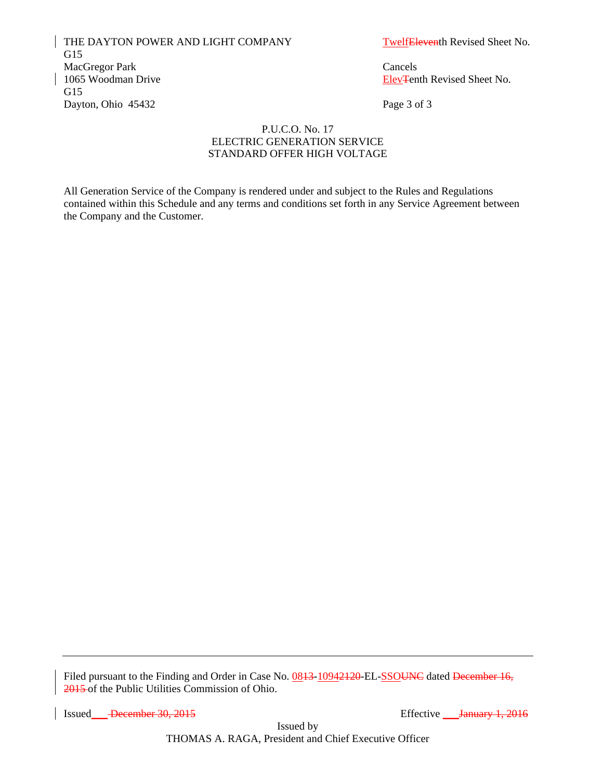THE DAYTON POWER AND LIGHT COMPANY TwelfEleventh Revised Sheet No. G15 MacGregor Park Cancels 1065 Woodman Drive **Elev**Tenth Revised Sheet No. G15 Dayton, Ohio 45432 Page 3 of 3

## P.U.C.O. No. 17 ELECTRIC GENERATION SERVICE STANDARD OFFER HIGH VOLTAGE

All Generation Service of the Company is rendered under and subject to the Rules and Regulations contained within this Schedule and any terms and conditions set forth in any Service Agreement between the Company and the Customer.

Filed pursuant to the Finding and Order in Case No. 0843-10942120-EL-SSOUNC dated December 16, 2015 of the Public Utilities Commission of Ohio.

Issued <del>December 30, 2015</del> Effective *January 1, 2016*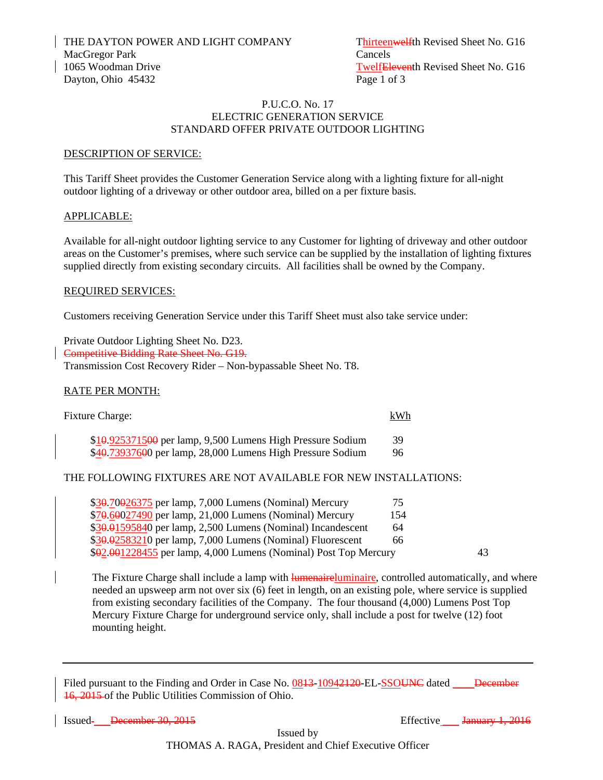## P.U.C.O. No. 17 ELECTRIC GENERATION SERVICE STANDARD OFFER PRIVATE OUTDOOR LIGHTING

## DESCRIPTION OF SERVICE:

This Tariff Sheet provides the Customer Generation Service along with a lighting fixture for all-night outdoor lighting of a driveway or other outdoor area, billed on a per fixture basis.

## APPLICABLE:

Available for all-night outdoor lighting service to any Customer for lighting of driveway and other outdoor areas on the Customer's premises, where such service can be supplied by the installation of lighting fixtures supplied directly from existing secondary circuits. All facilities shall be owned by the Company.

#### REQUIRED SERVICES:

Customers receiving Generation Service under this Tariff Sheet must also take service under:

Private Outdoor Lighting Sheet No. D23. Competitive Bidding Rate Sheet No. G19. Transmission Cost Recovery Rider – Non-bypassable Sheet No. T8.

## RATE PER MONTH:

| <b>Fixture Charge:</b>                                     | kWh |
|------------------------------------------------------------|-----|
| \$10.925371500 per lamp, 9,500 Lumens High Pressure Sodium | 39  |
| \$40.73937600 per lamp, 28,000 Lumens High Pressure Sodium | 96  |

## THE FOLLOWING FIXTURES ARE NOT AVAILABLE FOR NEW INSTALLATIONS:

| $$30.70026375$ per lamp, 7,000 Lumens (Nominal) Mercury           | 75  |  |
|-------------------------------------------------------------------|-----|--|
| \$70.60027490 per lamp, 21,000 Lumens (Nominal) Mercury           | 154 |  |
| $$30.01595840$ per lamp, 2,500 Lumens (Nominal) Incandescent      | 64  |  |
| \$30.02583210 per lamp, 7,000 Lumens (Nominal) Fluorescent        | 66  |  |
| $$92.001228455$ per lamp, 4,000 Lumens (Nominal) Post Top Mercury |     |  |

The Fixture Charge shall include a lamp with **lumenaire**luminaire, controlled automatically, and where needed an upsweep arm not over six (6) feet in length, on an existing pole, where service is supplied from existing secondary facilities of the Company. The four thousand (4,000) Lumens Post Top Mercury Fixture Charge for underground service only, shall include a post for twelve (12) foot mounting height.

Filed pursuant to the Finding and Order in Case No. 0843-10942420-EL-SSOUNC dated December 16, 2015 of the Public Utilities Commission of Ohio.

Issued <del>December 30, 2015</del> Effective **January 1, 2016**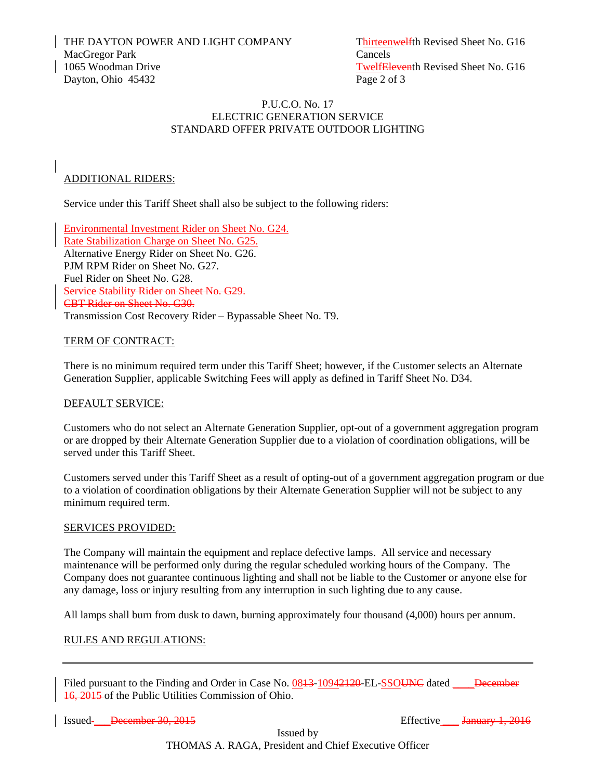THE DAYTON POWER AND LIGHT COMPANY Thirteenwelfth Revised Sheet No. G16 MacGregor Park Cancels 1065 Woodman Drive TwelfEleventh Revised Sheet No. G16 Dayton, Ohio 45432 Page 2 of 3

## P.U.C.O. No. 17 ELECTRIC GENERATION SERVICE STANDARD OFFER PRIVATE OUTDOOR LIGHTING

## ADDITIONAL RIDERS:

Service under this Tariff Sheet shall also be subject to the following riders:

Environmental Investment Rider on Sheet No. G24. Rate Stabilization Charge on Sheet No. G25. Alternative Energy Rider on Sheet No. G26. PJM RPM Rider on Sheet No. G27. Fuel Rider on Sheet No. G28. Service Stability Rider on Sheet No. G29. CBT Rider on Sheet No. G30. Transmission Cost Recovery Rider – Bypassable Sheet No. T9.

## TERM OF CONTRACT:

There is no minimum required term under this Tariff Sheet; however, if the Customer selects an Alternate Generation Supplier, applicable Switching Fees will apply as defined in Tariff Sheet No. D34.

## DEFAULT SERVICE:

Customers who do not select an Alternate Generation Supplier, opt-out of a government aggregation program or are dropped by their Alternate Generation Supplier due to a violation of coordination obligations, will be served under this Tariff Sheet.

Customers served under this Tariff Sheet as a result of opting-out of a government aggregation program or due to a violation of coordination obligations by their Alternate Generation Supplier will not be subject to any minimum required term.

## SERVICES PROVIDED:

The Company will maintain the equipment and replace defective lamps. All service and necessary maintenance will be performed only during the regular scheduled working hours of the Company. The Company does not guarantee continuous lighting and shall not be liable to the Customer or anyone else for any damage, loss or injury resulting from any interruption in such lighting due to any cause.

All lamps shall burn from dusk to dawn, burning approximately four thousand (4,000) hours per annum.

## RULES AND REGULATIONS:

Filed pursuant to the Finding and Order in Case No. 0843-10942420-EL-SSOUNC dated December 16, 2015 of the Public Utilities Commission of Ohio.

Issued <del>December 30, 2015</del> Effective **January 1, 2016**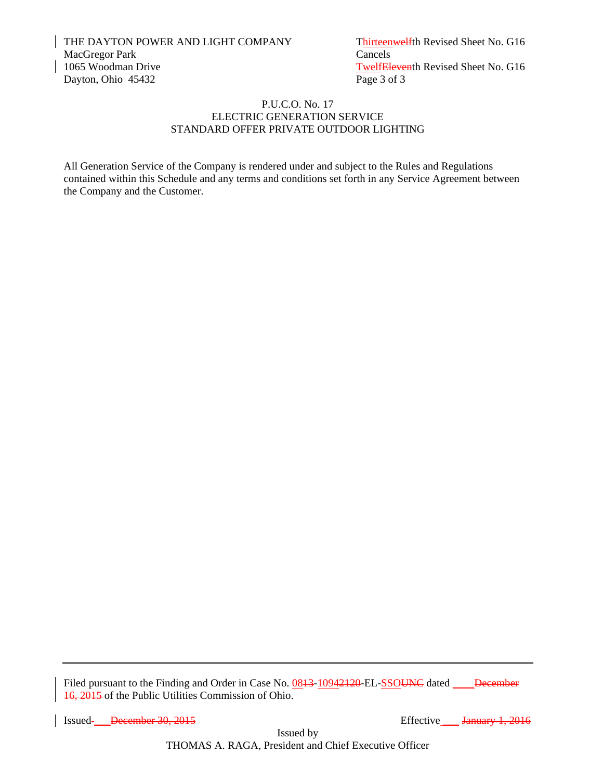## P.U.C.O. No. 17 ELECTRIC GENERATION SERVICE STANDARD OFFER PRIVATE OUTDOOR LIGHTING

All Generation Service of the Company is rendered under and subject to the Rules and Regulations contained within this Schedule and any terms and conditions set forth in any Service Agreement between the Company and the Customer.

Filed pursuant to the Finding and Order in Case No. 0843-10942120-EL-SSOUNC dated \_\_\_\_December 16, 2015 of the Public Utilities Commission of Ohio.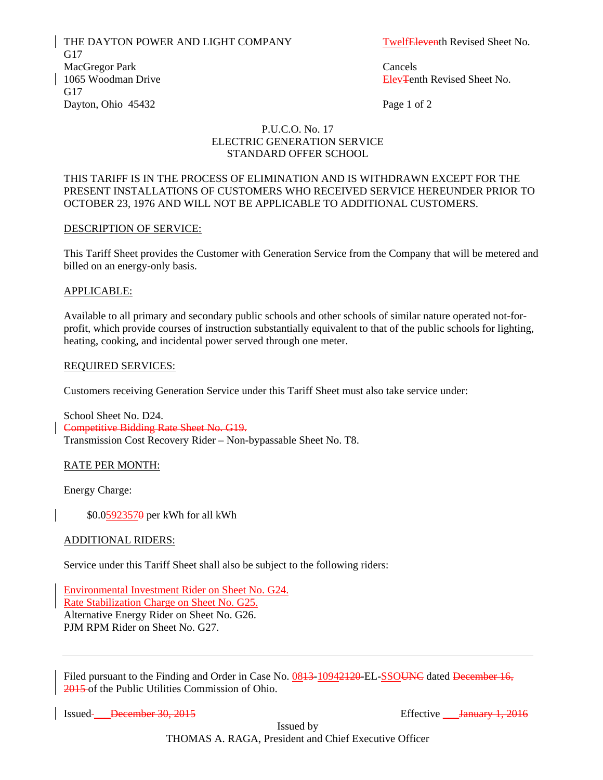THE DAYTON POWER AND LIGHT COMPANY TwelfEleventh Revised Sheet No. G17 MacGregor Park Cancels 1065 Woodman Drive **Elev**Tenth Revised Sheet No. G17 Dayton, Ohio 45432 Page 1 of 2

## P.U.C.O. No. 17 ELECTRIC GENERATION SERVICE STANDARD OFFER SCHOOL

## THIS TARIFF IS IN THE PROCESS OF ELIMINATION AND IS WITHDRAWN EXCEPT FOR THE PRESENT INSTALLATIONS OF CUSTOMERS WHO RECEIVED SERVICE HEREUNDER PRIOR TO OCTOBER 23, 1976 AND WILL NOT BE APPLICABLE TO ADDITIONAL CUSTOMERS.

## DESCRIPTION OF SERVICE:

This Tariff Sheet provides the Customer with Generation Service from the Company that will be metered and billed on an energy-only basis.

#### APPLICABLE:

Available to all primary and secondary public schools and other schools of similar nature operated not-forprofit, which provide courses of instruction substantially equivalent to that of the public schools for lighting, heating, cooking, and incidental power served through one meter.

#### REQUIRED SERVICES:

Customers receiving Generation Service under this Tariff Sheet must also take service under:

School Sheet No. D24. Competitive Bidding Rate Sheet No. G19. Transmission Cost Recovery Rider – Non-bypassable Sheet No. T8.

## RATE PER MONTH:

Energy Charge:

\$0.05923570 per kWh for all kWh

#### ADDITIONAL RIDERS:

Service under this Tariff Sheet shall also be subject to the following riders:

Environmental Investment Rider on Sheet No. G24. Rate Stabilization Charge on Sheet No. G25. Alternative Energy Rider on Sheet No. G26. PJM RPM Rider on Sheet No. G27.

Filed pursuant to the Finding and Order in Case No. 0843-10942420-EL-SSOUNC dated December 16, 2015 of the Public Utilities Commission of Ohio.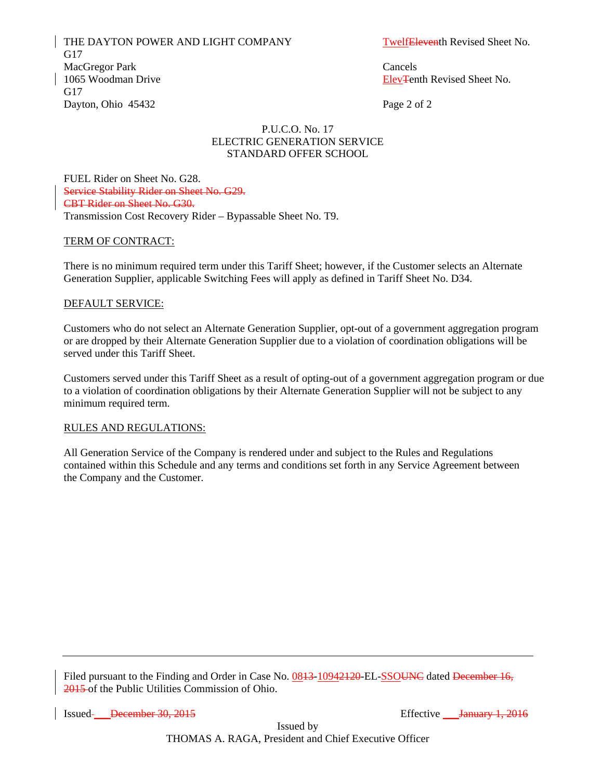THE DAYTON POWER AND LIGHT COMPANY TwelfEleventh Revised Sheet No. G17 MacGregor Park Cancels 1065 Woodman Drive **Elev**Tenth Revised Sheet No. G17 Dayton, Ohio 45432 Page 2 of 2

## P.U.C.O. No. 17 ELECTRIC GENERATION SERVICE STANDARD OFFER SCHOOL

FUEL Rider on Sheet No. G28. Service Stability Rider on Sheet No. G29. CBT Rider on Sheet No. G30. Transmission Cost Recovery Rider – Bypassable Sheet No. T9.

## TERM OF CONTRACT:

There is no minimum required term under this Tariff Sheet; however, if the Customer selects an Alternate Generation Supplier, applicable Switching Fees will apply as defined in Tariff Sheet No. D34.

#### DEFAULT SERVICE:

Customers who do not select an Alternate Generation Supplier, opt-out of a government aggregation program or are dropped by their Alternate Generation Supplier due to a violation of coordination obligations will be served under this Tariff Sheet.

Customers served under this Tariff Sheet as a result of opting-out of a government aggregation program or due to a violation of coordination obligations by their Alternate Generation Supplier will not be subject to any minimum required term.

#### RULES AND REGULATIONS:

All Generation Service of the Company is rendered under and subject to the Rules and Regulations contained within this Schedule and any terms and conditions set forth in any Service Agreement between the Company and the Customer.

Filed pursuant to the Finding and Order in Case No. 0843-10942120-EL-SSOUNC dated December 16, 2015 of the Public Utilities Commission of Ohio.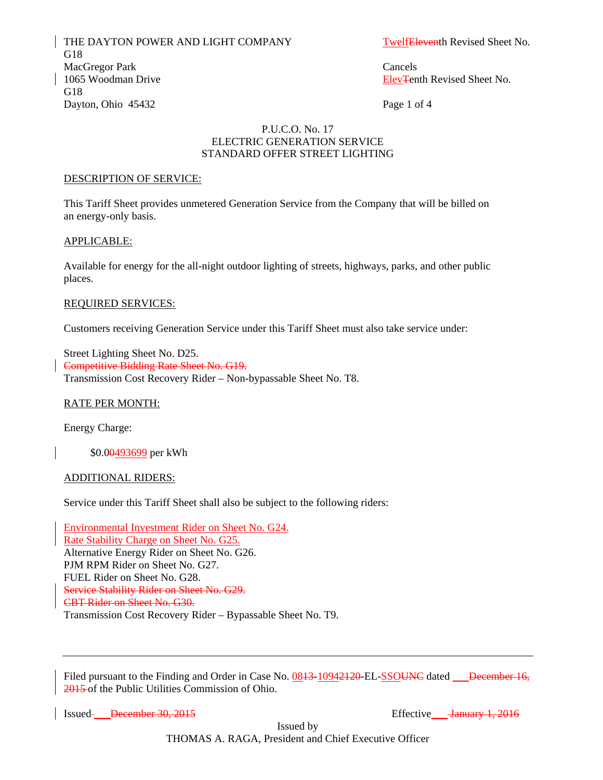THE DAYTON POWER AND LIGHT COMPANY TwelfEleventh Revised Sheet No. G18 MacGregor Park Cancels 1065 Woodman Drive **Elev**Tenth Revised Sheet No. G18 Dayton, Ohio 45432 Page 1 of 4

#### P.U.C.O. No. 17 ELECTRIC GENERATION SERVICE STANDARD OFFER STREET LIGHTING

#### DESCRIPTION OF SERVICE:

This Tariff Sheet provides unmetered Generation Service from the Company that will be billed on an energy-only basis.

#### APPLICABLE:

Available for energy for the all-night outdoor lighting of streets, highways, parks, and other public places.

#### REQUIRED SERVICES:

Customers receiving Generation Service under this Tariff Sheet must also take service under:

Street Lighting Sheet No. D25. Competitive Bidding Rate Sheet No. G19. Transmission Cost Recovery Rider – Non-bypassable Sheet No. T8.

## RATE PER MONTH:

Energy Charge:

\$0.0<del>0493699</del> per kWh

## ADDITIONAL RIDERS:

Service under this Tariff Sheet shall also be subject to the following riders:

Environmental Investment Rider on Sheet No. G24. Rate Stability Charge on Sheet No. G25. Alternative Energy Rider on Sheet No. G26. PJM RPM Rider on Sheet No. G27. FUEL Rider on Sheet No. G28. Service Stability Rider on Sheet No. G29. CBT Rider on Sheet No. G30. Transmission Cost Recovery Rider – Bypassable Sheet No. T9.

Filed pursuant to the Finding and Order in Case No. 0843-10942120-EL-SSOUNC dated December 16, 2015 of the Public Utilities Commission of Ohio.

Issued <del>December 30, 2015</del> Superior Contract Effective <del>January 1, 2016</del>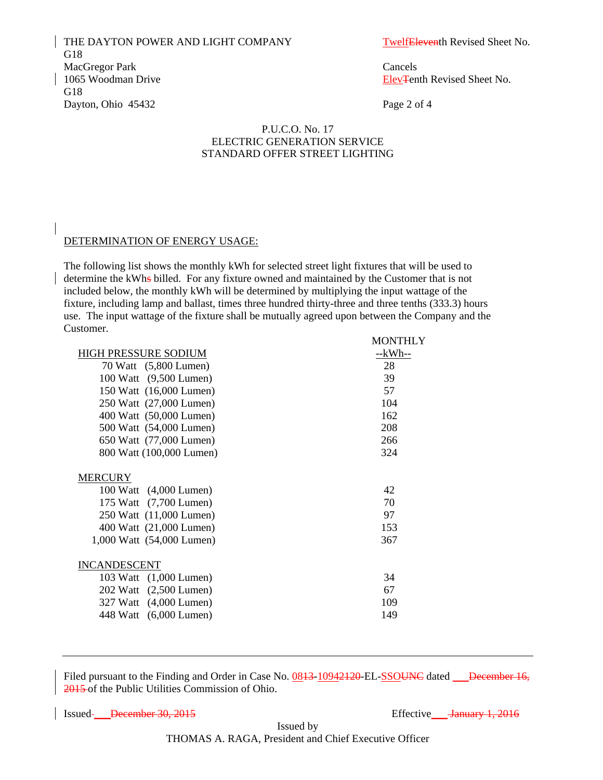THE DAYTON POWER AND LIGHT COMPANY TwelfEleventh Revised Sheet No. G18 MacGregor Park Cancels 1065 Woodman Drive **Elev**Tenth Revised Sheet No. G18 Dayton, Ohio 45432 Page 2 of 4

MONTHLY

## P.U.C.O. No. 17 ELECTRIC GENERATION SERVICE STANDARD OFFER STREET LIGHTING

## DETERMINATION OF ENERGY USAGE:

 The following list shows the monthly kWh for selected street light fixtures that will be used to determine the kWhs billed. For any fixture owned and maintained by the Customer that is not included below, the monthly kWh will be determined by multiplying the input wattage of the fixture, including lamp and ballast, times three hundred thirty-three and three tenths (333.3) hours use. The input wattage of the fixture shall be mutually agreed upon between the Company and the Customer.

|                             | <b>IVIOIVIIILI</b> |
|-----------------------------|--------------------|
| <b>HIGH PRESSURE SODIUM</b> | $-kWh-$            |
| 70 Watt (5,800 Lumen)       | 28                 |
| 100 Watt (9,500 Lumen)      | 39                 |
| 150 Watt (16,000 Lumen)     | 57                 |
| 250 Watt (27,000 Lumen)     | 104                |
| 400 Watt (50,000 Lumen)     | 162                |
| 500 Watt (54,000 Lumen)     | 208                |
| 650 Watt (77,000 Lumen)     | 266                |
| 800 Watt (100,000 Lumen)    | 324                |
|                             |                    |
| <b>MERCURY</b>              |                    |
| 100 Watt (4,000 Lumen)      | 42                 |
| 175 Watt (7,700 Lumen)      | 70                 |
| 250 Watt (11,000 Lumen)     | 97                 |
| 400 Watt (21,000 Lumen)     | 153                |
| 1,000 Watt (54,000 Lumen)   | 367                |
|                             |                    |
| <b>INCANDESCENT</b>         |                    |
| 103 Watt (1,000 Lumen)      | 34                 |
| 202 Watt (2,500 Lumen)      | 67                 |
| 327 Watt (4,000 Lumen)      | 109                |
| 448 Watt (6,000 Lumen)      | 149                |
|                             |                    |

Filed pursuant to the Finding and Order in Case No. 0843-10942120-EL-SSOUNC dated December 16, 2015 of the Public Utilities Commission of Ohio.

Issued<del>December 30, 2015</del>
Effective
<u>Sanuary 1, 2016</u>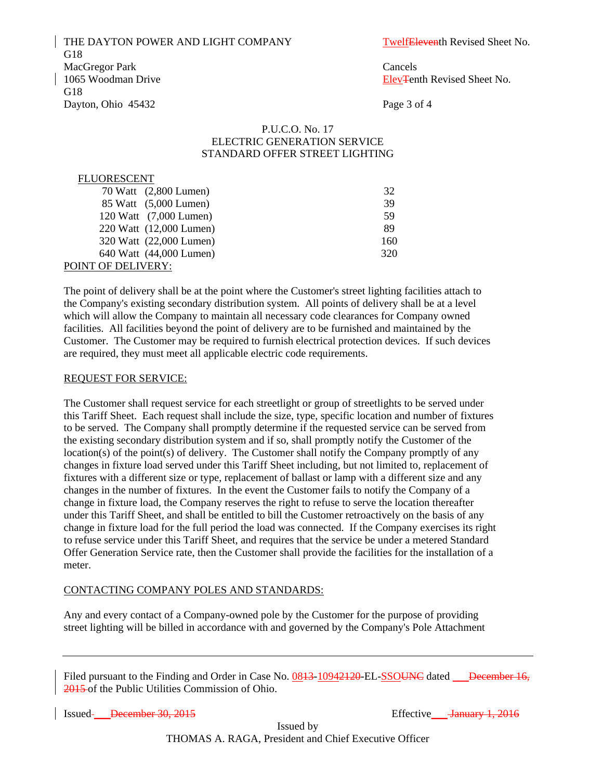THE DAYTON POWER AND LIGHT COMPANY TwelfEleventh Revised Sheet No. G18 MacGregor Park Cancels 1065 Woodman Drive **Elev**Tenth Revised Sheet No. G18 Dayton, Ohio 45432 Page 3 of 4

## P.U.C.O. No. 17 ELECTRIC GENERATION SERVICE STANDARD OFFER STREET LIGHTING

#### FLUORESCENT

| 70 Watt (2,800 Lumen)   | 32  |
|-------------------------|-----|
| 85 Watt (5,000 Lumen)   | 39  |
| 120 Watt (7,000 Lumen)  | 59  |
| 220 Watt (12,000 Lumen) | 89  |
| 320 Watt (22,000 Lumen) | 160 |
| 640 Watt (44,000 Lumen) | 320 |
| POINT OF DELIVERY:      |     |

The point of delivery shall be at the point where the Customer's street lighting facilities attach to the Company's existing secondary distribution system. All points of delivery shall be at a level which will allow the Company to maintain all necessary code clearances for Company owned facilities. All facilities beyond the point of delivery are to be furnished and maintained by the Customer. The Customer may be required to furnish electrical protection devices. If such devices are required, they must meet all applicable electric code requirements.

#### REQUEST FOR SERVICE:

The Customer shall request service for each streetlight or group of streetlights to be served under this Tariff Sheet. Each request shall include the size, type, specific location and number of fixtures to be served. The Company shall promptly determine if the requested service can be served from the existing secondary distribution system and if so, shall promptly notify the Customer of the location(s) of the point(s) of delivery. The Customer shall notify the Company promptly of any changes in fixture load served under this Tariff Sheet including, but not limited to, replacement of fixtures with a different size or type, replacement of ballast or lamp with a different size and any changes in the number of fixtures. In the event the Customer fails to notify the Company of a change in fixture load, the Company reserves the right to refuse to serve the location thereafter under this Tariff Sheet, and shall be entitled to bill the Customer retroactively on the basis of any change in fixture load for the full period the load was connected. If the Company exercises its right to refuse service under this Tariff Sheet, and requires that the service be under a metered Standard Offer Generation Service rate, then the Customer shall provide the facilities for the installation of a meter.

#### CONTACTING COMPANY POLES AND STANDARDS:

Any and every contact of a Company-owned pole by the Customer for the purpose of providing street lighting will be billed in accordance with and governed by the Company's Pole Attachment

Filed pursuant to the Finding and Order in Case No. 0843-10942420-EL-SSOUNC dated December 16, 2015 of the Public Utilities Commission of Ohio.

Issued <del>December 30, 2015</del> Superior Contract Effective <del>January 1, 2016</del>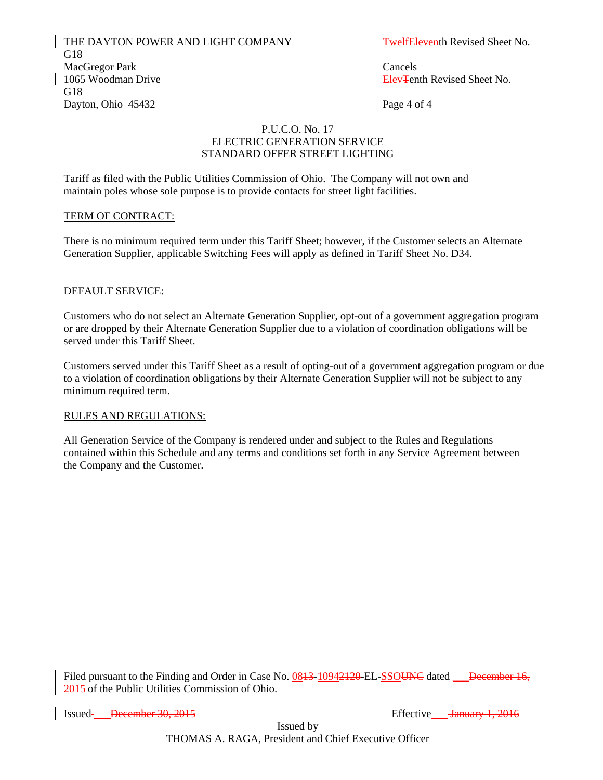THE DAYTON POWER AND LIGHT COMPANY TwelfEleventh Revised Sheet No. G18 MacGregor Park Cancels 1065 Woodman Drive **Elev**Tenth Revised Sheet No. G18 Dayton, Ohio 45432 Page 4 of 4

## P.U.C.O. No. 17 ELECTRIC GENERATION SERVICE STANDARD OFFER STREET LIGHTING

Tariff as filed with the Public Utilities Commission of Ohio. The Company will not own and maintain poles whose sole purpose is to provide contacts for street light facilities.

## TERM OF CONTRACT:

There is no minimum required term under this Tariff Sheet; however, if the Customer selects an Alternate Generation Supplier, applicable Switching Fees will apply as defined in Tariff Sheet No. D34.

#### DEFAULT SERVICE:

Customers who do not select an Alternate Generation Supplier, opt-out of a government aggregation program or are dropped by their Alternate Generation Supplier due to a violation of coordination obligations will be served under this Tariff Sheet.

Customers served under this Tariff Sheet as a result of opting-out of a government aggregation program or due to a violation of coordination obligations by their Alternate Generation Supplier will not be subject to any minimum required term.

#### RULES AND REGULATIONS:

All Generation Service of the Company is rendered under and subject to the Rules and Regulations contained within this Schedule and any terms and conditions set forth in any Service Agreement between the Company and the Customer.

Filed pursuant to the Finding and Order in Case No. 0843-10942120-EL-SSOUNC dated December 16, 2015 of the Public Utilities Commission of Ohio.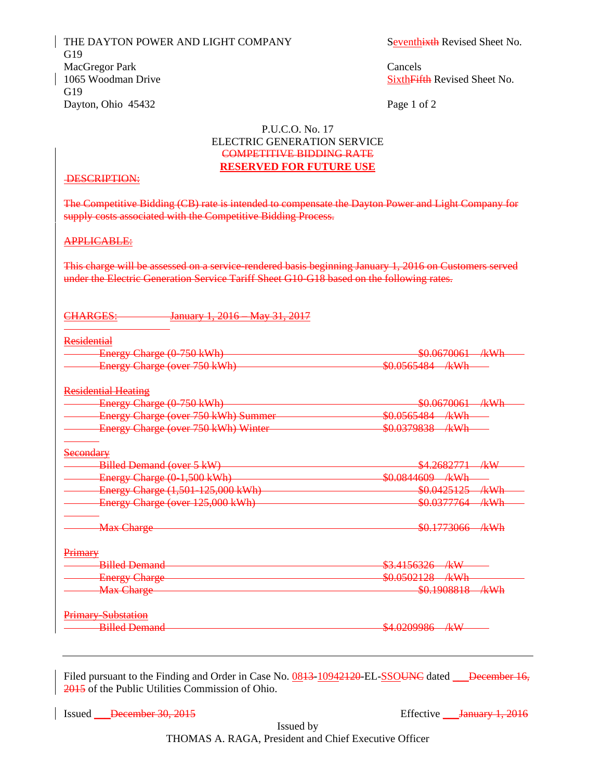THE DAYTON POWER AND LIGHT COMPANY Seventhixth Revised Sheet No. G19 MacGregor Park Cancels 1065 Woodman Drive Sixth Fifth Revised Sheet No. G19 Dayton, Ohio 45432 Page 1 of 2

## P.U.C.O. No. 17 ELECTRIC GENERATION SERVICE COMPETITIVE BIDDING RATE **RESERVED FOR FUTURE USE**

## DESCRIPTION:

The Competitive Bidding (CB) rate is intended to compensate the Dayton Power and Light Company for supply costs associated with the Competitive Bidding Process.

#### APPLICABLE:

This charge will be assessed on a service-rendered basis beginning January 1, 2016 on Customers served under the Electric Generation Service Tariff Sheet G10-G18 based on the following rates.

#### CHARGES: January 1, 2016 – May 31, 2017

| Residential                                |                                |
|--------------------------------------------|--------------------------------|
| Energy Charge (0-750 kWh)                  | \$0.0670061 /kWh               |
| Energy Charge (over 750 kWh)               | \$0.0565484 /kWh               |
| <b>Residential Heating</b>                 |                                |
| Energy Charge (0-750 kWh)                  | \$0.0670061<br>/kWh            |
| <b>Energy Charge (over 750 kWh) Summer</b> | \$0.0565484 /kWh               |
| Energy Charge (over 750 kWh) Winter        | \$0.0379838<br><u>/kWh</u>     |
| <del>Secondary</del>                       |                                |
| <b>Billed Demand (over 5 kW)</b>           | <del>\$4.2682771 /kW</del>     |
| Energy Charge (0-1,500 kWh)                | \$0.0844609 /kWh               |
| Energy Charge (1,501-125,000 kWh)          | \$0.0425125<br>/kWh            |
| Energy Charge (over 125,000 kWh)           | <del>\$0.0377764</del><br>/kWh |
| <b>Max Charge</b>                          | \$0.1773066— ⁄kWh              |
| Primary                                    |                                |
| <b>Billed Demand</b>                       | $$3.4156326$ kW                |
| <b>Energy Charge</b>                       | \$0.0502128 /kWh               |
| <b>Max Charge</b>                          | \$0.1908818<br>$A$ k $W$ h     |
| <b>Primary Substation</b>                  |                                |
|                                            | \$4.0209986<br>$A\subset W$    |

Filed pursuant to the Finding and Order in Case No. 0843-10942120-EL-SSOUNC dated December 16, 2015 of the Public Utilities Commission of Ohio.

Issued December 30, 2015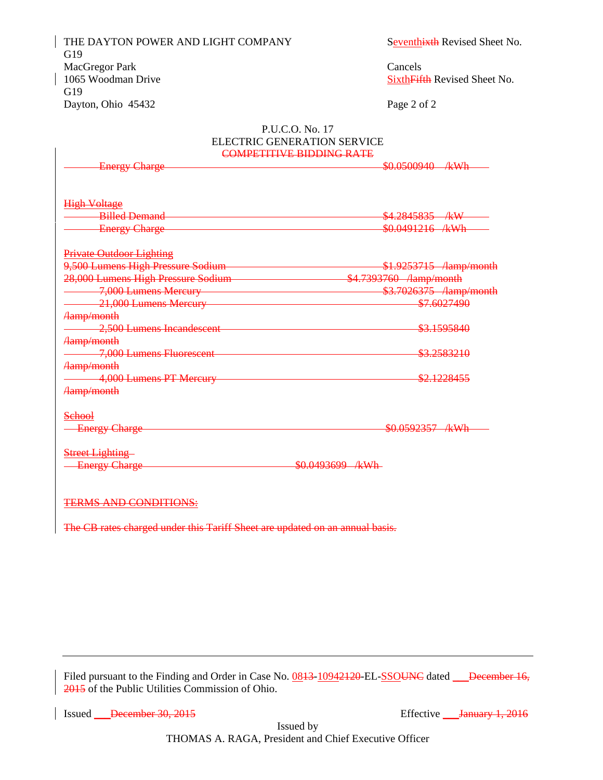THE DAYTON POWER AND LIGHT COMPANY Seventhixth Revised Sheet No. G19 MacGregor Park Cancels 1065 Woodman Drive Sixth Fifth Revised Sheet No. G19 Dayton, Ohio 45432 Page 2 of 2

#### P.U.C.O. No. 17 ELECTRIC GENERATION SERVICE COMPETITIVE BIDDING RATE

| <b>Energy Charge</b>               | \$0.0500940 /kWh                |
|------------------------------------|---------------------------------|
| <b>High Voltage</b>                |                                 |
| <b>Billed Demand</b>               | \$4.2845835 /kW                 |
| <b>Energy Charge</b>               | \$0.0491216 /kWh                |
| <b>Private Outdoor Lighting</b>    |                                 |
| 9,500 Lumens High Pressure Sodium  | \$1.9253715 /lamp/month         |
| 28,000 Lumens High Pressure Sodium | \$4.7393760 / / / / / / / month |
| 7,000 Lumens Mercury               | \$3.7026375 /lamp/month         |
| 21,000 Lumens Mercury              | \$7.6027490                     |
| <b>Aamp/month</b>                  |                                 |
| 2,500 Lumens Incandescent          | <del>\$3.1595840</del>          |
| Aamp/month                         |                                 |
| 7,000 Lumens Fluorescent           | <del>\$3.2583210</del>          |
| <b>Aamp/month</b>                  |                                 |
| 4,000 Lumens PT Mercury            | \$2.1228455                     |
| Aamp/month                         |                                 |
| <del>School</del>                  |                                 |
| <b>Energy Charge</b>               | \$0.0592357 /kWh                |
| <b>Street Lighting-</b>            |                                 |
| <b>Energy Charge</b>               | \$0.0493699 /kWh                |
|                                    |                                 |
| <b>TERMS AND CONDITIONS:</b>       |                                 |

The CB rates charged under this Tariff Sheet are updated on an annual basis.

Filed pursuant to the Finding and Order in Case No. 0843-10942120-EL-SSOUNC dated December 16, 2015 of the Public Utilities Commission of Ohio.

Issued December 30, 2015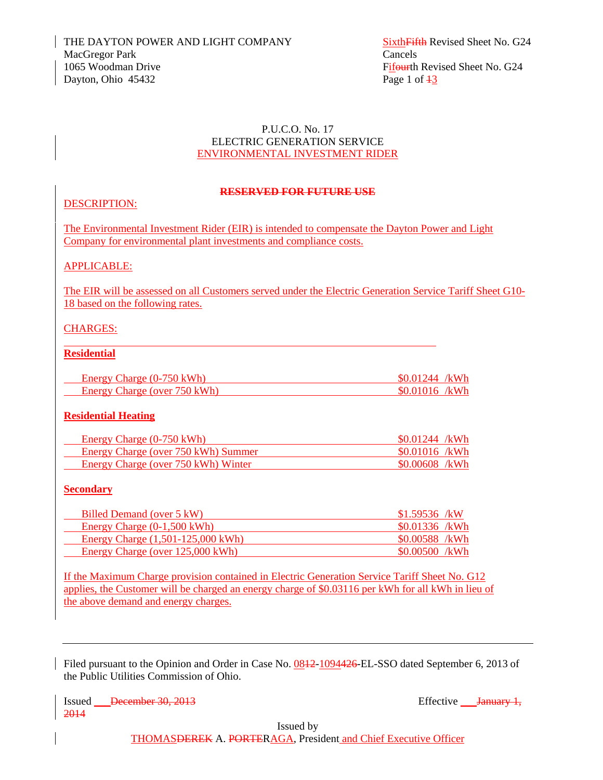# P.U.C.O. No. 17 ELECTRIC GENERATION SERVICE ENVIRONMENTAL INVESTMENT RIDER

# **RESERVED FOR FUTURE USE**

# DESCRIPTION:

The Environmental Investment Rider (EIR) is intended to compensate the Dayton Power and Light Company for environmental plant investments and compliance costs.

# APPLICABLE:

The EIR will be assessed on all Customers served under the Electric Generation Service Tariff Sheet G10- 18 based on the following rates.

# CHARGES:

# **Residential**

 $\overline{a}$ 

| Energy Charge $(0-750 \text{ kWh})$ | $$0.01244$ /kWh |
|-------------------------------------|-----------------|
| Energy Charge (over 750 kWh)        | $$0.01016$ /kWh |

# **Residential Heating**

| Energy Charge $(0-750 \text{ kWh})$ | $$0.01244$ /kWh |
|-------------------------------------|-----------------|
| Energy Charge (over 750 kWh) Summer | $$0.01016$ /kWh |
| Energy Charge (over 750 kWh) Winter | \$0.00608 /kWh  |

# **Secondary**

| Billed Demand (over 5 kW)                   | $$1.59536$ /kW  |
|---------------------------------------------|-----------------|
| Energy Charge $(0-1,500 \text{ kWh})$       | $$0.01336$ /kWh |
| Energy Charge $(1,501-125,000 \text{ kWh})$ | \$0.00588 /kWh  |
| Energy Charge (over 125,000 kWh)            | $$0.00500$ /kWh |

If the Maximum Charge provision contained in Electric Generation Service Tariff Sheet No. G12 applies, the Customer will be charged an energy charge of \$0.03116 per kWh for all kWh in lieu of the above demand and energy charges.

Filed pursuant to the Opinion and Order in Case No. 0812-1094426-EL-SSO dated September 6, 2013 of the Public Utilities Commission of Ohio.

Issued <del>December 30, 2013</del> Effective <del>January 1, 2014</del> 2014

Issued by

THOMASDEREK A. PORTERAGA, President and Chief Executive Officer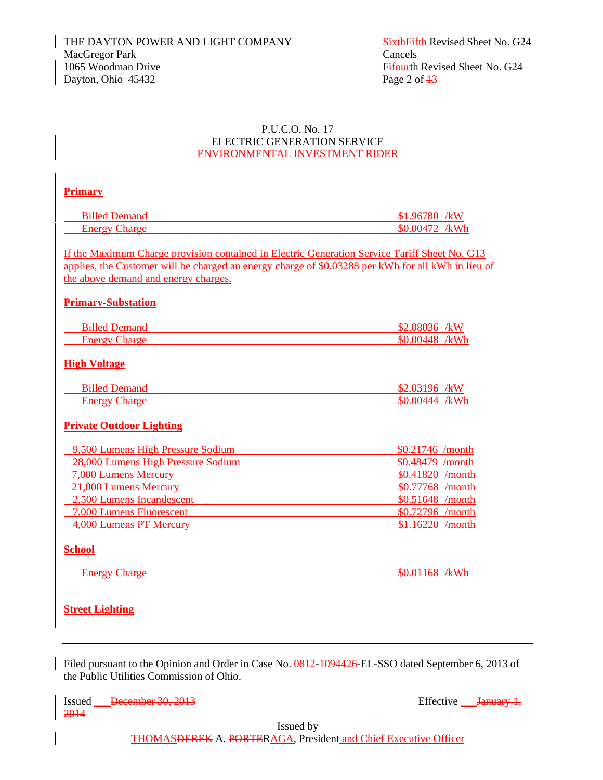# P.U.C.O. No. 17 ELECTRIC GENERATION SERVICE ENVIRONMENTAL INVESTMENT RIDER

# **Primary**

| Billed Demand    | /kW                       |  |
|------------------|---------------------------|--|
| 'nerov<br>ിharπe | $\sqrt{k}$ Wh<br>`UBA72 . |  |

If the Maximum Charge provision contained in Electric Generation Service Tariff Sheet No. G13 applies, the Customer will be charged an energy charge of \$0.03288 per kWh for all kWh in lieu of the above demand and energy charges.

# **Primary-Substation**

| Billed Demand    | 08036             | /kW  |
|------------------|-------------------|------|
| merov (<br>naroe | $\bf{M}$ $\bf{A}$ | /kWh |

# **High Voltage**

| Hed.          | kW        |
|---------------|-----------|
| - глентана –  | <b>YA</b> |
| nero<br>naroe | /レ\\/h    |

# **Private Outdoor Lighting**

| 9,500 Lumens High Pressure Sodium  | $$0.21746$ /month |
|------------------------------------|-------------------|
| 28,000 Lumens High Pressure Sodium | $$0.48479$ /month |
| 7,000 Lumens Mercury               | \$0.41820 /month  |
| 21,000 Lumens Mercury              | \$0.77768 /month  |
| 2,500 Lumens Incandescent          | $$0.51648$ /month |
| 7,000 Lumens Fluorescent           | $$0.72796$ /month |
| 4,000 Lumens PT Mercury            | $$1.16220$ /month |

# **School**

| Enerov | :harge | ድል ል1<br>יי<br>החו | $7 - 11$<br><br>w |
|--------|--------|--------------------|-------------------|
|        |        |                    |                   |

# **Street Lighting**

Filed pursuant to the Opinion and Order in Case No. 0812-1094426-EL-SSO dated September 6, 2013 of the Public Utilities Commission of Ohio.

Issued December 30, 2013 Effective Lanuary 1, 2014

Issued by

THOMASDEREK A. PORTERAGA, President and Chief Executive Officer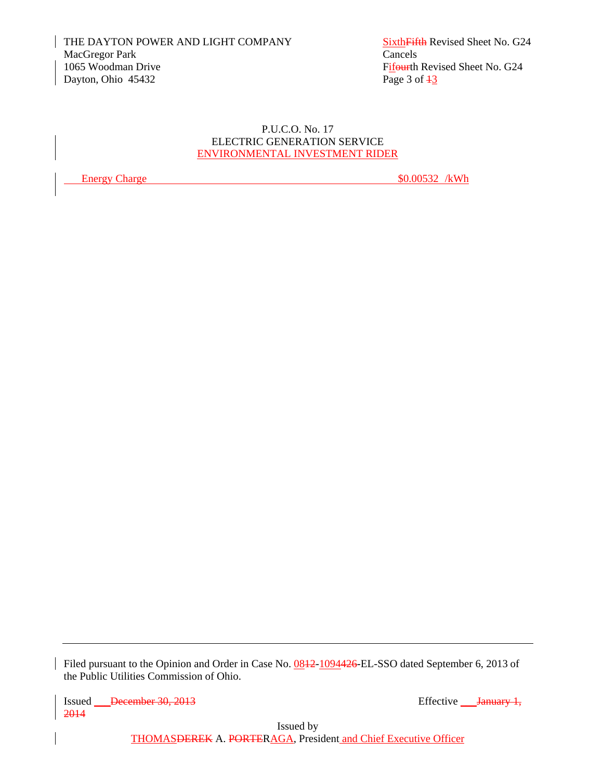# P.U.C.O. No. 17 ELECTRIC GENERATION SERVICE ENVIRONMENTAL INVESTMENT RIDER

Energy Charge  $\frac{\$0.00532}{kWh}$ 

Filed pursuant to the Opinion and Order in Case No. 0842-1094426-EL-SSO dated September 6, 2013 of the Public Utilities Commission of Ohio.

Issued December 30, 2013 2014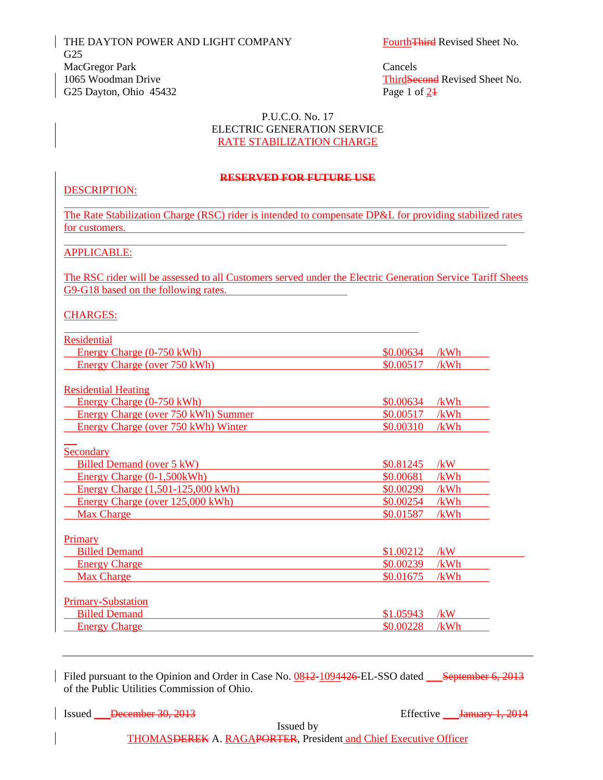THE DAYTON POWER AND LIGHT COMPANY FourthThird Revised Sheet No. G25 MacGregor Park Cancels 1065 Woodman Drive ThirdSecond Revised Sheet No. G25 Dayton, Ohio  $45432$  Page 1 of  $24$ 

#### P.U.C.O. No. 17 ELECTRIC GENERATION SERVICE RATE STABILIZATION CHARGE

#### **RESERVED FOR FUTURE USE**

# DESCRIPTION:

 $\overline{a}$ 

The Rate Stabilization Charge (RSC) rider is intended to compensate DP&L for providing stabilized rates for customers.

#### APPLICABLE:

The RSC rider will be assessed to all Customers served under the Electric Generation Service Tariff Sheets G9-G18 based on the following rates.

#### CHARGES:

| Residential                                |           |      |
|--------------------------------------------|-----------|------|
| Energy Charge (0-750 kWh)                  | \$0.00634 | /kWh |
| Energy Charge (over 750 kWh)               | \$0.00517 | /kWh |
|                                            |           |      |
| <b>Residential Heating</b>                 |           |      |
| Energy Charge (0-750 kWh)                  | \$0.00634 | /kWh |
| <b>Energy Charge (over 750 kWh) Summer</b> | \$0.00517 | /kWh |
| Energy Charge (over 750 kWh) Winter        | \$0.00310 | /kWh |
|                                            |           |      |
| Secondary                                  |           |      |
| Billed Demand (over 5 kW)                  | \$0.81245 | /kW  |
| Energy Charge (0-1,500kWh)                 | \$0.00681 | /kWh |
| Energy Charge (1,501-125,000 kWh)          | \$0.00299 | /kWh |
| Energy Charge (over 125,000 kWh)           | \$0.00254 | /kWh |
| <b>Max Charge</b>                          | \$0.01587 | /kWh |
|                                            |           |      |
| Primary                                    |           |      |
| <b>Billed Demand</b>                       | \$1.00212 | /kW  |
| <b>Energy Charge</b>                       | \$0.00239 | /kWh |
| <b>Max Charge</b>                          | \$0.01675 | /kWh |
|                                            |           |      |
| <b>Primary-Substation</b>                  |           |      |
| <b>Billed Demand</b>                       | \$1,05943 | /kW  |
| <b>Energy Charge</b>                       | \$0.00228 | /kWh |
|                                            |           |      |

Filed pursuant to the Opinion and Order in Case No.  $0.0812 - 1094426$ -EL-SSO dated September 6, 2013 of the Public Utilities Commission of Ohio.

Issued <del>December 30, 2013</del> Effective *January 1, 2014* 

Issued by

THOMASDEREK A. RAGAPORTER, President and Chief Executive Officer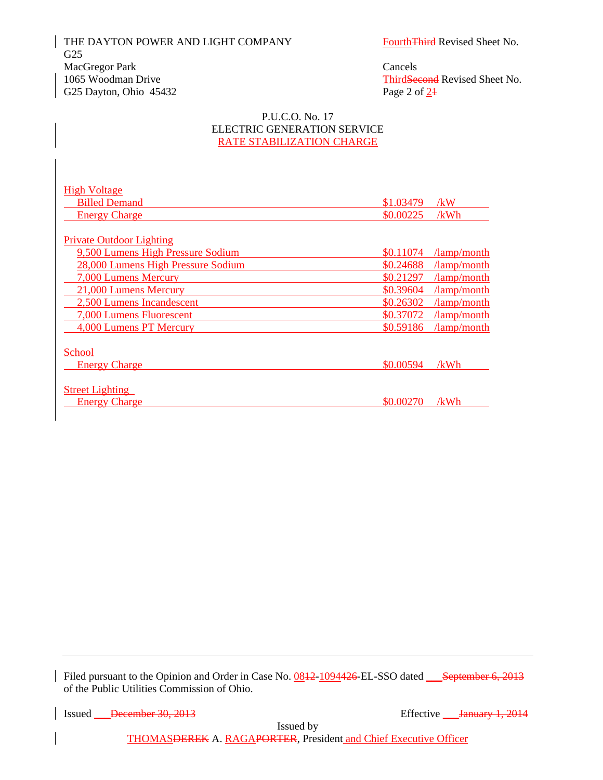THE DAYTON POWER AND LIGHT COMPANY FourthThird Revised Sheet No. G25 MacGregor Park Cancels 1065 Woodman Drive ThirdSecond Revised Sheet No. G25 Dayton, Ohio  $45432$  Page 2 of  $24$ 

#### P.U.C.O. No. 17 ELECTRIC GENERATION SERVICE RATE STABILIZATION CHARGE

| <b>High Voltage</b>                |           |                     |
|------------------------------------|-----------|---------------------|
| <b>Billed Demand</b>               | \$1,03479 | /kW                 |
| <b>Energy Charge</b>               | \$0.00225 | /kWh                |
|                                    |           |                     |
| <b>Private Outdoor Lighting</b>    |           |                     |
| 9,500 Lumens High Pressure Sodium  | \$0.11074 | $\lambda$ amp/month |
| 28,000 Lumens High Pressure Sodium | \$0.24688 | $\lambda$ amp/month |
| 7,000 Lumens Mercury               | \$0.21297 | /lamp/month         |
| 21,000 Lumens Mercury              | \$0.39604 | /lamp/month         |
| 2,500 Lumens Incandescent          | \$0.26302 | /lamp/month         |
| 7,000 Lumens Fluorescent           | \$0.37072 | $\lambda$ amp/month |
| 4,000 Lumens PT Mercury            | \$0.59186 | $\lambda$ amp/month |
|                                    |           |                     |
| School                             |           |                     |
| <b>Energy Charge</b>               | \$0.00594 | /kWh                |
|                                    |           |                     |
| <b>Street Lighting</b>             |           |                     |
| <b>Energy Charge</b>               | \$0.00270 | /kWh                |

Filed pursuant to the Opinion and Order in Case No. 0842-1094426-EL-SSO dated September 6, 2013 of the Public Utilities Commission of Ohio.

Issued December 30, 2013

Issued by

THOMASDEREK A. RAGAPORTER, President and Chief Executive Officer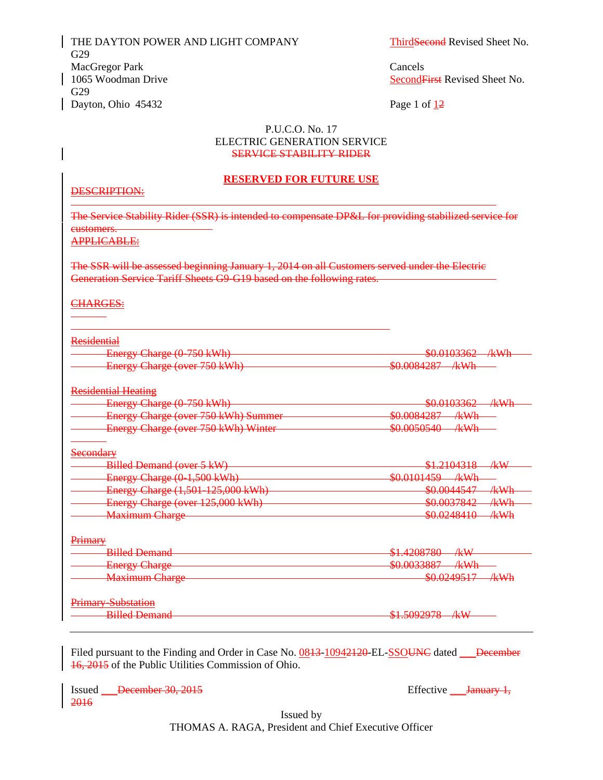THE DAYTON POWER AND LIGHT COMPANY ThirdSecond Revised Sheet No. G29 MacGregor Park Cancels 1065 Woodman Drive Second First Revised Sheet No. G29 Dayton, Ohio 45432 Page 1 of 12

#### P.U.C.O. No. 17 ELECTRIC GENERATION SERVICE SERVICE STABILITY RIDER

#### **RESERVED FOR FUTURE USE**

#### DESCRIPTION:

1

1

The Service Stability Rider (SSR) is intended to compensate DP&L for providing stabilized service for customers.

APPLICABLE:

The SSR will be assessed beginning January 1, 2014 on all Customers served under the Electric Generation Service Tariff Sheets G9-G19 based on the following rates.

#### CHARGES:

| Residential                         |                            |
|-------------------------------------|----------------------------|
| Energy Charge (0-750 kWh)           | \$0.0103362—<br>-⁄kWh      |
| Energy Charge (over 750 kWh)        | \$0.0084287 /kWh           |
| <b>Residential Heating</b>          |                            |
| Energy Charge (0-750 kWh)           | \$0.0103362 /kWh           |
| Energy Charge (over 750 kWh) Summer | \$0.0084287 /kWh           |
| Energy Charge (over 750 kWh) Winter | \$0.0050540<br>/kWh        |
| <b>Secondary</b>                    |                            |
| Billed Demand (over 5 kW)           | \$1.2104318<br>ÆW          |
| Energy Charge (0-1,500 kWh)         | $$0.0101459$ kWh           |
| Energy Charge (1,501-125,000 kWh)   | \$0.0044547<br>/kWh        |
| Energy Charge (over 125,000 kWh)    | \$0.0037842<br>/kWh        |
| <b>Maximum Charge</b>               | \$0.0248410<br><u>/kWh</u> |
| Primary                             |                            |
| <b>Billed Demand</b>                | $$1.4208780 - kW$          |
| <b>Energy Charge</b>                | \$0.0033887<br>$-$ /kWh    |
| <b>Maximum Charge</b>               | \$0.0249517 /kWh           |
| <b>Primary Substation</b>           |                            |
| <b>Billed Demand</b>                | \$1.5092978<br>$-$ kW      |
|                                     |                            |

Filed pursuant to the Finding and Order in Case No. 0843-10942120-EL-SSOUNC dated December 16, 2015 of the Public Utilities Commission of Ohio.

Issued December 30, 2015 Effective Lanuary 1, 2016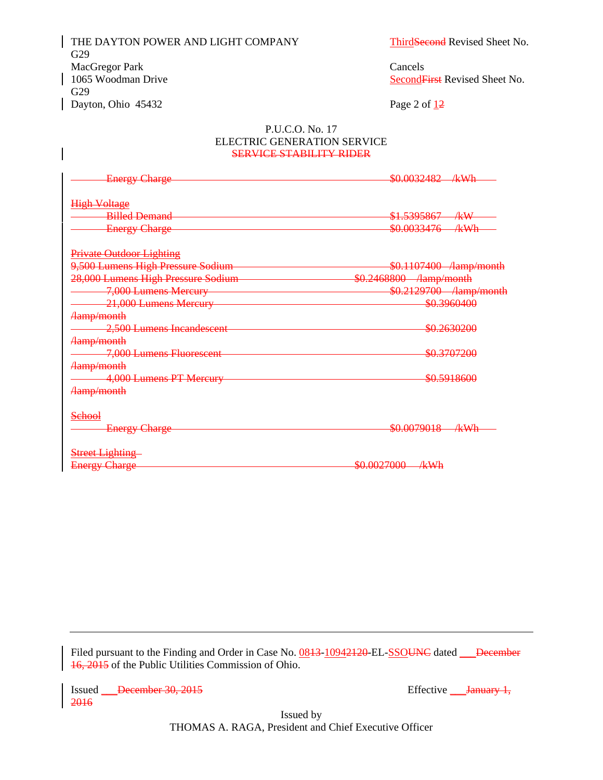THE DAYTON POWER AND LIGHT COMPANY ThirdSecond Revised Sheet No. G29 MacGregor Park Cancels<br>
1065 Woodman Drive Second Figure 2014 G29  $\log 2$  of  $\frac{12}{2}$ 

SecondFirst Revised Sheet No.

#### P.U.C.O. No. 17 ELECTRIC GENERATION SERVICE SERVICE STABILITY RIDER

| <b>Energy Charge</b>               | \$0.0032482 /kWh                   |
|------------------------------------|------------------------------------|
|                                    |                                    |
| <b>High Voltage</b>                |                                    |
| <b>Billed Demand</b>               | \$1.5395867<br>∕k₩                 |
| <b>Energy Charge</b>               | \$0.0033476<br>∦¥Wh                |
|                                    |                                    |
| <b>Private Outdoor Lighting</b>    |                                    |
| 9,500 Lumens High Pressure Sodium  | \$0.1107400 /lamp/month            |
| 28,000 Lumens High Pressure Sodium | \$0.2468800 /lamp/month            |
| 7,000 Lumens Mercury               | \$0.2129700 /lamp/month            |
| 21,000 Lumens Mercury              | <del>\$0.3960400</del>             |
| <b>Hamp/month</b>                  |                                    |
| 2,500 Lumens Incandescent          | <del>\$0.2630200</del>             |
| Aamp/month                         |                                    |
| 7,000 Lumens Fluorescent           | <del>\$0.3707200</del>             |
| Aamp/month                         |                                    |
| 4,000 Lumens PT Mercury            | \$0.5918600                        |
| Aamp/month                         |                                    |
| Sehool                             |                                    |
| <b>Energy Charge</b>               | \$0.0079018<br>ルスカト<br>$\pi\pi\pi$ |
|                                    |                                    |
| <b>Street Lighting</b>             |                                    |
| <b>Energy Charge</b>               | \$0.0027000<br><u>/kWh</u>         |

Filed pursuant to the Finding and Order in Case No. 0843-10942120-EL-SSOUNC dated December 16, 2015 of the Public Utilities Commission of Ohio.

Issued December 30, 2015 Effective Lanuary 1, 2016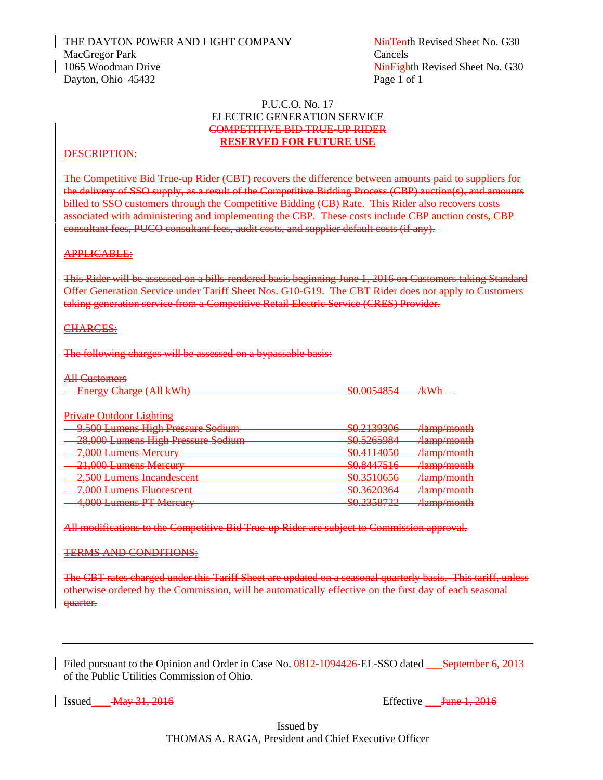THE DAYTON POWER AND LIGHT COMPANY NinTenth Revised Sheet No. G30 MacGregor Park Cancels 1065 Woodman Drive NinEighth Revised Sheet No. G30 Dayton, Ohio 45432 Page 1 of 1

#### P.U.C.O. No. 17 ELECTRIC GENERATION SERVICE COMPETITIVE BID TRUE-UP RIDER **RESERVED FOR FUTURE USE**

#### DESCRIPTION:

The Competitive Bid True-up Rider (CBT) recovers the difference between amounts paid to suppliers for the delivery of SSO supply, as a result of the Competitive Bidding Process (CBP) auction(s), and amounts billed to SSO customers through the Competitive Bidding (CB) Rate. This Rider also recovers costs associated with administering and implementing the CBP. These costs include CBP auction costs, CBP consultant fees, PUCO consultant fees, audit costs, and supplier default costs (if any).

#### APPLICABLE:

This Rider will be assessed on a bills-rendered basis beginning June 1, 2016 on Customers taking Standard Offer Generation Service under Tariff Sheet Nos. G10-G19. The CBT Rider does not apply to Customers taking generation service from a Competitive Retail Electric Service (CRES) Provider.

#### CHARGES:

The following charges will be assessed on a bypassable basis:

#### All Customers

| $\Gamma$ norgy Chorgo (All $\forall W$ h) | $\mathcal{L} \cap \Omega$                                                                                                                                                                                                                                                                                                                                                            | $7 - 11$          |
|-------------------------------------------|--------------------------------------------------------------------------------------------------------------------------------------------------------------------------------------------------------------------------------------------------------------------------------------------------------------------------------------------------------------------------------------|-------------------|
| <b>ERCISY CROSS (AMERICA)</b>             | $\overline{U}$ $\overline{U}$ $\overline{U}$ $\overline{U}$ $\overline{U}$ $\overline{U}$ $\overline{U}$ $\overline{U}$ $\overline{U}$ $\overline{U}$ $\overline{U}$ $\overline{U}$ $\overline{U}$ $\overline{U}$ $\overline{U}$ $\overline{U}$ $\overline{U}$ $\overline{U}$ $\overline{U}$ $\overline{U}$ $\overline{U}$ $\overline{U}$ $\overline{U}$ $\overline{U}$ $\overline{$ | <del>788771</del> |

#### Private Outdoor Lighting

| 1111100000000111111111                                         |                                         |                                                                        |
|----------------------------------------------------------------|-----------------------------------------|------------------------------------------------------------------------|
| 9,500 Lumens High Pressure Sodium                              | \$0.2120206<br>VV.41J/JUU               | Aamp/month                                                             |
| 28.000 Lumens High Pressure Sodium<br>$\overline{\phantom{m}}$ | 0.526500A<br><del>w∪.J∠∪JJ∪ i</del>     | $\Delta$ amn $/m$ onth<br>. <i>. .</i>                                 |
| 7,000 Lumens Mercury                                           | $PQ$ $111105Q$<br>VV. TII TUJU          | $\lambda$ <sub>amn</sub> $\lambda$ <sub>month</sub><br>700000700000000 |
| 21,000 Lumens Mercury                                          | 0.9447516                               | $l_{\rm amn/month}$                                                    |
| 2.500 Lumons Incondessont                                      | VV.OTTIJIV<br>0.2510656                 | <u> autorization t</u><br>$l_{\rm omn/morth}$                          |
| 2,JUU Lumons moanueseem                                        | <del>wu.jutuuu</del><br>$P_{0}$ 2620261 | ,,,,,,,,,,,,,,,,,,,<br>$l_{\rm annn/month}$                            |
| 7,000 Lumens Fluorescent<br>4.000 Lumane DT Marcury            | wo.Jozykowa<br>0.2250722                | , , , , , , , , , , , , , , , , , , ,<br>$l_{\rm amn/month}$           |
| <del>hww Lunions Covictul</del>                                | ww. <i>ajjv</i> o <i>taa</i>            | ,,,,,,,,,,,,,,,,,,                                                     |

All modifications to the Competitive Bid True-up Rider are subject to Commission approval.

#### TERMS AND CONDITIONS:

The CBT rates charged under this Tariff Sheet are updated on a seasonal quarterly basis. This tariff, unless otherwise ordered by the Commission, will be automatically effective on the first day of each seasonal quarter.

Filed pursuant to the Opinion and Order in Case No. 0842-1094426-EL-SSO dated September 6, 2013 of the Public Utilities Commission of Ohio.

Issued <del>May 31, 2016</del> and the May 31, 2016 and the May 31, 2016 and the May 31, 2016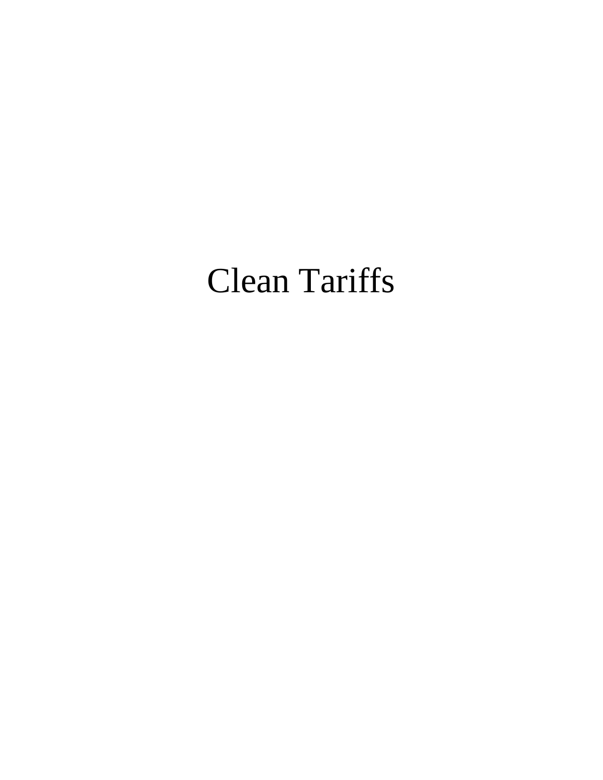# Clean Tariffs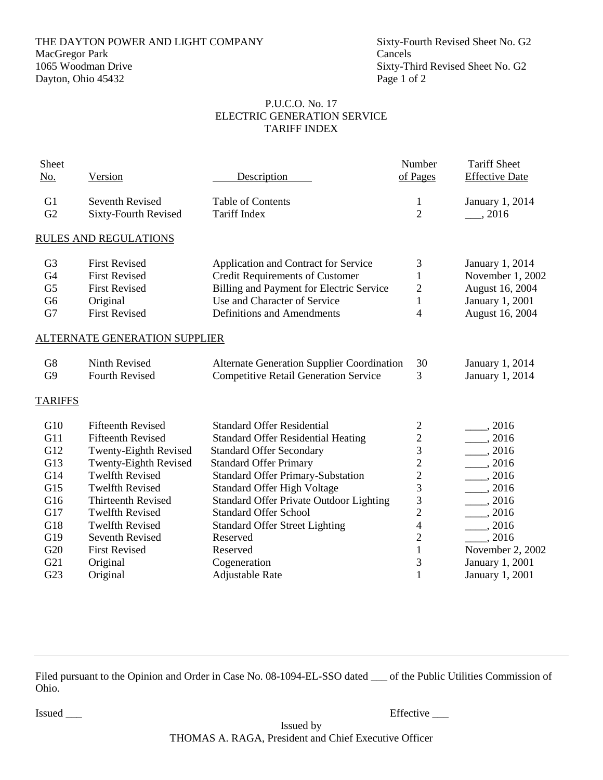# THE DAYTON POWER AND LIGHT COMPANY Sixty-Fourth Revised Sheet No. G2<br>MacGregor Park Cancels MacGregor Park<br>1065 Woodman Drive Dayton, Ohio 45432 Page 1 of 2

#### P.U.C.O. No. 17 ELECTRIC GENERATION SERVICE TARIFF INDEX

| Sheet          |                                      |                                                   | Number                   | <b>Tariff Sheet</b>   |
|----------------|--------------------------------------|---------------------------------------------------|--------------------------|-----------------------|
| No.            | Version                              | Description                                       | of Pages                 | <b>Effective Date</b> |
|                |                                      |                                                   |                          |                       |
| G1             | Seventh Revised                      | <b>Table of Contents</b>                          | 1                        | January 1, 2014       |
| G2             | Sixty-Fourth Revised                 | <b>Tariff Index</b>                               | $\overline{2}$           | , 2016                |
|                | <b>RULES AND REGULATIONS</b>         |                                                   |                          |                       |
| G <sub>3</sub> | <b>First Revised</b>                 | Application and Contract for Service              | 3                        | January 1, 2014       |
| G <sub>4</sub> | <b>First Revised</b>                 | <b>Credit Requirements of Customer</b>            | $\mathbf{1}$             | November 1, 2002      |
| G <sub>5</sub> | <b>First Revised</b>                 | Billing and Payment for Electric Service          | $\mathbf{2}$             | August 16, 2004       |
| G <sub>6</sub> | Original                             | Use and Character of Service                      | $\mathbf{1}$             | January 1, 2001       |
| G7             | <b>First Revised</b>                 | Definitions and Amendments                        | 4                        | August 16, 2004       |
|                | <b>ALTERNATE GENERATION SUPPLIER</b> |                                                   |                          |                       |
| G8             | Ninth Revised                        | <b>Alternate Generation Supplier Coordination</b> | 30                       | January 1, 2014       |
| G <sub>9</sub> | <b>Fourth Revised</b>                | <b>Competitive Retail Generation Service</b>      | 3                        | January 1, 2014       |
| <b>TARIFFS</b> |                                      |                                                   |                          |                       |
| G10            | <b>Fifteenth Revised</b>             | <b>Standard Offer Residential</b>                 | $\mathbf{2}$             | $\frac{1}{2016}$      |
| G11            | <b>Fifteenth Revised</b>             | <b>Standard Offer Residential Heating</b>         |                          | $- 2016$              |
| G12            | Twenty-Eighth Revised                | <b>Standard Offer Secondary</b>                   | $\frac{2}{3}$            | $\frac{1}{2016}$      |
| G13            | Twenty-Eighth Revised                | <b>Standard Offer Primary</b>                     | $\overline{c}$           | $\frac{1}{2016}$      |
| G14            | <b>Twelfth Revised</b>               | <b>Standard Offer Primary-Substation</b>          | $\overline{c}$           | , 2016                |
| G15            | <b>Twelfth Revised</b>               | <b>Standard Offer High Voltage</b>                | 3                        | 2016                  |
| G16            | <b>Thirteenth Revised</b>            | <b>Standard Offer Private Outdoor Lighting</b>    | 3                        | $\frac{1}{2}$ , 2016  |
| G17            | <b>Twelfth Revised</b>               | <b>Standard Offer School</b>                      | $\overline{2}$           | $\frac{1}{2016}$      |
| G18            | <b>Twelfth Revised</b>               | <b>Standard Offer Street Lighting</b>             | $\overline{\mathcal{L}}$ | $\frac{1}{2016}$      |
| G19            | <b>Seventh Revised</b>               | Reserved                                          | $\overline{c}$           | , 2016                |
| G20            | <b>First Revised</b>                 | Reserved                                          | $\mathbf{1}$             | November 2, 2002      |
| G21            | Original                             | Cogeneration                                      | 3                        | January 1, 2001       |
| G23            | Original                             | Adjustable Rate                                   | $\mathbf{1}$             | January 1, 2001       |
|                |                                      |                                                   |                          |                       |

Filed pursuant to the Opinion and Order in Case No. 08-1094-EL-SSO dated \_\_\_ of the Public Utilities Commission of Ohio.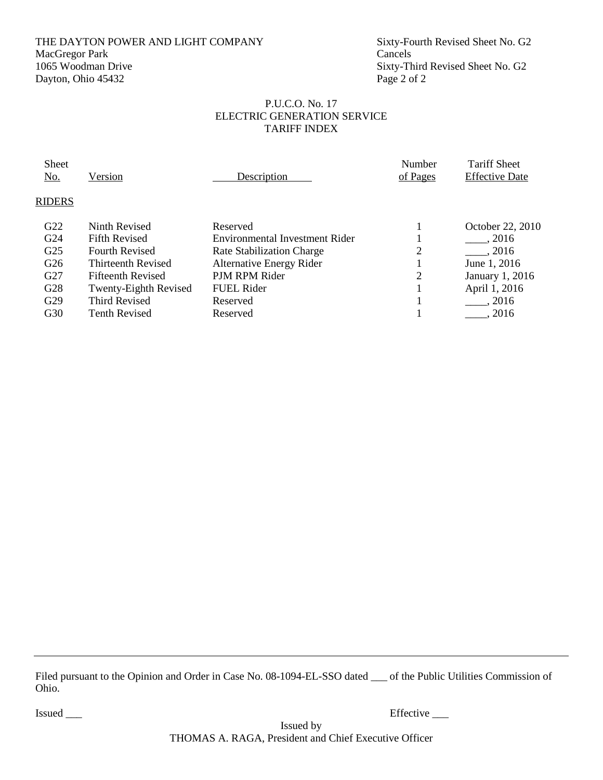# THE DAYTON POWER AND LIGHT COMPANY Sixty-Fourth Revised Sheet No. G2 MacGregor Park Cancels<br>1065 Woodman Drive Sixty-Th Dayton, Ohio 45432 Page 2 of 2

Sixty-Third Revised Sheet No. G2

#### P.U.C.O. No. 17 ELECTRIC GENERATION SERVICE TARIFF INDEX

| <b>Sheet</b><br><u>No.</u> | Version                   | Description                     | Number<br>of Pages | <b>Tariff Sheet</b><br><b>Effective Date</b> |
|----------------------------|---------------------------|---------------------------------|--------------------|----------------------------------------------|
| <b>RIDERS</b>              |                           |                                 |                    |                                              |
| G22                        | Ninth Revised             | Reserved                        |                    | October 22, 2010                             |
| G <sub>24</sub>            | <b>Fifth Revised</b>      | Environmental Investment Rider  |                    | , 2016                                       |
| G <sub>25</sub>            | <b>Fourth Revised</b>     | Rate Stabilization Charge       | 2                  | , 2016                                       |
| G <sub>26</sub>            | <b>Thirteenth Revised</b> | <b>Alternative Energy Rider</b> |                    | June 1, 2016                                 |
| G <sub>27</sub>            | <b>Fifteenth Revised</b>  | PJM RPM Rider                   | 2                  | January 1, 2016                              |
| G28                        | Twenty-Eighth Revised     | FUEL Rider                      |                    | April 1, 2016                                |
| G29                        | Third Revised             | Reserved                        |                    | . 2016                                       |
| G30                        | <b>Tenth Revised</b>      | Reserved                        |                    | . 2016                                       |
|                            |                           |                                 |                    |                                              |

Filed pursuant to the Opinion and Order in Case No. 08-1094-EL-SSO dated \_\_\_ of the Public Utilities Commission of Ohio.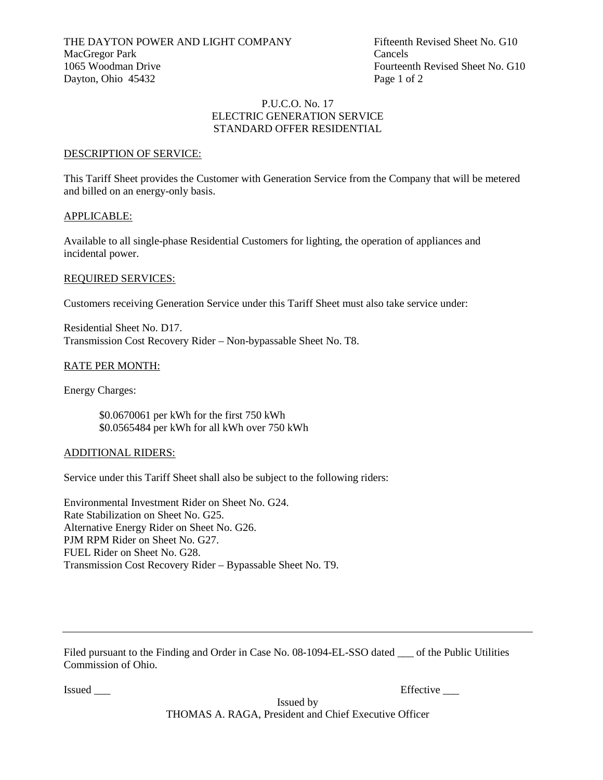#### P.U.C.O. No. 17 ELECTRIC GENERATION SERVICE STANDARD OFFER RESIDENTIAL

#### DESCRIPTION OF SERVICE:

This Tariff Sheet provides the Customer with Generation Service from the Company that will be metered and billed on an energy-only basis.

#### APPLICABLE:

Available to all single-phase Residential Customers for lighting, the operation of appliances and incidental power.

#### REQUIRED SERVICES:

Customers receiving Generation Service under this Tariff Sheet must also take service under:

Residential Sheet No. D17. Transmission Cost Recovery Rider – Non-bypassable Sheet No. T8.

# RATE PER MONTH:

Energy Charges:

\$0.0670061 per kWh for the first 750 kWh \$0.0565484 per kWh for all kWh over 750 kWh

#### ADDITIONAL RIDERS:

Service under this Tariff Sheet shall also be subject to the following riders:

Environmental Investment Rider on Sheet No. G24. Rate Stabilization on Sheet No. G25. Alternative Energy Rider on Sheet No. G26. PJM RPM Rider on Sheet No. G27. FUEL Rider on Sheet No. G28. Transmission Cost Recovery Rider – Bypassable Sheet No. T9.

Filed pursuant to the Finding and Order in Case No. 08-1094-EL-SSO dated of the Public Utilities Commission of Ohio.

Issued \_\_\_ Effective \_\_\_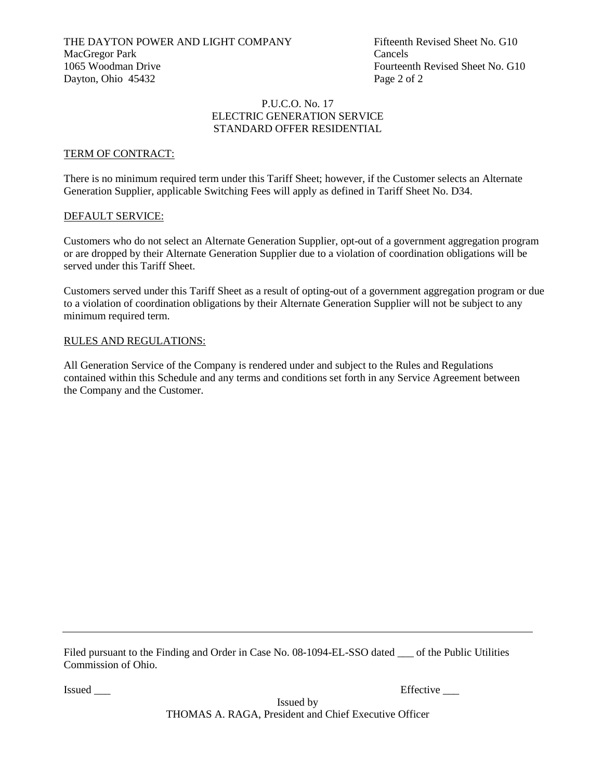#### P.U.C.O. No. 17 ELECTRIC GENERATION SERVICE STANDARD OFFER RESIDENTIAL

#### TERM OF CONTRACT:

There is no minimum required term under this Tariff Sheet; however, if the Customer selects an Alternate Generation Supplier, applicable Switching Fees will apply as defined in Tariff Sheet No. D34.

#### DEFAULT SERVICE:

Customers who do not select an Alternate Generation Supplier, opt-out of a government aggregation program or are dropped by their Alternate Generation Supplier due to a violation of coordination obligations will be served under this Tariff Sheet.

Customers served under this Tariff Sheet as a result of opting-out of a government aggregation program or due to a violation of coordination obligations by their Alternate Generation Supplier will not be subject to any minimum required term.

#### RULES AND REGULATIONS:

All Generation Service of the Company is rendered under and subject to the Rules and Regulations contained within this Schedule and any terms and conditions set forth in any Service Agreement between the Company and the Customer.

Filed pursuant to the Finding and Order in Case No. 08-1094-EL-SSO dated of the Public Utilities Commission of Ohio.

Issued \_\_\_ Effective \_\_\_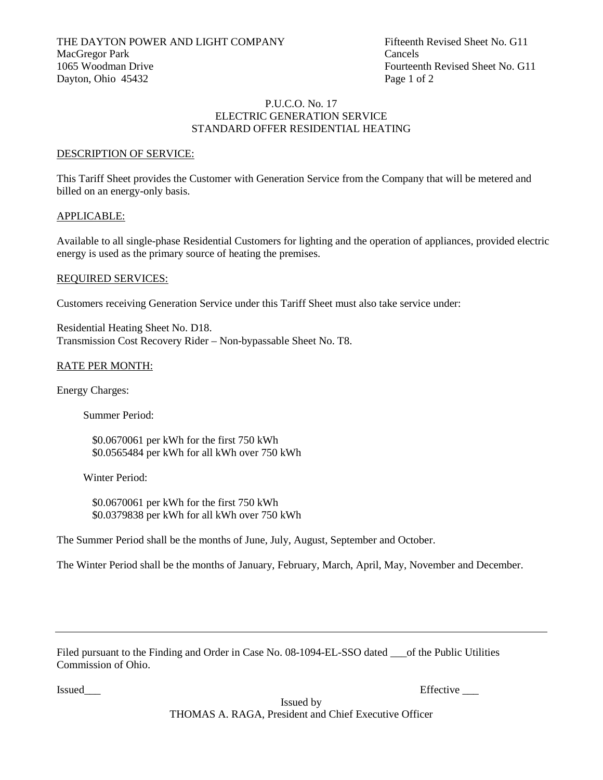#### P.U.C.O. No. 17 ELECTRIC GENERATION SERVICE STANDARD OFFER RESIDENTIAL HEATING

#### DESCRIPTION OF SERVICE:

This Tariff Sheet provides the Customer with Generation Service from the Company that will be metered and billed on an energy-only basis.

#### APPLICABLE:

Available to all single-phase Residential Customers for lighting and the operation of appliances, provided electric energy is used as the primary source of heating the premises.

#### REQUIRED SERVICES:

Customers receiving Generation Service under this Tariff Sheet must also take service under:

Residential Heating Sheet No. D18. Transmission Cost Recovery Rider – Non-bypassable Sheet No. T8.

#### RATE PER MONTH:

Energy Charges:

Summer Period:

\$0.0670061 per kWh for the first 750 kWh \$0.0565484 per kWh for all kWh over 750 kWh

Winter Period:

\$0.0670061 per kWh for the first 750 kWh \$0.0379838 per kWh for all kWh over 750 kWh

The Summer Period shall be the months of June, July, August, September and October.

The Winter Period shall be the months of January, February, March, April, May, November and December.

| Filed pursuant to the Finding and Order in Case No. 08-1094-EL-SSO dated |  | of the Public Utilities |  |
|--------------------------------------------------------------------------|--|-------------------------|--|
| Commission of Ohio.                                                      |  |                         |  |

Issued\_\_\_ Effective \_\_\_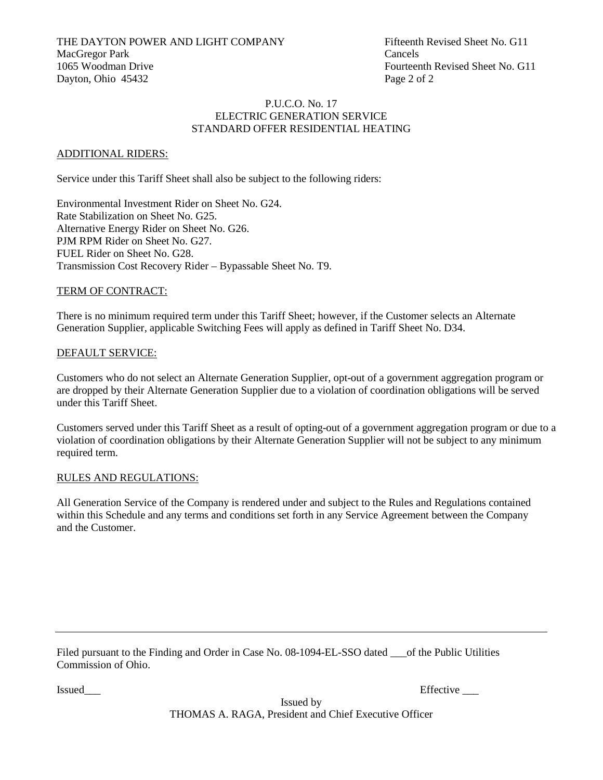THE DAYTON POWER AND LIGHT COMPANY Fifteenth Revised Sheet No. G11 MacGregor Park Cancels 1065 Woodman Drive Fourteenth Revised Sheet No. G11 Dayton, Ohio 45432 Page 2 of 2

#### P.U.C.O. No. 17 ELECTRIC GENERATION SERVICE STANDARD OFFER RESIDENTIAL HEATING

#### ADDITIONAL RIDERS:

Service under this Tariff Sheet shall also be subject to the following riders:

Environmental Investment Rider on Sheet No. G24. Rate Stabilization on Sheet No. G25. Alternative Energy Rider on Sheet No. G26. PJM RPM Rider on Sheet No. G27. FUEL Rider on Sheet No. G28. Transmission Cost Recovery Rider – Bypassable Sheet No. T9.

# TERM OF CONTRACT:

There is no minimum required term under this Tariff Sheet; however, if the Customer selects an Alternate Generation Supplier, applicable Switching Fees will apply as defined in Tariff Sheet No. D34.

# DEFAULT SERVICE:

Customers who do not select an Alternate Generation Supplier, opt-out of a government aggregation program or are dropped by their Alternate Generation Supplier due to a violation of coordination obligations will be served under this Tariff Sheet.

Customers served under this Tariff Sheet as a result of opting-out of a government aggregation program or due to a violation of coordination obligations by their Alternate Generation Supplier will not be subject to any minimum required term.

#### RULES AND REGULATIONS:

All Generation Service of the Company is rendered under and subject to the Rules and Regulations contained within this Schedule and any terms and conditions set forth in any Service Agreement between the Company and the Customer.

Filed pursuant to the Finding and Order in Case No. 08-1094-EL-SSO dated \_\_\_of the Public Utilities Commission of Ohio.

Issued Effective  $\Box$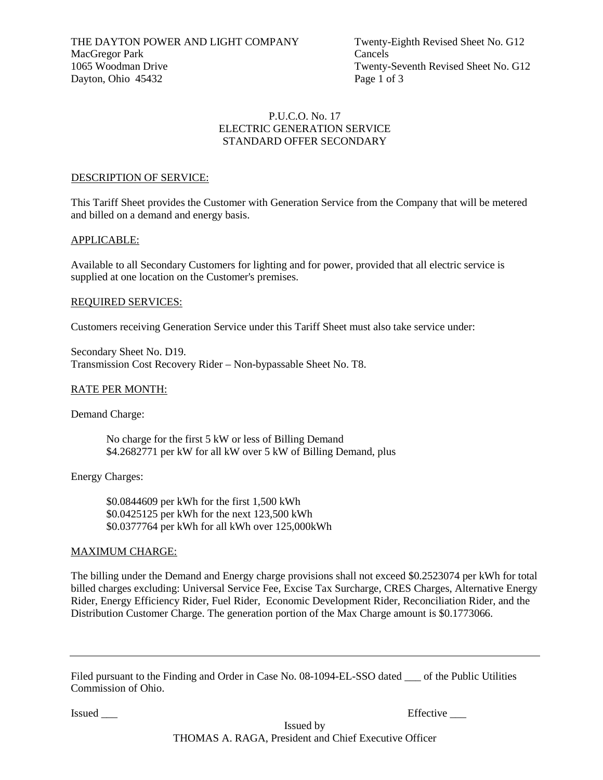# P.U.C.O. No. 17 ELECTRIC GENERATION SERVICE STANDARD OFFER SECONDARY

#### DESCRIPTION OF SERVICE:

This Tariff Sheet provides the Customer with Generation Service from the Company that will be metered and billed on a demand and energy basis.

#### APPLICABLE:

Available to all Secondary Customers for lighting and for power, provided that all electric service is supplied at one location on the Customer's premises.

#### REQUIRED SERVICES:

Customers receiving Generation Service under this Tariff Sheet must also take service under:

Secondary Sheet No. D19. Transmission Cost Recovery Rider – Non-bypassable Sheet No. T8.

#### RATE PER MONTH:

Demand Charge:

No charge for the first 5 kW or less of Billing Demand \$4.2682771 per kW for all kW over 5 kW of Billing Demand, plus

Energy Charges:

\$0.0844609 per kWh for the first 1,500 kWh \$0.0425125 per kWh for the next 123,500 kWh \$0.0377764 per kWh for all kWh over 125,000kWh

#### MAXIMUM CHARGE:

The billing under the Demand and Energy charge provisions shall not exceed \$0.2523074 per kWh for total billed charges excluding: Universal Service Fee, Excise Tax Surcharge, CRES Charges, Alternative Energy Rider, Energy Efficiency Rider, Fuel Rider, Economic Development Rider, Reconciliation Rider, and the Distribution Customer Charge. The generation portion of the Max Charge amount is \$0.1773066.

| Filed pursuant to the Finding and Order in Case No. 08-1094-EL-SSO dated | of the Public Utilities |
|--------------------------------------------------------------------------|-------------------------|
| Commission of Ohio.                                                      |                         |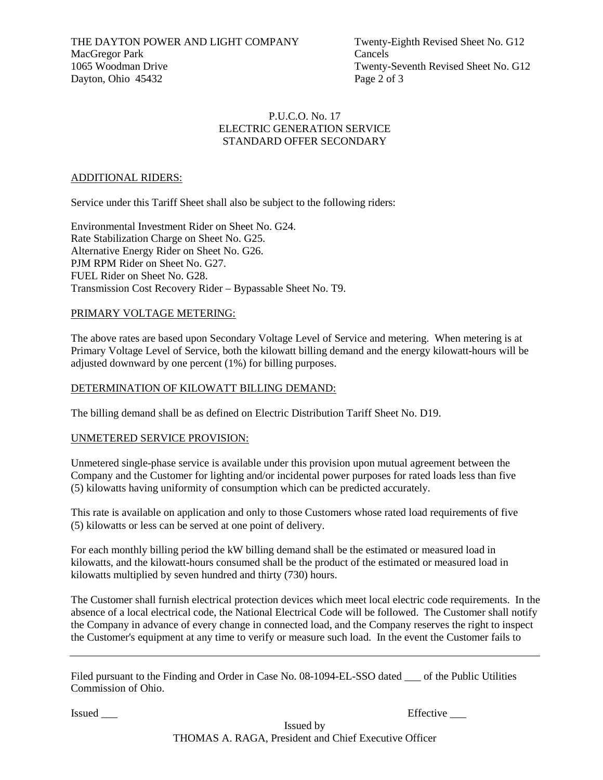THE DAYTON POWER AND LIGHT COMPANY Twenty-Eighth Revised Sheet No. G12 MacGregor Park Cancels 1065 Woodman Drive Twenty-Seventh Revised Sheet No. G12 Dayton, Ohio 45432 Page 2 of 3

# P.U.C.O. No. 17 ELECTRIC GENERATION SERVICE STANDARD OFFER SECONDARY

#### ADDITIONAL RIDERS:

Service under this Tariff Sheet shall also be subject to the following riders:

Environmental Investment Rider on Sheet No. G24. Rate Stabilization Charge on Sheet No. G25. Alternative Energy Rider on Sheet No. G26. PJM RPM Rider on Sheet No. G27. FUEL Rider on Sheet No. G28. Transmission Cost Recovery Rider – Bypassable Sheet No. T9.

#### PRIMARY VOLTAGE METERING:

The above rates are based upon Secondary Voltage Level of Service and metering. When metering is at Primary Voltage Level of Service, both the kilowatt billing demand and the energy kilowatt-hours will be adjusted downward by one percent (1%) for billing purposes.

#### DETERMINATION OF KILOWATT BILLING DEMAND:

The billing demand shall be as defined on Electric Distribution Tariff Sheet No. D19.

#### UNMETERED SERVICE PROVISION:

Unmetered single-phase service is available under this provision upon mutual agreement between the Company and the Customer for lighting and/or incidental power purposes for rated loads less than five (5) kilowatts having uniformity of consumption which can be predicted accurately.

This rate is available on application and only to those Customers whose rated load requirements of five (5) kilowatts or less can be served at one point of delivery.

For each monthly billing period the kW billing demand shall be the estimated or measured load in kilowatts, and the kilowatt-hours consumed shall be the product of the estimated or measured load in kilowatts multiplied by seven hundred and thirty (730) hours.

The Customer shall furnish electrical protection devices which meet local electric code requirements. In the absence of a local electrical code, the National Electrical Code will be followed. The Customer shall notify the Company in advance of every change in connected load, and the Company reserves the right to inspect the Customer's equipment at any time to verify or measure such load. In the event the Customer fails to

Filed pursuant to the Finding and Order in Case No. 08-1094-EL-SSO dated \_\_\_ of the Public Utilities Commission of Ohio.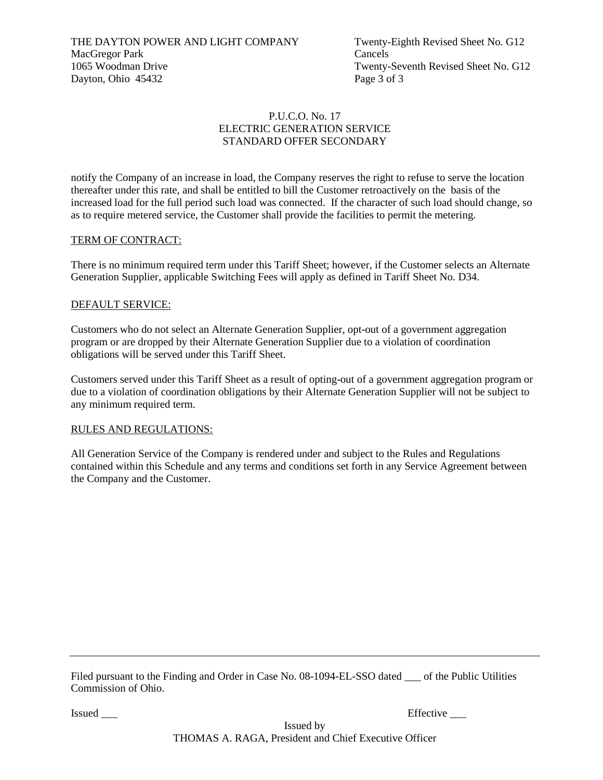THE DAYTON POWER AND LIGHT COMPANY Twenty-Eighth Revised Sheet No. G12 MacGregor Park Cancels 1065 Woodman Drive Twenty-Seventh Revised Sheet No. G12 Dayton, Ohio 45432 Page 3 of 3

# P.U.C.O. No. 17 ELECTRIC GENERATION SERVICE STANDARD OFFER SECONDARY

notify the Company of an increase in load, the Company reserves the right to refuse to serve the location thereafter under this rate, and shall be entitled to bill the Customer retroactively on the basis of the increased load for the full period such load was connected. If the character of such load should change, so as to require metered service, the Customer shall provide the facilities to permit the metering.

#### TERM OF CONTRACT:

There is no minimum required term under this Tariff Sheet; however, if the Customer selects an Alternate Generation Supplier, applicable Switching Fees will apply as defined in Tariff Sheet No. D34.

#### DEFAULT SERVICE:

Customers who do not select an Alternate Generation Supplier, opt-out of a government aggregation program or are dropped by their Alternate Generation Supplier due to a violation of coordination obligations will be served under this Tariff Sheet.

Customers served under this Tariff Sheet as a result of opting-out of a government aggregation program or due to a violation of coordination obligations by their Alternate Generation Supplier will not be subject to any minimum required term.

#### RULES AND REGULATIONS:

All Generation Service of the Company is rendered under and subject to the Rules and Regulations contained within this Schedule and any terms and conditions set forth in any Service Agreement between the Company and the Customer.

Filed pursuant to the Finding and Order in Case No. 08-1094-EL-SSO dated <sub>on</sub> of the Public Utilities Commission of Ohio.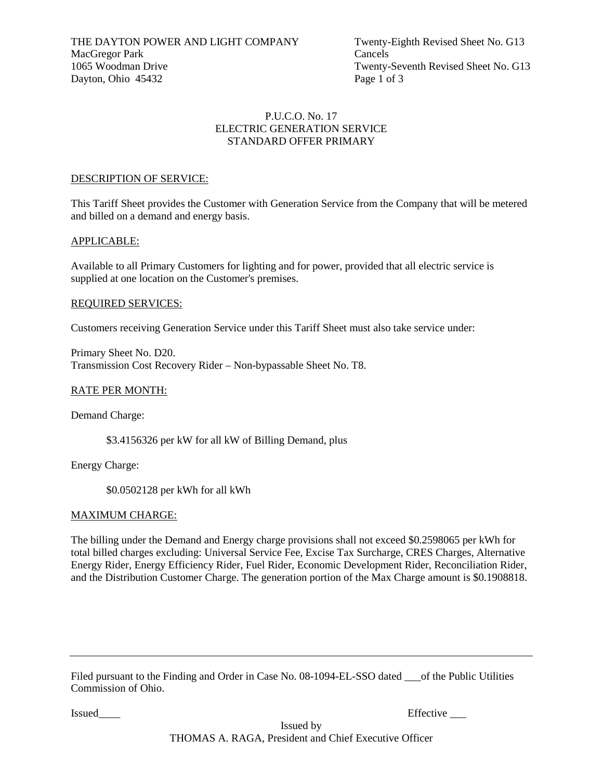# P.U.C.O. No. 17 ELECTRIC GENERATION SERVICE STANDARD OFFER PRIMARY

#### DESCRIPTION OF SERVICE:

This Tariff Sheet provides the Customer with Generation Service from the Company that will be metered and billed on a demand and energy basis.

#### APPLICABLE:

Available to all Primary Customers for lighting and for power, provided that all electric service is supplied at one location on the Customer's premises.

#### REQUIRED SERVICES:

Customers receiving Generation Service under this Tariff Sheet must also take service under:

Primary Sheet No. D20. Transmission Cost Recovery Rider – Non-bypassable Sheet No. T8.

#### RATE PER MONTH:

Demand Charge:

\$3.4156326 per kW for all kW of Billing Demand, plus

Energy Charge:

\$0.0502128 per kWh for all kWh

# MAXIMUM CHARGE:

The billing under the Demand and Energy charge provisions shall not exceed \$0.2598065 per kWh for total billed charges excluding: Universal Service Fee, Excise Tax Surcharge, CRES Charges, Alternative Energy Rider, Energy Efficiency Rider, Fuel Rider, Economic Development Rider, Reconciliation Rider, and the Distribution Customer Charge. The generation portion of the Max Charge amount is \$0.1908818.

Filed pursuant to the Finding and Order in Case No. 08-1094-EL-SSO dated \_\_\_of the Public Utilities Commission of Ohio.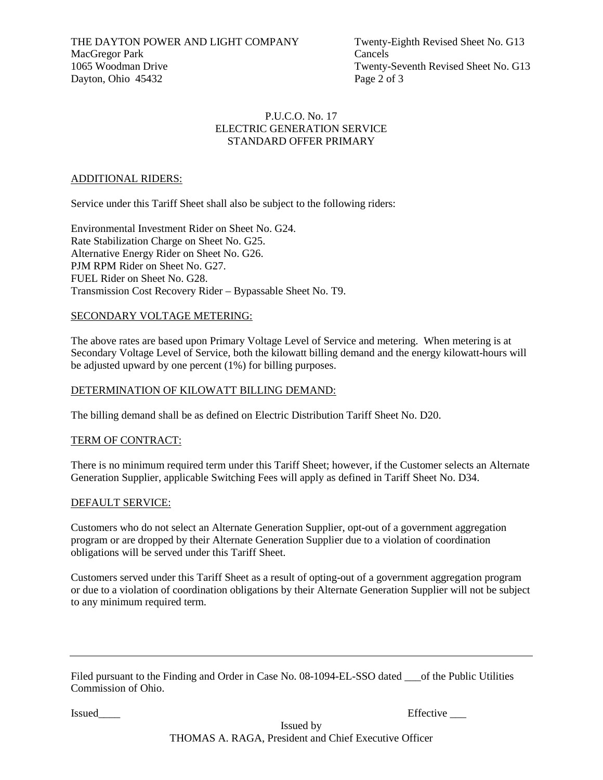THE DAYTON POWER AND LIGHT COMPANY Twenty-Eighth Revised Sheet No. G13 MacGregor Park Cancels 1065 Woodman Drive Twenty-Seventh Revised Sheet No. G13 Dayton, Ohio 45432 Page 2 of 3

# P.U.C.O. No. 17 ELECTRIC GENERATION SERVICE STANDARD OFFER PRIMARY

# ADDITIONAL RIDERS:

Service under this Tariff Sheet shall also be subject to the following riders:

Environmental Investment Rider on Sheet No. G24. Rate Stabilization Charge on Sheet No. G25. Alternative Energy Rider on Sheet No. G26. PJM RPM Rider on Sheet No. G27. FUEL Rider on Sheet No. G28. Transmission Cost Recovery Rider – Bypassable Sheet No. T9.

# SECONDARY VOLTAGE METERING:

The above rates are based upon Primary Voltage Level of Service and metering. When metering is at Secondary Voltage Level of Service, both the kilowatt billing demand and the energy kilowatt-hours will be adjusted upward by one percent (1%) for billing purposes.

# DETERMINATION OF KILOWATT BILLING DEMAND:

The billing demand shall be as defined on Electric Distribution Tariff Sheet No. D20.

# TERM OF CONTRACT:

There is no minimum required term under this Tariff Sheet; however, if the Customer selects an Alternate Generation Supplier, applicable Switching Fees will apply as defined in Tariff Sheet No. D34.

# DEFAULT SERVICE:

Customers who do not select an Alternate Generation Supplier, opt-out of a government aggregation program or are dropped by their Alternate Generation Supplier due to a violation of coordination obligations will be served under this Tariff Sheet.

Customers served under this Tariff Sheet as a result of opting-out of a government aggregation program or due to a violation of coordination obligations by their Alternate Generation Supplier will not be subject to any minimum required term.

| Filed pursuant to the Finding and Order in Case No. 08-1094-EL-SSO dated <sub>conf</sub> the Public Utilities |  |
|---------------------------------------------------------------------------------------------------------------|--|
| Commission of Ohio.                                                                                           |  |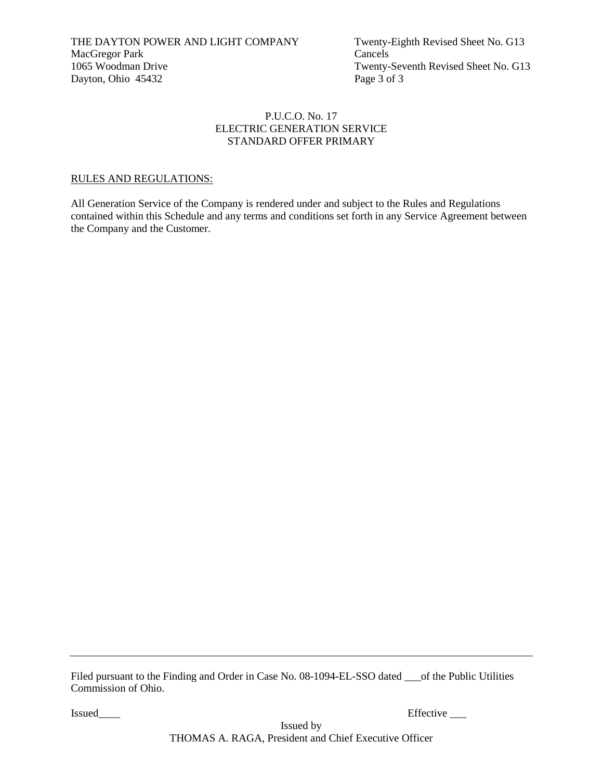# P.U.C.O. No. 17 ELECTRIC GENERATION SERVICE STANDARD OFFER PRIMARY

# RULES AND REGULATIONS:

All Generation Service of the Company is rendered under and subject to the Rules and Regulations contained within this Schedule and any terms and conditions set forth in any Service Agreement between the Company and the Customer.

Filed pursuant to the Finding and Order in Case No. 08-1094-EL-SSO dated \_\_\_of the Public Utilities Commission of Ohio.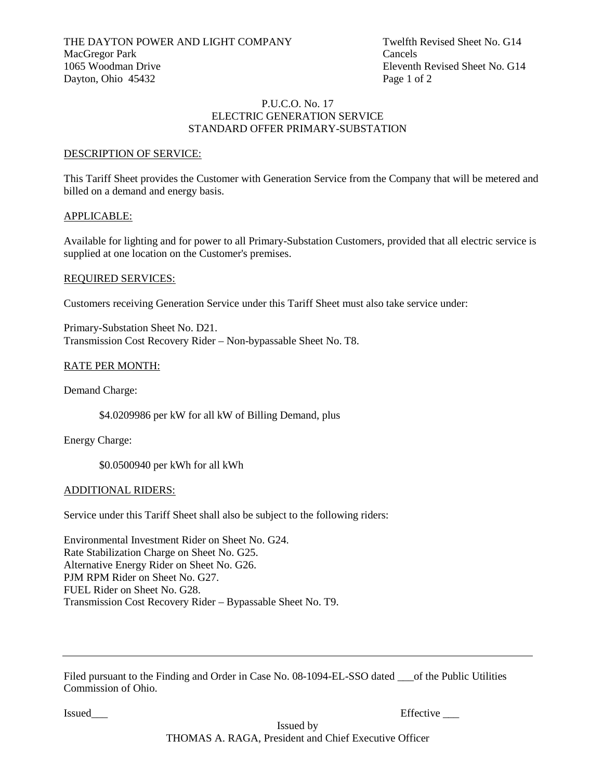#### P.U.C.O. No. 17 ELECTRIC GENERATION SERVICE STANDARD OFFER PRIMARY-SUBSTATION

#### DESCRIPTION OF SERVICE:

This Tariff Sheet provides the Customer with Generation Service from the Company that will be metered and billed on a demand and energy basis.

#### APPLICABLE:

Available for lighting and for power to all Primary-Substation Customers, provided that all electric service is supplied at one location on the Customer's premises.

#### REQUIRED SERVICES:

Customers receiving Generation Service under this Tariff Sheet must also take service under:

Primary-Substation Sheet No. D21. Transmission Cost Recovery Rider – Non-bypassable Sheet No. T8.

# RATE PER MONTH:

Demand Charge:

\$4.0209986 per kW for all kW of Billing Demand, plus

Energy Charge:

\$0.0500940 per kWh for all kWh

#### ADDITIONAL RIDERS:

Service under this Tariff Sheet shall also be subject to the following riders:

Environmental Investment Rider on Sheet No. G24. Rate Stabilization Charge on Sheet No. G25. Alternative Energy Rider on Sheet No. G26. PJM RPM Rider on Sheet No. G27. FUEL Rider on Sheet No. G28. Transmission Cost Recovery Rider – Bypassable Sheet No. T9.

Filed pursuant to the Finding and Order in Case No. 08-1094-EL-SSO dated <u>out</u> of the Public Utilities Commission of Ohio.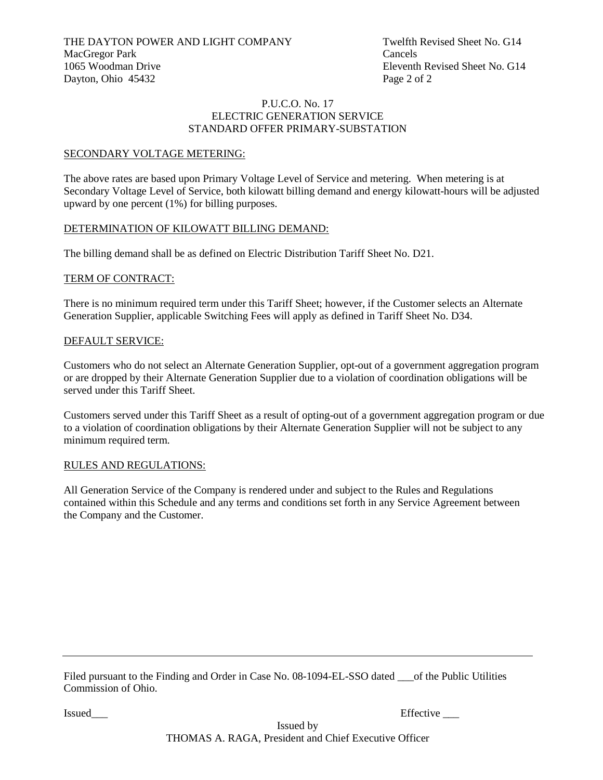#### P.U.C.O. No. 17 ELECTRIC GENERATION SERVICE STANDARD OFFER PRIMARY-SUBSTATION

#### SECONDARY VOLTAGE METERING:

The above rates are based upon Primary Voltage Level of Service and metering. When metering is at Secondary Voltage Level of Service, both kilowatt billing demand and energy kilowatt-hours will be adjusted upward by one percent (1%) for billing purposes.

#### DETERMINATION OF KILOWATT BILLING DEMAND:

The billing demand shall be as defined on Electric Distribution Tariff Sheet No. D21.

#### TERM OF CONTRACT:

There is no minimum required term under this Tariff Sheet; however, if the Customer selects an Alternate Generation Supplier, applicable Switching Fees will apply as defined in Tariff Sheet No. D34.

#### DEFAULT SERVICE:

Customers who do not select an Alternate Generation Supplier, opt-out of a government aggregation program or are dropped by their Alternate Generation Supplier due to a violation of coordination obligations will be served under this Tariff Sheet.

Customers served under this Tariff Sheet as a result of opting-out of a government aggregation program or due to a violation of coordination obligations by their Alternate Generation Supplier will not be subject to any minimum required term.

#### RULES AND REGULATIONS:

All Generation Service of the Company is rendered under and subject to the Rules and Regulations contained within this Schedule and any terms and conditions set forth in any Service Agreement between the Company and the Customer.

Filed pursuant to the Finding and Order in Case No. 08-1094-EL-SSO dated of the Public Utilities Commission of Ohio.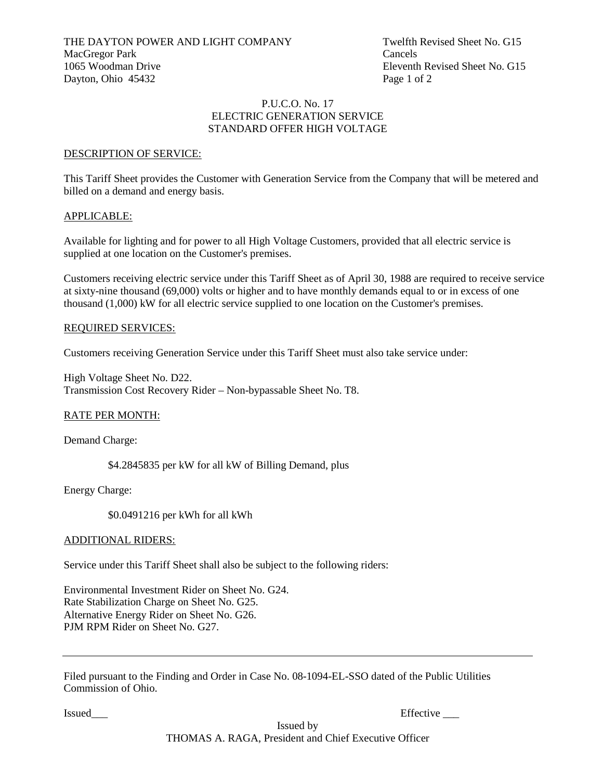#### P.U.C.O. No. 17 ELECTRIC GENERATION SERVICE STANDARD OFFER HIGH VOLTAGE

#### DESCRIPTION OF SERVICE:

This Tariff Sheet provides the Customer with Generation Service from the Company that will be metered and billed on a demand and energy basis.

#### APPLICABLE:

Available for lighting and for power to all High Voltage Customers, provided that all electric service is supplied at one location on the Customer's premises.

Customers receiving electric service under this Tariff Sheet as of April 30, 1988 are required to receive service at sixty-nine thousand (69,000) volts or higher and to have monthly demands equal to or in excess of one thousand (1,000) kW for all electric service supplied to one location on the Customer's premises.

#### REQUIRED SERVICES:

Customers receiving Generation Service under this Tariff Sheet must also take service under:

High Voltage Sheet No. D22. Transmission Cost Recovery Rider – Non-bypassable Sheet No. T8.

# RATE PER MONTH:

Demand Charge:

\$4.2845835 per kW for all kW of Billing Demand, plus

Energy Charge:

\$0.0491216 per kWh for all kWh

#### ADDITIONAL RIDERS:

Service under this Tariff Sheet shall also be subject to the following riders:

Environmental Investment Rider on Sheet No. G24. Rate Stabilization Charge on Sheet No. G25. Alternative Energy Rider on Sheet No. G26. PJM RPM Rider on Sheet No. G27.

Filed pursuant to the Finding and Order in Case No. 08-1094-EL-SSO dated of the Public Utilities Commission of Ohio.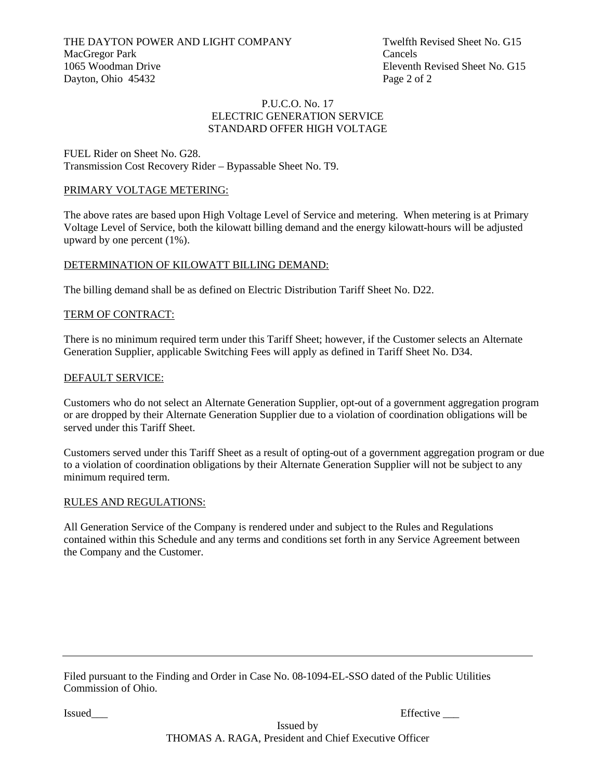THE DAYTON POWER AND LIGHT COMPANY Twelfth Revised Sheet No. G15<br>MacGregor Park Cancels MacGregor Park 1065 Woodman Drive Eleventh Revised Sheet No. G15 Dayton, Ohio 45432 Page 2 of 2

#### P.U.C.O. No. 17 ELECTRIC GENERATION SERVICE STANDARD OFFER HIGH VOLTAGE

FUEL Rider on Sheet No. G28. Transmission Cost Recovery Rider – Bypassable Sheet No. T9.

# PRIMARY VOLTAGE METERING:

The above rates are based upon High Voltage Level of Service and metering. When metering is at Primary Voltage Level of Service, both the kilowatt billing demand and the energy kilowatt-hours will be adjusted upward by one percent (1%).

#### DETERMINATION OF KILOWATT BILLING DEMAND:

The billing demand shall be as defined on Electric Distribution Tariff Sheet No. D22.

#### TERM OF CONTRACT:

There is no minimum required term under this Tariff Sheet; however, if the Customer selects an Alternate Generation Supplier, applicable Switching Fees will apply as defined in Tariff Sheet No. D34.

#### DEFAULT SERVICE:

Customers who do not select an Alternate Generation Supplier, opt-out of a government aggregation program or are dropped by their Alternate Generation Supplier due to a violation of coordination obligations will be served under this Tariff Sheet.

Customers served under this Tariff Sheet as a result of opting-out of a government aggregation program or due to a violation of coordination obligations by their Alternate Generation Supplier will not be subject to any minimum required term.

#### RULES AND REGULATIONS:

All Generation Service of the Company is rendered under and subject to the Rules and Regulations contained within this Schedule and any terms and conditions set forth in any Service Agreement between the Company and the Customer.

Filed pursuant to the Finding and Order in Case No. 08-1094-EL-SSO dated of the Public Utilities Commission of Ohio.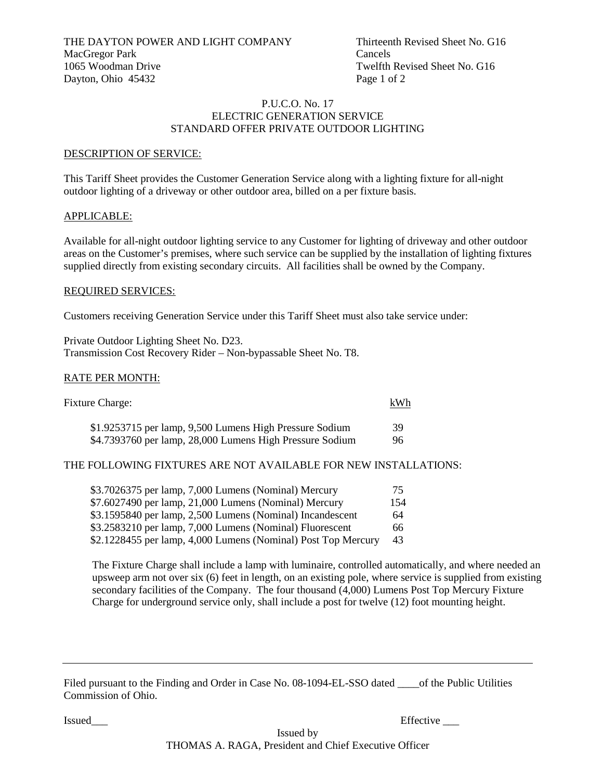#### P.U.C.O. No. 17 ELECTRIC GENERATION SERVICE STANDARD OFFER PRIVATE OUTDOOR LIGHTING

#### DESCRIPTION OF SERVICE:

This Tariff Sheet provides the Customer Generation Service along with a lighting fixture for all-night outdoor lighting of a driveway or other outdoor area, billed on a per fixture basis.

#### APPLICABLE:

Available for all-night outdoor lighting service to any Customer for lighting of driveway and other outdoor areas on the Customer's premises, where such service can be supplied by the installation of lighting fixtures supplied directly from existing secondary circuits. All facilities shall be owned by the Company.

#### REQUIRED SERVICES:

Customers receiving Generation Service under this Tariff Sheet must also take service under:

Private Outdoor Lighting Sheet No. D23. Transmission Cost Recovery Rider – Non-bypassable Sheet No. T8.

#### RATE PER MONTH:

| Fixture Charge:                                          | kWh |
|----------------------------------------------------------|-----|
| \$1.9253715 per lamp, 9,500 Lumens High Pressure Sodium  | 39  |
| \$4.7393760 per lamp, 28,000 Lumens High Pressure Sodium | 96  |

# THE FOLLOWING FIXTURES ARE NOT AVAILABLE FOR NEW INSTALLATIONS:

| \$3.7026375 per lamp, 7,000 Lumens (Nominal) Mercury          | 75  |
|---------------------------------------------------------------|-----|
| \$7.6027490 per lamp, 21,000 Lumens (Nominal) Mercury         | 154 |
| \$3.1595840 per lamp, 2,500 Lumens (Nominal) Incandescent     | 64  |
| \$3.2583210 per lamp, 7,000 Lumens (Nominal) Fluorescent      | 66  |
| \$2.1228455 per lamp, 4,000 Lumens (Nominal) Post Top Mercury | 43  |

The Fixture Charge shall include a lamp with luminaire, controlled automatically, and where needed an upsweep arm not over six (6) feet in length, on an existing pole, where service is supplied from existing secondary facilities of the Company. The four thousand (4,000) Lumens Post Top Mercury Fixture Charge for underground service only, shall include a post for twelve (12) foot mounting height.

Issued Effective Learning and the extent of the extent of the extent of the extent of the extent of the extent of the extent of the extent of the extent of the extent of the extent of the extent of the extent of the extent

Filed pursuant to the Finding and Order in Case No. 08-1094-EL-SSO dated \_\_\_\_of the Public Utilities Commission of Ohio.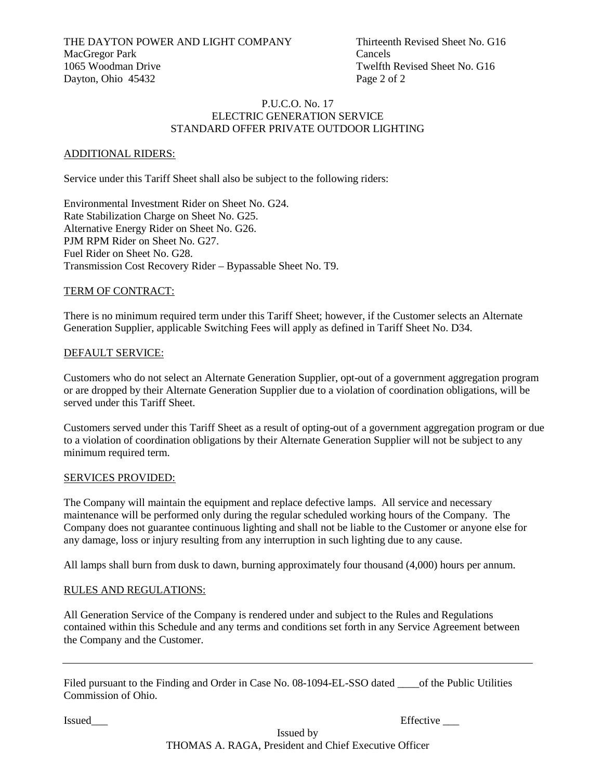#### P.U.C.O. No. 17 ELECTRIC GENERATION SERVICE STANDARD OFFER PRIVATE OUTDOOR LIGHTING

# ADDITIONAL RIDERS:

Service under this Tariff Sheet shall also be subject to the following riders:

Environmental Investment Rider on Sheet No. G24. Rate Stabilization Charge on Sheet No. G25. Alternative Energy Rider on Sheet No. G26. PJM RPM Rider on Sheet No. G27. Fuel Rider on Sheet No. G28. Transmission Cost Recovery Rider – Bypassable Sheet No. T9.

# TERM OF CONTRACT:

There is no minimum required term under this Tariff Sheet; however, if the Customer selects an Alternate Generation Supplier, applicable Switching Fees will apply as defined in Tariff Sheet No. D34.

# DEFAULT SERVICE:

Customers who do not select an Alternate Generation Supplier, opt-out of a government aggregation program or are dropped by their Alternate Generation Supplier due to a violation of coordination obligations, will be served under this Tariff Sheet.

Customers served under this Tariff Sheet as a result of opting-out of a government aggregation program or due to a violation of coordination obligations by their Alternate Generation Supplier will not be subject to any minimum required term.

# SERVICES PROVIDED:

The Company will maintain the equipment and replace defective lamps. All service and necessary maintenance will be performed only during the regular scheduled working hours of the Company. The Company does not guarantee continuous lighting and shall not be liable to the Customer or anyone else for any damage, loss or injury resulting from any interruption in such lighting due to any cause.

All lamps shall burn from dusk to dawn, burning approximately four thousand (4,000) hours per annum.

# RULES AND REGULATIONS:

All Generation Service of the Company is rendered under and subject to the Rules and Regulations contained within this Schedule and any terms and conditions set forth in any Service Agreement between the Company and the Customer.

Filed pursuant to the Finding and Order in Case No. 08-1094-EL-SSO dated \_\_\_\_of the Public Utilities Commission of Ohio.

Issued Effective Learning and the extent of the extent of the extent of the extent of the extent of the extent of the extent of the extent of the extent of the extent of the extent of the extent of the extent of the extent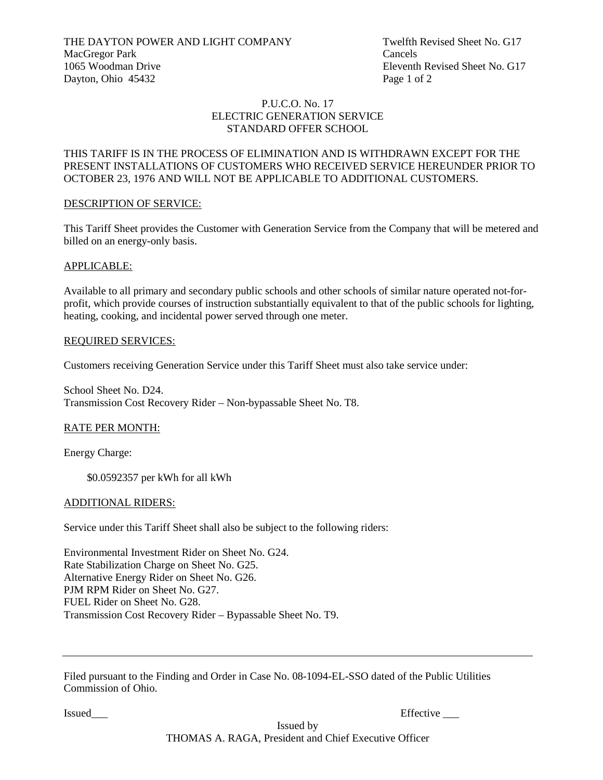THE DAYTON POWER AND LIGHT COMPANY Twelfth Revised Sheet No. G17<br>MacGregor Park Cancels MacGregor Park 1065 Woodman Drive Eleventh Revised Sheet No. G17 Dayton, Ohio 45432 Page 1 of 2

#### P.U.C.O. No. 17 ELECTRIC GENERATION SERVICE STANDARD OFFER SCHOOL

# THIS TARIFF IS IN THE PROCESS OF ELIMINATION AND IS WITHDRAWN EXCEPT FOR THE PRESENT INSTALLATIONS OF CUSTOMERS WHO RECEIVED SERVICE HEREUNDER PRIOR TO OCTOBER 23, 1976 AND WILL NOT BE APPLICABLE TO ADDITIONAL CUSTOMERS.

# DESCRIPTION OF SERVICE:

This Tariff Sheet provides the Customer with Generation Service from the Company that will be metered and billed on an energy-only basis.

#### APPLICABLE:

Available to all primary and secondary public schools and other schools of similar nature operated not-forprofit, which provide courses of instruction substantially equivalent to that of the public schools for lighting, heating, cooking, and incidental power served through one meter.

#### REQUIRED SERVICES:

Customers receiving Generation Service under this Tariff Sheet must also take service under:

School Sheet No. D24. Transmission Cost Recovery Rider – Non-bypassable Sheet No. T8.

# RATE PER MONTH:

Energy Charge:

\$0.0592357 per kWh for all kWh

#### ADDITIONAL RIDERS:

Service under this Tariff Sheet shall also be subject to the following riders:

Environmental Investment Rider on Sheet No. G24. Rate Stabilization Charge on Sheet No. G25. Alternative Energy Rider on Sheet No. G26. PJM RPM Rider on Sheet No. G27. FUEL Rider on Sheet No. G28. Transmission Cost Recovery Rider – Bypassable Sheet No. T9.

Filed pursuant to the Finding and Order in Case No. 08-1094-EL-SSO dated of the Public Utilities Commission of Ohio.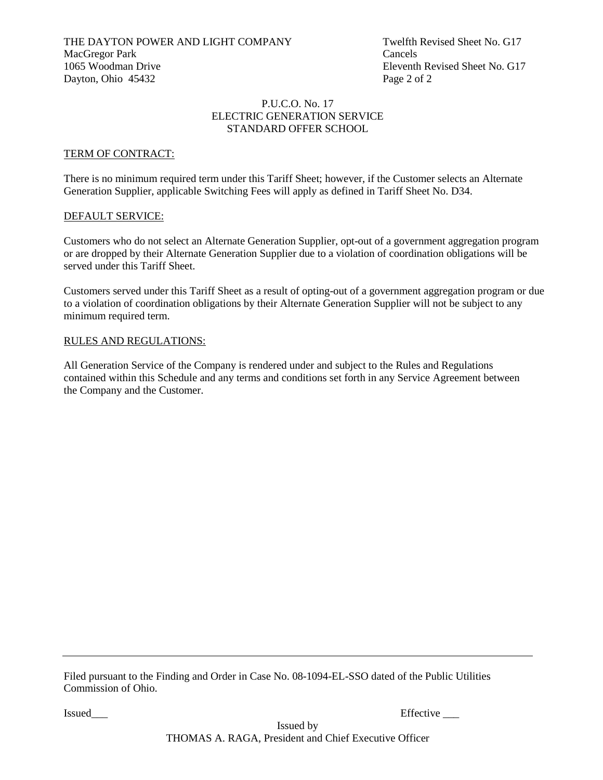#### P.U.C.O. No. 17 ELECTRIC GENERATION SERVICE STANDARD OFFER SCHOOL

# TERM OF CONTRACT:

There is no minimum required term under this Tariff Sheet; however, if the Customer selects an Alternate Generation Supplier, applicable Switching Fees will apply as defined in Tariff Sheet No. D34.

# DEFAULT SERVICE:

Customers who do not select an Alternate Generation Supplier, opt-out of a government aggregation program or are dropped by their Alternate Generation Supplier due to a violation of coordination obligations will be served under this Tariff Sheet.

Customers served under this Tariff Sheet as a result of opting-out of a government aggregation program or due to a violation of coordination obligations by their Alternate Generation Supplier will not be subject to any minimum required term.

#### RULES AND REGULATIONS:

All Generation Service of the Company is rendered under and subject to the Rules and Regulations contained within this Schedule and any terms and conditions set forth in any Service Agreement between the Company and the Customer.

Filed pursuant to the Finding and Order in Case No. 08-1094-EL-SSO dated of the Public Utilities Commission of Ohio.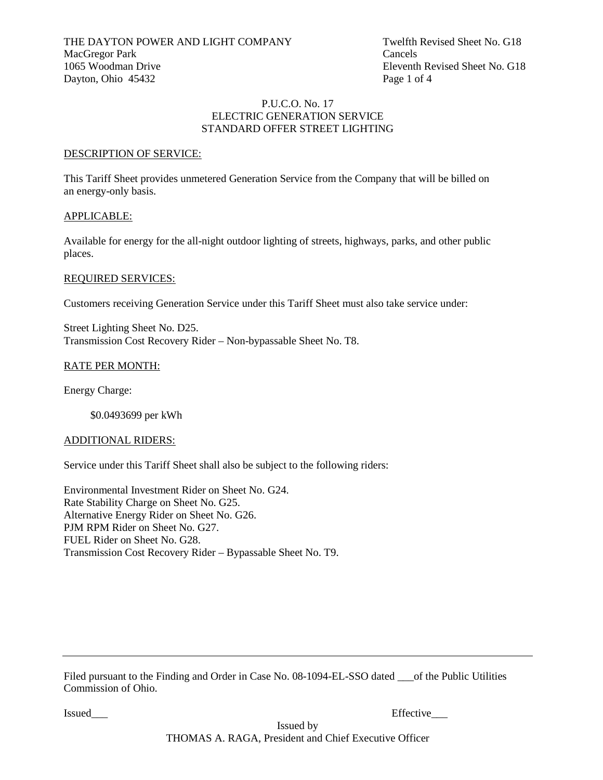Eleventh Revised Sheet No. G18

#### P.U.C.O. No. 17 ELECTRIC GENERATION SERVICE STANDARD OFFER STREET LIGHTING

#### DESCRIPTION OF SERVICE:

This Tariff Sheet provides unmetered Generation Service from the Company that will be billed on an energy-only basis.

#### APPLICABLE:

Available for energy for the all-night outdoor lighting of streets, highways, parks, and other public places.

#### REQUIRED SERVICES:

Customers receiving Generation Service under this Tariff Sheet must also take service under:

Street Lighting Sheet No. D25. Transmission Cost Recovery Rider – Non-bypassable Sheet No. T8.

# RATE PER MONTH:

Energy Charge:

\$0.0493699 per kWh

#### ADDITIONAL RIDERS:

Service under this Tariff Sheet shall also be subject to the following riders:

Environmental Investment Rider on Sheet No. G24. Rate Stability Charge on Sheet No. G25. Alternative Energy Rider on Sheet No. G26. PJM RPM Rider on Sheet No. G27. FUEL Rider on Sheet No. G28. Transmission Cost Recovery Rider – Bypassable Sheet No. T9.

Filed pursuant to the Finding and Order in Case No. 08-1094-EL-SSO dated <u>out</u> of the Public Utilities Commission of Ohio.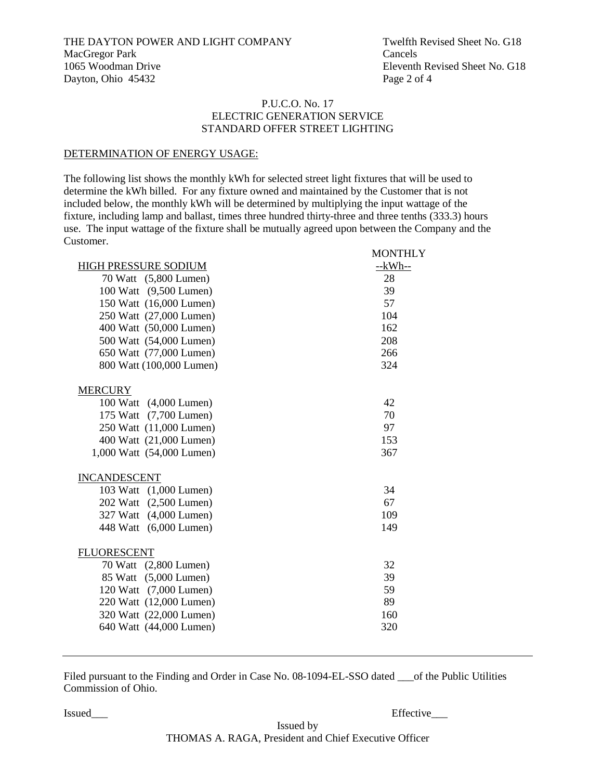#### P.U.C.O. No. 17 ELECTRIC GENERATION SERVICE STANDARD OFFER STREET LIGHTING

#### DETERMINATION OF ENERGY USAGE:

The following list shows the monthly kWh for selected street light fixtures that will be used to determine the kWh billed. For any fixture owned and maintained by the Customer that is not included below, the monthly kWh will be determined by multiplying the input wattage of the fixture, including lamp and ballast, times three hundred thirty-three and three tenths (333.3) hours use. The input wattage of the fixture shall be mutually agreed upon between the Company and the Customer. MONTHLY

|                           | MUNIFILI |
|---------------------------|----------|
| HIGH PRESSURE SODIUM      | $-kWh-$  |
| 70 Watt (5,800 Lumen)     | 28       |
| 100 Watt (9,500 Lumen)    | 39       |
| 150 Watt (16,000 Lumen)   | 57       |
| 250 Watt (27,000 Lumen)   | 104      |
| 400 Watt (50,000 Lumen)   | 162      |
| 500 Watt (54,000 Lumen)   | 208      |
| 650 Watt (77,000 Lumen)   | 266      |
| 800 Watt (100,000 Lumen)  | 324      |
| <b>MERCURY</b>            |          |
| 100 Watt (4,000 Lumen)    | 42       |
| 175 Watt (7,700 Lumen)    | 70       |
| 250 Watt (11,000 Lumen)   | 97       |
| 400 Watt (21,000 Lumen)   | 153      |
| 1,000 Watt (54,000 Lumen) | 367      |
| <b>INCANDESCENT</b>       |          |
| 103 Watt (1,000 Lumen)    | 34       |
| 202 Watt (2,500 Lumen)    | 67       |
| 327 Watt (4,000 Lumen)    | 109      |
| 448 Watt (6,000 Lumen)    | 149      |
| <b>FLUORESCENT</b>        |          |
| 70 Watt (2,800 Lumen)     | 32       |
| 85 Watt (5,000 Lumen)     | 39       |
| 120 Watt (7,000 Lumen)    | 59       |
| 220 Watt (12,000 Lumen)   | 89       |
| 320 Watt (22,000 Lumen)   | 160      |
| 640 Watt (44,000 Lumen)   | 320      |
|                           |          |

Filed pursuant to the Finding and Order in Case No. 08-1094-EL-SSO dated on the Public Utilities Commission of Ohio.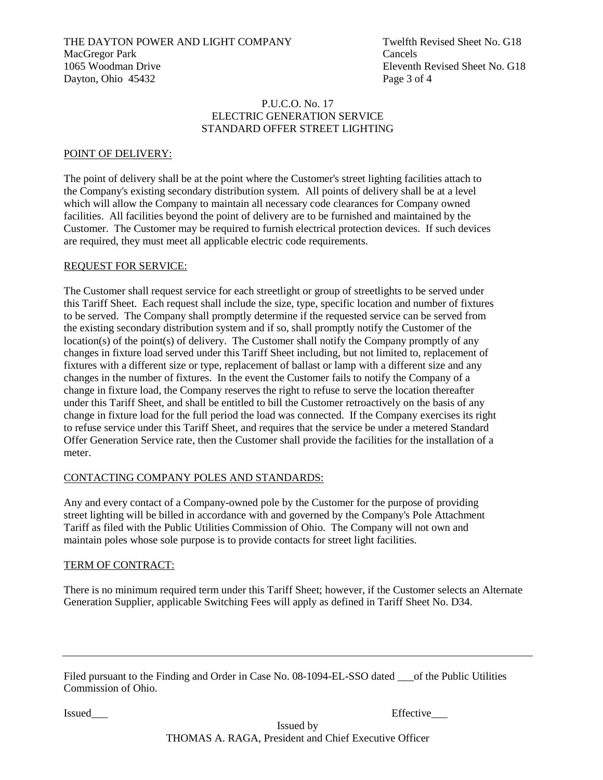THE DAYTON POWER AND LIGHT COMPANY Twelfth Revised Sheet No. G18 MacGregor Park Cancels 1065 Woodman Drive Eleventh Revised Sheet No. G18 Dayton, Ohio 45432 Page 3 of 4

#### P.U.C.O. No. 17 ELECTRIC GENERATION SERVICE STANDARD OFFER STREET LIGHTING

# POINT OF DELIVERY:

The point of delivery shall be at the point where the Customer's street lighting facilities attach to the Company's existing secondary distribution system. All points of delivery shall be at a level which will allow the Company to maintain all necessary code clearances for Company owned facilities. All facilities beyond the point of delivery are to be furnished and maintained by the Customer. The Customer may be required to furnish electrical protection devices. If such devices are required, they must meet all applicable electric code requirements.

#### REQUEST FOR SERVICE:

The Customer shall request service for each streetlight or group of streetlights to be served under this Tariff Sheet. Each request shall include the size, type, specific location and number of fixtures to be served. The Company shall promptly determine if the requested service can be served from the existing secondary distribution system and if so, shall promptly notify the Customer of the location(s) of the point(s) of delivery. The Customer shall notify the Company promptly of any changes in fixture load served under this Tariff Sheet including, but not limited to, replacement of fixtures with a different size or type, replacement of ballast or lamp with a different size and any changes in the number of fixtures. In the event the Customer fails to notify the Company of a change in fixture load, the Company reserves the right to refuse to serve the location thereafter under this Tariff Sheet, and shall be entitled to bill the Customer retroactively on the basis of any change in fixture load for the full period the load was connected. If the Company exercises its right to refuse service under this Tariff Sheet, and requires that the service be under a metered Standard Offer Generation Service rate, then the Customer shall provide the facilities for the installation of a meter.

# CONTACTING COMPANY POLES AND STANDARDS:

Any and every contact of a Company-owned pole by the Customer for the purpose of providing street lighting will be billed in accordance with and governed by the Company's Pole Attachment Tariff as filed with the Public Utilities Commission of Ohio. The Company will not own and maintain poles whose sole purpose is to provide contacts for street light facilities.

#### TERM OF CONTRACT:

There is no minimum required term under this Tariff Sheet; however, if the Customer selects an Alternate Generation Supplier, applicable Switching Fees will apply as defined in Tariff Sheet No. D34.

| Filed pursuant to the Finding and Order in Case No. 08-1094-EL-SSO dated |  | of the Public Utilities |  |
|--------------------------------------------------------------------------|--|-------------------------|--|
| Commission of Ohio.                                                      |  |                         |  |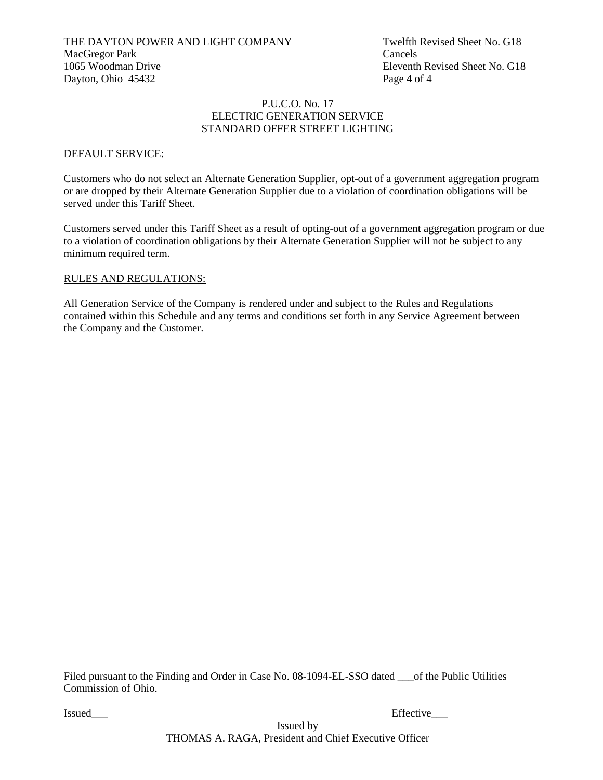#### P.U.C.O. No. 17 ELECTRIC GENERATION SERVICE STANDARD OFFER STREET LIGHTING

#### DEFAULT SERVICE:

Customers who do not select an Alternate Generation Supplier, opt-out of a government aggregation program or are dropped by their Alternate Generation Supplier due to a violation of coordination obligations will be served under this Tariff Sheet.

Customers served under this Tariff Sheet as a result of opting-out of a government aggregation program or due to a violation of coordination obligations by their Alternate Generation Supplier will not be subject to any minimum required term.

#### RULES AND REGULATIONS:

All Generation Service of the Company is rendered under and subject to the Rules and Regulations contained within this Schedule and any terms and conditions set forth in any Service Agreement between the Company and the Customer.

Filed pursuant to the Finding and Order in Case No. 08-1094-EL-SSO dated on the Public Utilities Commission of Ohio.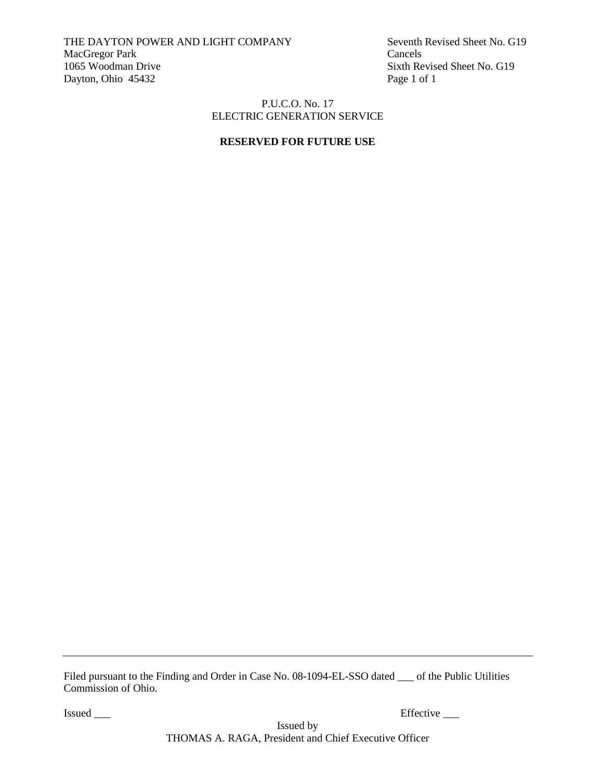THE DAYTON POWER AND LIGHT COMPANY Seventh Revised Sheet No. G19 MacGregor Park Cancels<br>1065 Woodman Drive Sixth Re Dayton, Ohio 45432 Page 1 of 1

Sixth Revised Sheet No. G19

# P.U.C.O. No. 17 ELECTRIC GENERATION SERVICE

# **RESERVED FOR FUTURE USE**

Filed pursuant to the Finding and Order in Case No. 08-1094-EL-SSO dated \_\_\_ of the Public Utilities Commission of Ohio.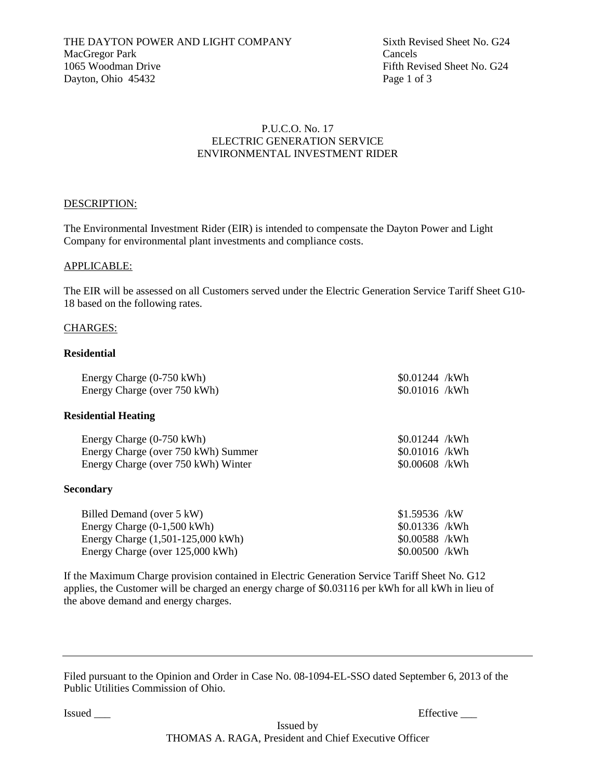# P.U.C.O. No. 17 ELECTRIC GENERATION SERVICE ENVIRONMENTAL INVESTMENT RIDER

# DESCRIPTION:

The Environmental Investment Rider (EIR) is intended to compensate the Dayton Power and Light Company for environmental plant investments and compliance costs.

#### APPLICABLE:

The EIR will be assessed on all Customers served under the Electric Generation Service Tariff Sheet G10- 18 based on the following rates.

#### CHARGES:

#### **Residential**

| Energy Charge (0-750 kWh)    | $$0.01244$ /kWh |  |
|------------------------------|-----------------|--|
| Energy Charge (over 750 kWh) | $$0.01016$ /kWh |  |

#### **Residential Heating**

| Energy Charge (0-750 kWh)           | $$0.01244$ /kWh |  |
|-------------------------------------|-----------------|--|
| Energy Charge (over 750 kWh) Summer | \$0.01016 /kWh  |  |
| Energy Charge (over 750 kWh) Winter | \$0.00608 /kWh  |  |

#### **Secondary**

| Billed Demand (over 5 kW)             | \$1.59536 /kW  |
|---------------------------------------|----------------|
| Energy Charge $(0-1,500 \text{ kWh})$ | \$0.01336 /kWh |
| Energy Charge (1,501-125,000 kWh)     | \$0.00588 /kWh |
| Energy Charge (over 125,000 kWh)      | \$0.00500 /kWh |

If the Maximum Charge provision contained in Electric Generation Service Tariff Sheet No. G12 applies, the Customer will be charged an energy charge of \$0.03116 per kWh for all kWh in lieu of the above demand and energy charges.

Filed pursuant to the Opinion and Order in Case No. 08-1094-EL-SSO dated September 6, 2013 of the Public Utilities Commission of Ohio.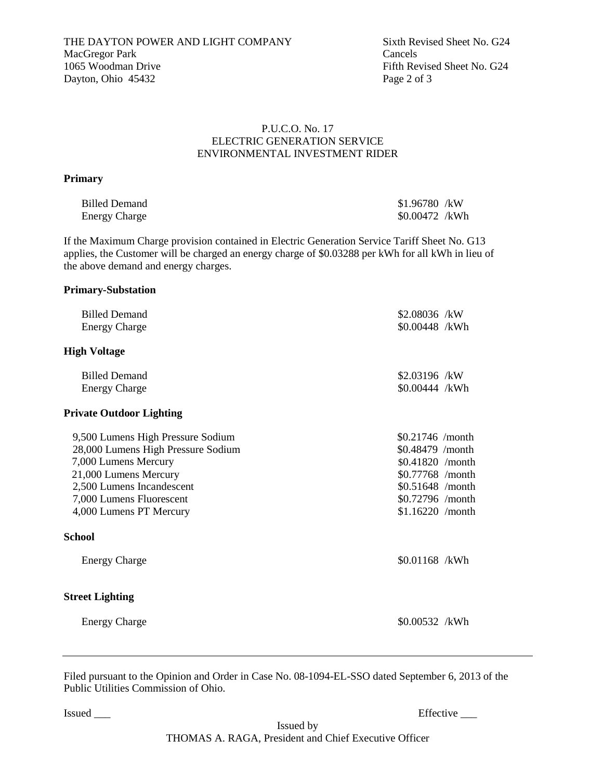# P.U.C.O. No. 17 ELECTRIC GENERATION SERVICE ENVIRONMENTAL INVESTMENT RIDER

# **Primary**

| <b>Billed Demand</b> | \$1.96780 /kW  |  |
|----------------------|----------------|--|
| <b>Energy Charge</b> | \$0.00472 /kWh |  |

If the Maximum Charge provision contained in Electric Generation Service Tariff Sheet No. G13 applies, the Customer will be charged an energy charge of \$0.03288 per kWh for all kWh in lieu of the above demand and energy charges.

# **Primary-Substation**

| <b>Billed Demand</b>               | \$2.08036 /kW     |  |
|------------------------------------|-------------------|--|
| <b>Energy Charge</b>               | \$0.00448 /kWh    |  |
| <b>High Voltage</b>                |                   |  |
| <b>Billed Demand</b>               | $$2.03196$ /kW    |  |
| <b>Energy Charge</b>               | \$0.00444 /kWh    |  |
| <b>Private Outdoor Lighting</b>    |                   |  |
| 9,500 Lumens High Pressure Sodium  | $$0.21746$ /month |  |
| 28,000 Lumens High Pressure Sodium | \$0.48479 /month  |  |
| 7,000 Lumens Mercury               | \$0.41820 /month  |  |
| 21,000 Lumens Mercury              | \$0.77768 /month  |  |
| 2,500 Lumens Incandescent          | \$0.51648 /month  |  |
| 7,000 Lumens Fluorescent           | \$0.72796 /month  |  |
| 4,000 Lumens PT Mercury            | \$1.16220 /month  |  |
| <b>School</b>                      |                   |  |
| <b>Energy Charge</b>               | \$0.01168 /kWh    |  |
| <b>Street Lighting</b>             |                   |  |
| <b>Energy Charge</b>               | $$0.00532$ /kWh   |  |

Filed pursuant to the Opinion and Order in Case No. 08-1094-EL-SSO dated September 6, 2013 of the Public Utilities Commission of Ohio.

Issued \_\_\_ Effective \_\_\_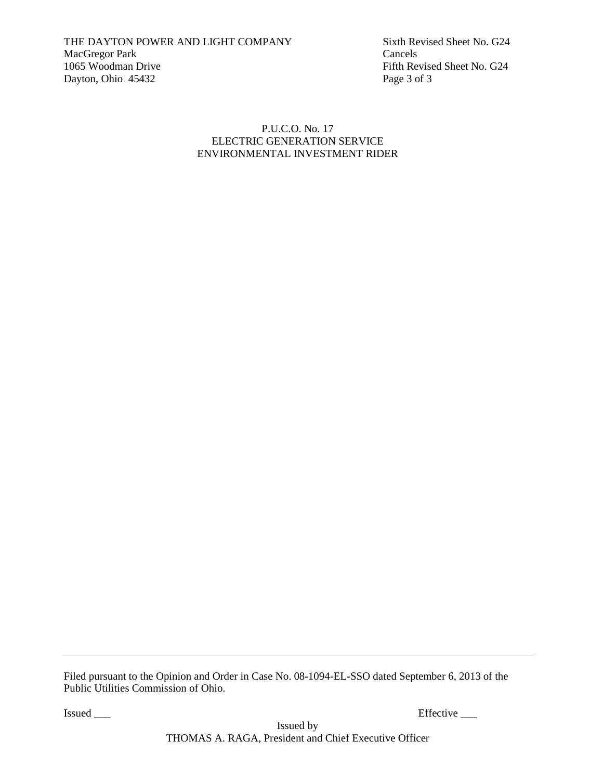Fifth Revised Sheet No. G24

# P.U.C.O. No. 17 ELECTRIC GENERATION SERVICE ENVIRONMENTAL INVESTMENT RIDER

Filed pursuant to the Opinion and Order in Case No. 08-1094-EL-SSO dated September 6, 2013 of the Public Utilities Commission of Ohio.

Issued \_\_\_\_ Effective \_\_\_\_ Effective \_\_\_\_ Effective \_\_\_\_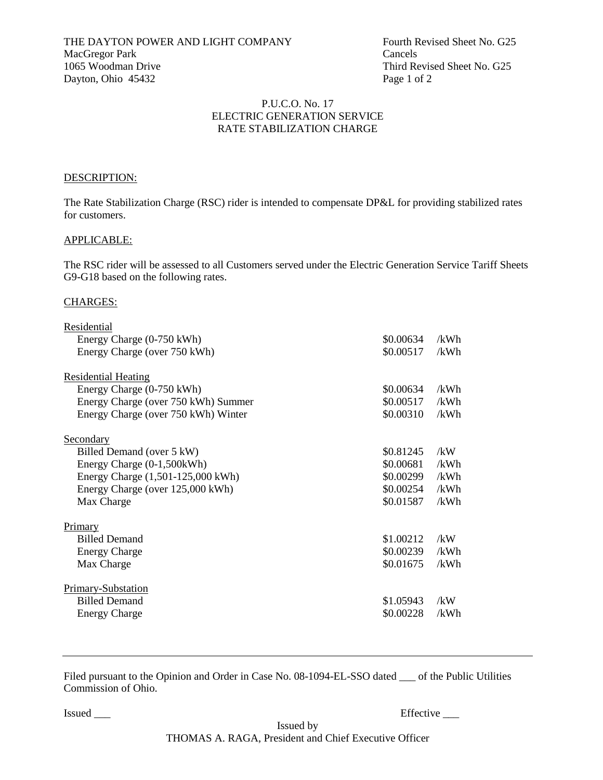THE DAYTON POWER AND LIGHT COMPANY Fourth Revised Sheet No. G25 MacGregor Park Cancels 1065 Woodman Drive Third Revised Sheet No. G25 Dayton, Ohio 45432 Page 1 of 2

### P.U.C.O. No. 17 ELECTRIC GENERATION SERVICE RATE STABILIZATION CHARGE

### DESCRIPTION:

The Rate Stabilization Charge (RSC) rider is intended to compensate DP&L for providing stabilized rates for customers.

#### APPLICABLE:

The RSC rider will be assessed to all Customers served under the Electric Generation Service Tariff Sheets G9-G18 based on the following rates.

### CHARGES:

| Residential                         |           |      |
|-------------------------------------|-----------|------|
| Energy Charge (0-750 kWh)           | \$0.00634 | /kWh |
| Energy Charge (over 750 kWh)        | \$0.00517 | /kWh |
| <b>Residential Heating</b>          |           |      |
| Energy Charge (0-750 kWh)           | \$0.00634 | /kWh |
| Energy Charge (over 750 kWh) Summer | \$0.00517 | /kWh |
| Energy Charge (over 750 kWh) Winter | \$0.00310 | /kWh |
| Secondary                           |           |      |
| Billed Demand (over 5 kW)           | \$0.81245 | /kW  |
| Energy Charge (0-1,500kWh)          | \$0.00681 | /kWh |
| Energy Charge (1,501-125,000 kWh)   | \$0.00299 | /kWh |
| Energy Charge (over 125,000 kWh)    | \$0.00254 | /kWh |
| Max Charge                          | \$0.01587 | /kWh |
| Primary                             |           |      |
| <b>Billed Demand</b>                | \$1.00212 | /kW  |
| <b>Energy Charge</b>                | \$0.00239 | /kWh |
| Max Charge                          | \$0.01675 | /kWh |
| <b>Primary-Substation</b>           |           |      |
| <b>Billed Demand</b>                | \$1.05943 | /kW  |
| <b>Energy Charge</b>                | \$0.00228 | /kWh |
|                                     |           |      |

Filed pursuant to the Opinion and Order in Case No. 08-1094-EL-SSO dated \_\_\_ of the Public Utilities Commission of Ohio.

Issued \_\_\_ Effective \_\_\_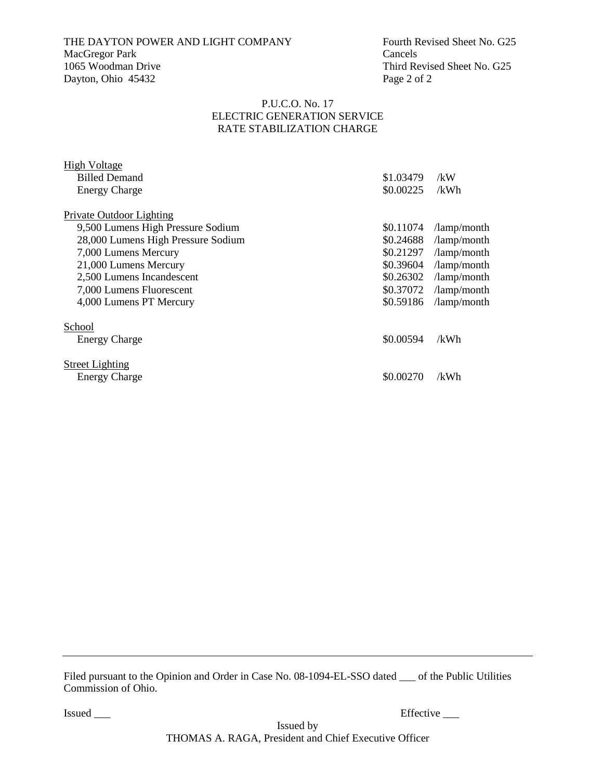# THE DAYTON POWER AND LIGHT COMPANY Fourth Revised Sheet No. G25 MacGregor Park Cancels<br>1065 Woodman Drive Third Re Dayton, Ohio 45432 Page 2 of 2

Third Revised Sheet No. G25

### P.U.C.O. No. 17 ELECTRIC GENERATION SERVICE RATE STABILIZATION CHARGE

| <b>High Voltage</b>                |           |                               |
|------------------------------------|-----------|-------------------------------|
| <b>Billed Demand</b>               | \$1.03479 | /kW                           |
| <b>Energy Charge</b>               | \$0.00225 | /kWh                          |
|                                    |           |                               |
| Private Outdoor Lighting           |           |                               |
| 9,500 Lumens High Pressure Sodium  | \$0.11074 | $\lambda$ amp $\lambda$ month |
| 28,000 Lumens High Pressure Sodium | \$0.24688 | /lamp/month                   |
| 7,000 Lumens Mercury               | \$0.21297 | /lamp/month                   |
| 21,000 Lumens Mercury              | \$0.39604 | $\lambda$ amp/month           |
| 2,500 Lumens Incandescent          | \$0.26302 | /lamp/month                   |
| 7,000 Lumens Fluorescent           | \$0.37072 | /lamp/month                   |
| 4,000 Lumens PT Mercury            | \$0.59186 | /lamp/month                   |
|                                    |           |                               |
| School                             |           |                               |
| <b>Energy Charge</b>               | \$0.00594 | /kWh                          |
|                                    |           |                               |
| <b>Street Lighting</b>             |           |                               |
| <b>Energy Charge</b>               | \$0.00270 | /kWh                          |
|                                    |           |                               |

Filed pursuant to the Opinion and Order in Case No. 08-1094-EL-SSO dated \_\_\_ of the Public Utilities Commission of Ohio.

Issued \_\_\_\_ Effective \_\_\_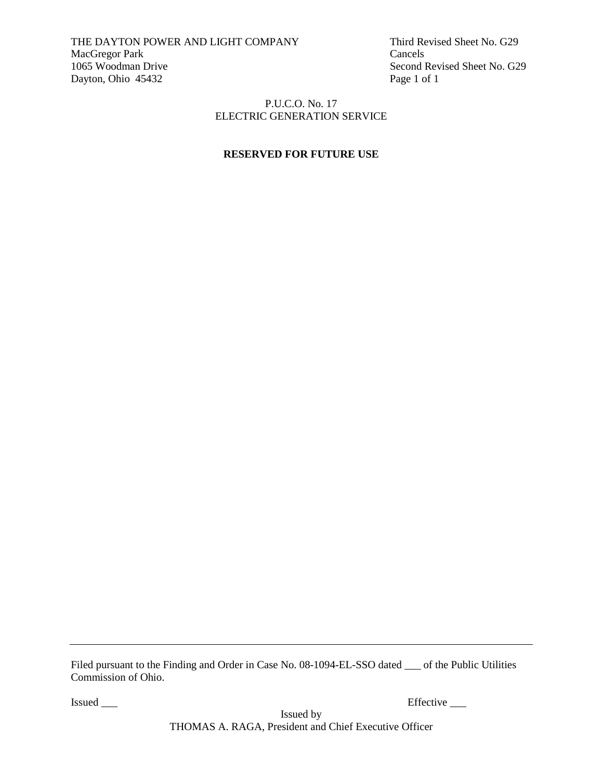THE DAYTON POWER AND LIGHT COMPANY Third Revised Sheet No. G29 MacGregor Park Cancels<br>1065 Woodman Drive Second I Dayton, Ohio 45432 Page 1 of 1

Second Revised Sheet No. G29

## P.U.C.O. No. 17 ELECTRIC GENERATION SERVICE

# **RESERVED FOR FUTURE USE**

Filed pursuant to the Finding and Order in Case No. 08-1094-EL-SSO dated \_\_\_ of the Public Utilities Commission of Ohio.

Issued \_\_\_\_ Effective \_\_\_

Issued by THOMAS A. RAGA, President and Chief Executive Officer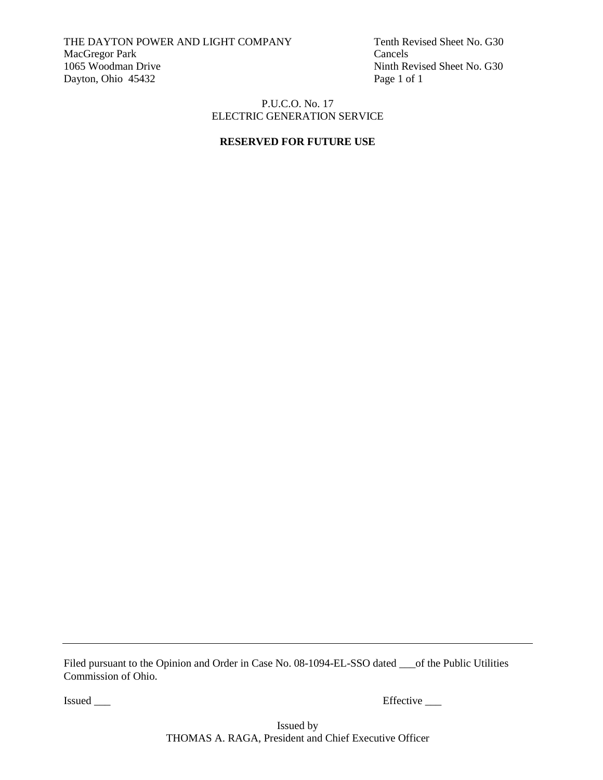THE DAYTON POWER AND LIGHT COMPANY Tenth Revised Sheet No. G30 MacGregor Park Cancels<br>
1065 Woodman Drive Ninth Re Dayton, Ohio 45432 Page 1 of 1

Ninth Revised Sheet No. G30

### P.U.C.O. No. 17 ELECTRIC GENERATION SERVICE

# **RESERVED FOR FUTURE USE**

Filed pursuant to the Opinion and Order in Case No. 08-1094-EL-SSO dated \_\_\_of the Public Utilities Commission of Ohio.

Issued \_\_\_ Effective \_\_\_